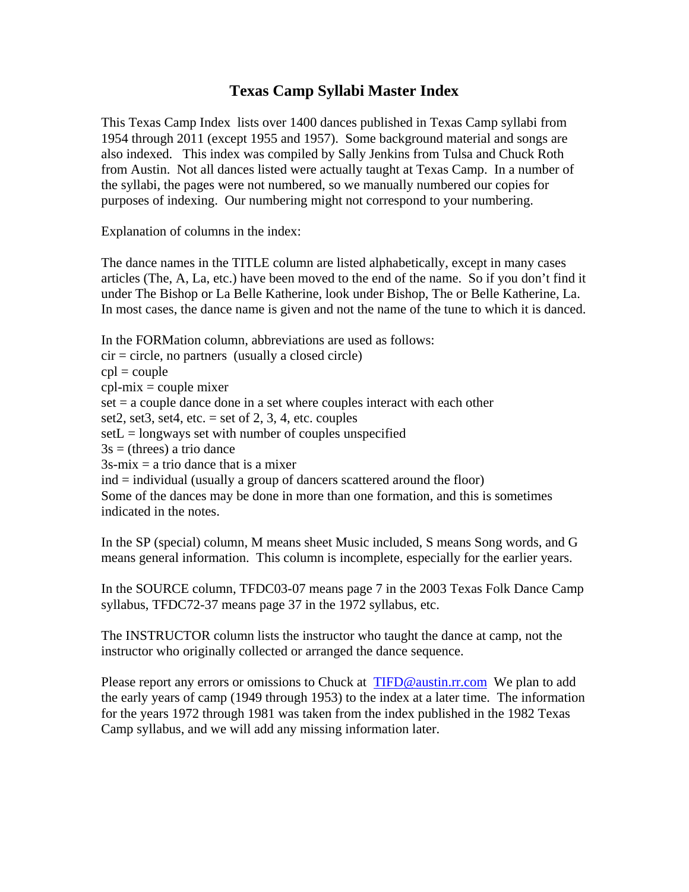## **Texas Camp Syllabi Master Index**

This Texas Camp Index lists over 1400 dances published in Texas Camp syllabi from 1954 through 2011 (except 1955 and 1957). Some background material and songs are also indexed. This index was compiled by Sally Jenkins from Tulsa and Chuck Roth from Austin. Not all dances listed were actually taught at Texas Camp. In a number of the syllabi, the pages were not numbered, so we manually numbered our copies for purposes of indexing. Our numbering might not correspond to your numbering.

Explanation of columns in the index:

The dance names in the TITLE column are listed alphabetically, except in many cases articles (The, A, La, etc.) have been moved to the end of the name. So if you don't find it under The Bishop or La Belle Katherine, look under Bishop, The or Belle Katherine, La. In most cases, the dance name is given and not the name of the tune to which it is danced.

In the FORMation column, abbreviations are used as follows:

 $cir = circle$ , no partners (usually a closed circle)  $cpl = \text{couple}$  $cpl-mix = couple$  mixer set = a couple dance done in a set where couples interact with each other set2, set3, set4, etc.  $=$  set of 2, 3, 4, etc. couples  $setL = longways set with number of couples unspecified$  $3s = (threes)$  a trio dance  $3s-mix = a$  trio dance that is a mixer ind = individual (usually a group of dancers scattered around the floor) Some of the dances may be done in more than one formation, and this is sometimes indicated in the notes.

In the SP (special) column, M means sheet Music included, S means Song words, and G means general information. This column is incomplete, especially for the earlier years.

In the SOURCE column, TFDC03-07 means page 7 in the 2003 Texas Folk Dance Camp syllabus, TFDC72-37 means page 37 in the 1972 syllabus, etc.

The INSTRUCTOR column lists the instructor who taught the dance at camp, not the instructor who originally collected or arranged the dance sequence.

Please report any errors or omissions to Chuck at TIFD@austin.rr.com We plan to add the early years of camp (1949 through 1953) to the index at a later time. The information for the years 1972 through 1981 was taken from the index published in the 1982 Texas Camp syllabus, and we will add any missing information later.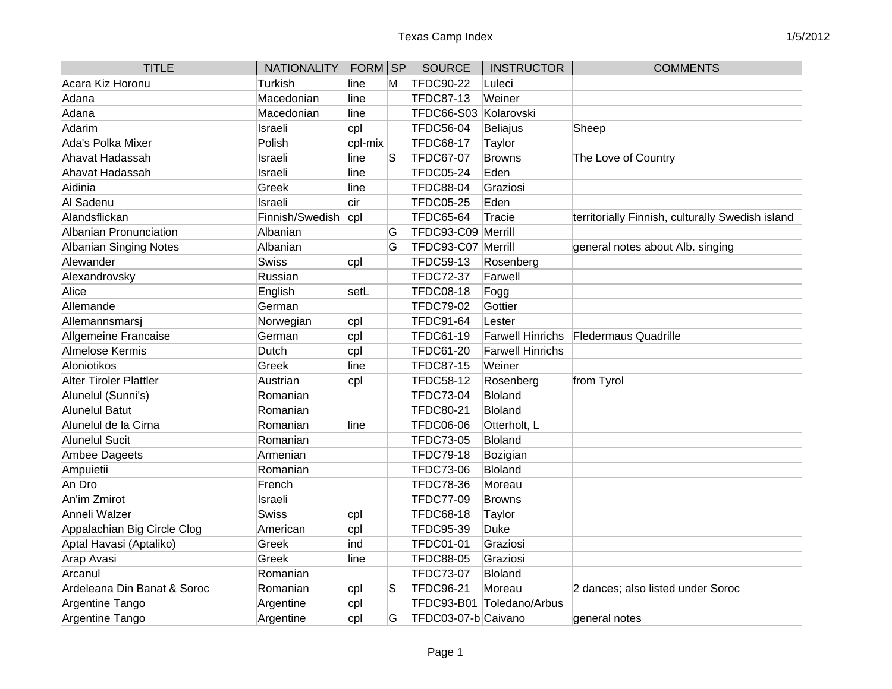| <b>TITLE</b>                  | NATIONALITY   FORM SP |         |    | <b>SOURCE</b>       | <b>INSTRUCTOR</b>         | <b>COMMENTS</b>                                  |
|-------------------------------|-----------------------|---------|----|---------------------|---------------------------|--------------------------------------------------|
| Acara Kiz Horonu              | Turkish               | line    | M  | <b>TFDC90-22</b>    | Luleci                    |                                                  |
| Adana                         | Macedonian            | line    |    | TFDC87-13           | Weiner                    |                                                  |
| Adana                         | Macedonian            | line    |    | <b>TFDC66-S03</b>   | Kolarovski                |                                                  |
| Adarim                        | Israeli               | cpl     |    | <b>TFDC56-04</b>    | <b>Beliajus</b>           | Sheep                                            |
| Ada's Polka Mixer             | Polish                | cpl-mix |    | <b>TFDC68-17</b>    | Taylor                    |                                                  |
| Ahavat Hadassah               | Israeli               | line    | ls | <b>TFDC67-07</b>    | <b>Browns</b>             | The Love of Country                              |
| Ahavat Hadassah               | Israeli               | line    |    | <b>TFDC05-24</b>    | Eden                      |                                                  |
| Aidinia                       | Greek                 | line    |    | <b>TFDC88-04</b>    | Graziosi                  |                                                  |
| Al Sadenu                     | Israeli               | cir     |    | <b>TFDC05-25</b>    | Eden                      |                                                  |
| Alandsflickan                 | Finnish/Swedish       | cpl     |    | <b>TFDC65-64</b>    | Tracie                    | territorially Finnish, culturally Swedish island |
| Albanian Pronunciation        | Albanian              |         | G  | TFDC93-C09          | Merrill                   |                                                  |
| Albanian Singing Notes        | Albanian              |         | G  | <b>TFDC93-C07</b>   | Merrill                   | general notes about Alb. singing                 |
| Alewander                     | <b>Swiss</b>          | cpl     |    | <b>TFDC59-13</b>    | Rosenberg                 |                                                  |
| Alexandrovsky                 | Russian               |         |    | <b>TFDC72-37</b>    | Farwell                   |                                                  |
| Alice                         | English               | setL    |    | <b>TFDC08-18</b>    | Fogg                      |                                                  |
| Allemande                     | German                |         |    | <b>TFDC79-02</b>    | Gottier                   |                                                  |
| Allemannsmarsi                | Norwegian             | cpl     |    | <b>TFDC91-64</b>    | Lester                    |                                                  |
| Allgemeine Francaise          | German                | cpl     |    | <b>TFDC61-19</b>    | <b>Farwell Hinrichs</b>   | <b>Fledermaus Quadrille</b>                      |
| Almelose Kermis               | Dutch                 | cpl     |    | <b>TFDC61-20</b>    | <b>Farwell Hinrichs</b>   |                                                  |
| Aloniotikos                   | Greek                 | line    |    | <b>TFDC87-15</b>    | Weiner                    |                                                  |
| <b>Alter Tiroler Plattler</b> | Austrian              | cpl     |    | <b>TFDC58-12</b>    | Rosenberg                 | from Tyrol                                       |
| Alunelul (Sunni's)            | Romanian              |         |    | <b>TFDC73-04</b>    | <b>Bloland</b>            |                                                  |
| Alunelul Batut                | Romanian              |         |    | <b>TFDC80-21</b>    | <b>Bloland</b>            |                                                  |
| Alunelul de la Cirna          | Romanian              | line    |    | <b>TFDC06-06</b>    | Otterholt, L              |                                                  |
| Alunelul Sucit                | Romanian              |         |    | <b>TFDC73-05</b>    | <b>Bloland</b>            |                                                  |
| Ambee Dageets                 | Armenian              |         |    | <b>TFDC79-18</b>    | Bozigian                  |                                                  |
| Ampuietii                     | Romanian              |         |    | <b>TFDC73-06</b>    | <b>Bloland</b>            |                                                  |
| An Dro                        | French                |         |    | <b>TFDC78-36</b>    | Moreau                    |                                                  |
| An'im Zmirot                  | Israeli               |         |    | <b>TFDC77-09</b>    | <b>Browns</b>             |                                                  |
| Anneli Walzer                 | <b>Swiss</b>          | cpl     |    | <b>TFDC68-18</b>    | Taylor                    |                                                  |
| Appalachian Big Circle Clog   | American              | cpl     |    | <b>TFDC95-39</b>    | <b>Duke</b>               |                                                  |
| Aptal Havasi (Aptaliko)       | Greek                 | ind     |    | <b>TFDC01-01</b>    | Graziosi                  |                                                  |
| Arap Avasi                    | Greek                 | line    |    | <b>TFDC88-05</b>    | Graziosi                  |                                                  |
| Arcanul                       | Romanian              |         |    | <b>TFDC73-07</b>    | Bloland                   |                                                  |
| Ardeleana Din Banat & Soroc   | Romanian              | cpl     | ۱S | <b>TFDC96-21</b>    | Moreau                    | 2 dances; also listed under Soroc                |
| Argentine Tango               | Argentine             | cpl     |    |                     | TFDC93-B01 Toledano/Arbus |                                                  |
| Argentine Tango               | Argentine             | cpl     | G  | TFDC03-07-b Caivano |                           | general notes                                    |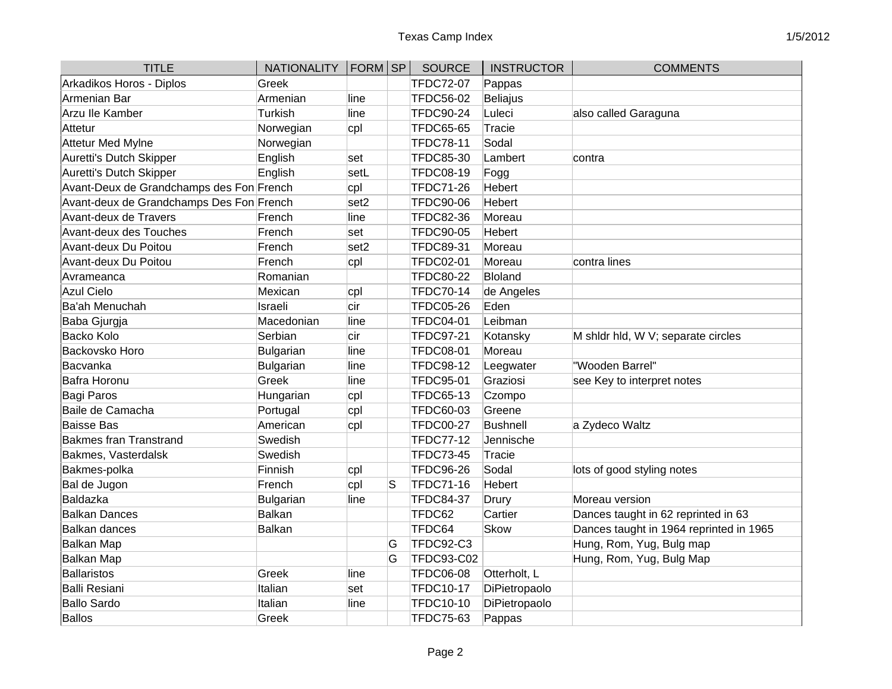| <b>TITLE</b>                             | NATIONALITY   FORM   SP |                  |   | <b>SOURCE</b>    | <b>INSTRUCTOR</b> | <b>COMMENTS</b>                         |
|------------------------------------------|-------------------------|------------------|---|------------------|-------------------|-----------------------------------------|
| Arkadikos Horos - Diplos                 | Greek                   |                  |   | <b>TFDC72-07</b> | Pappas            |                                         |
| Armenian Bar                             | Armenian                | line             |   | <b>TFDC56-02</b> | Beliajus          |                                         |
| Arzu Ile Kamber                          | Turkish                 | line             |   | <b>TFDC90-24</b> | Luleci            | also called Garaguna                    |
| Attetur                                  | Norwegian               | cpl              |   | <b>TFDC65-65</b> | Tracie            |                                         |
| <b>Attetur Med Mylne</b>                 | Norwegian               |                  |   | <b>TFDC78-11</b> | Sodal             |                                         |
| Auretti's Dutch Skipper                  | English                 | set              |   | <b>TFDC85-30</b> | Lambert           | contra                                  |
| Auretti's Dutch Skipper                  | English                 | setL             |   | <b>TFDC08-19</b> | Fogg              |                                         |
| Avant-Deux de Grandchamps des Fon French |                         | cpl              |   | <b>TFDC71-26</b> | Hebert            |                                         |
| Avant-deux de Grandchamps Des Fon French |                         | set <sub>2</sub> |   | <b>TFDC90-06</b> | Hebert            |                                         |
| Avant-deux de Travers                    | French                  | line             |   | <b>TFDC82-36</b> | Moreau            |                                         |
| Avant-deux des Touches                   | French                  | set              |   | <b>TFDC90-05</b> | Hebert            |                                         |
| Avant-deux Du Poitou                     | French                  | set <sub>2</sub> |   | <b>TFDC89-31</b> | Moreau            |                                         |
| Avant-deux Du Poitou                     | French                  | cpl              |   | <b>TFDC02-01</b> | Moreau            | contra lines                            |
| Avrameanca                               | Romanian                |                  |   | <b>TFDC80-22</b> | Bloland           |                                         |
| <b>Azul Cielo</b>                        | Mexican                 | cpl              |   | <b>TFDC70-14</b> | de Angeles        |                                         |
| Ba'ah Menuchah                           | Israeli                 | cir              |   | <b>TFDC05-26</b> | Eden              |                                         |
| Baba Gjurgja                             | Macedonian              | line             |   | <b>TFDC04-01</b> | Leibman           |                                         |
| <b>Backo Kolo</b>                        | Serbian                 | cir              |   | <b>TFDC97-21</b> | Kotansky          | M shidr hid, W V; separate circles      |
| Backovsko Horo                           | <b>Bulgarian</b>        | line             |   | <b>TFDC08-01</b> | Moreau            |                                         |
| Bacvanka                                 | Bulgarian               | line             |   | <b>TFDC98-12</b> | Leegwater         | "Wooden Barrel"                         |
| Bafra Horonu                             | Greek                   | line             |   | <b>TFDC95-01</b> | Graziosi          | see Key to interpret notes              |
| <b>Bagi Paros</b>                        | Hungarian               | cpl              |   | <b>TFDC65-13</b> | Czompo            |                                         |
| Baile de Camacha                         | Portugal                | cpl              |   | <b>TFDC60-03</b> | Greene            |                                         |
| <b>Baisse Bas</b>                        | American                | cpl              |   | <b>TFDC00-27</b> | Bushnell          | a Zydeco Waltz                          |
| <b>Bakmes fran Transtrand</b>            | Swedish                 |                  |   | <b>TFDC77-12</b> | Jennische         |                                         |
| Bakmes, Vasterdalsk                      | Swedish                 |                  |   | <b>TFDC73-45</b> | Tracie            |                                         |
| Bakmes-polka                             | Finnish                 | cpl              |   | <b>TFDC96-26</b> | Sodal             | lots of good styling notes              |
| Bal de Jugon                             | French                  | cpl              | S | TFDC71-16        | Hebert            |                                         |
| Baldazka                                 | Bulgarian               | line             |   | <b>TFDC84-37</b> | Drury             | Moreau version                          |
| <b>Balkan Dances</b>                     | <b>Balkan</b>           |                  |   | TFDC62           | Cartier           | Dances taught in 62 reprinted in 63     |
| <b>Balkan dances</b>                     | <b>Balkan</b>           |                  |   | TFDC64           | <b>Skow</b>       | Dances taught in 1964 reprinted in 1965 |
| <b>Balkan Map</b>                        |                         |                  | G | TFDC92-C3        |                   | Hung, Rom, Yug, Bulg map                |
| Balkan Map                               |                         |                  | G | TFDC93-C02       |                   | Hung, Rom, Yug, Bulg Map                |
| Ballaristos                              | Greek                   | line             |   | <b>TFDC06-08</b> | Otterholt, L      |                                         |
| Balli Resiani                            | Italian                 | set              |   | <b>TFDC10-17</b> | DiPietropaolo     |                                         |
| <b>Ballo Sardo</b>                       | Italian                 | line             |   | <b>TFDC10-10</b> | DiPietropaolo     |                                         |
| <b>Ballos</b>                            | Greek                   |                  |   | <b>TFDC75-63</b> | Pappas            |                                         |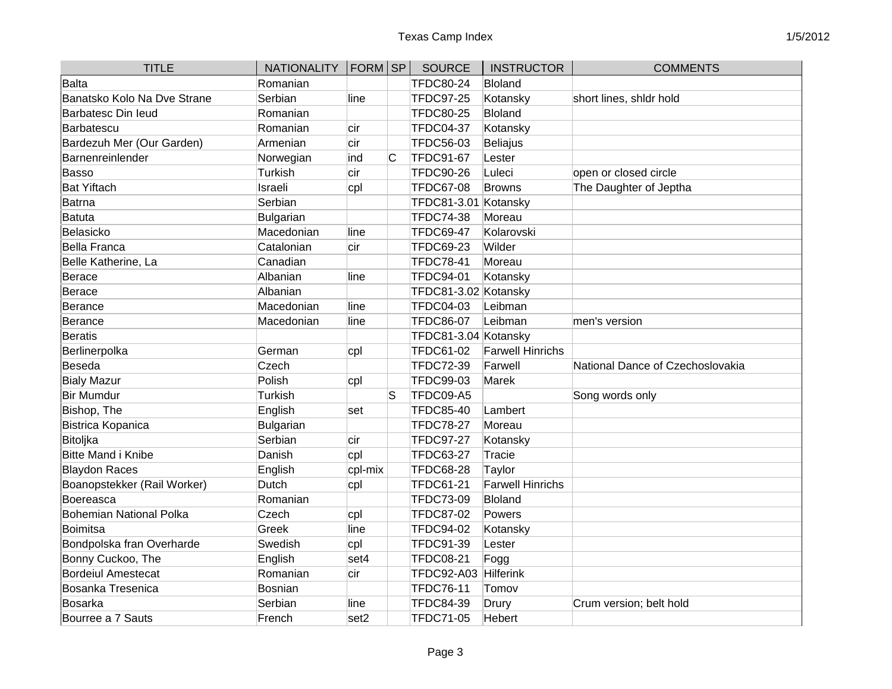| <b>TITLE</b>                | NATIONALITY   FORM SP |                  |    | <b>SOURCE</b>        | <b>INSTRUCTOR</b>       | <b>COMMENTS</b>                  |
|-----------------------------|-----------------------|------------------|----|----------------------|-------------------------|----------------------------------|
| <b>Balta</b>                | Romanian              |                  |    | <b>TFDC80-24</b>     | Bloland                 |                                  |
| Banatsko Kolo Na Dve Strane | Serbian               | line             |    | <b>TFDC97-25</b>     | Kotansky                | short lines, shldr hold          |
| Barbatesc Din leud          | Romanian              |                  |    | <b>TFDC80-25</b>     | Bloland                 |                                  |
| Barbatescu                  | Romanian              | cir              |    | <b>TFDC04-37</b>     | Kotansky                |                                  |
| Bardezuh Mer (Our Garden)   | Armenian              | cir              |    | <b>TFDC56-03</b>     | <b>Beliajus</b>         |                                  |
| Barnenreinlender            | Norwegian             | ind              | C  | <b>TFDC91-67</b>     | Lester                  |                                  |
| <b>Basso</b>                | Turkish               | cir              |    | <b>TFDC90-26</b>     | Luleci                  | open or closed circle            |
| <b>Bat Yiftach</b>          | Israeli               | cpl              |    | <b>TFDC67-08</b>     | Browns                  | The Daughter of Jeptha           |
| Batrna                      | Serbian               |                  |    | TFDC81-3.01          | Kotansky                |                                  |
| Batuta                      | Bulgarian             |                  |    | <b>TFDC74-38</b>     | Moreau                  |                                  |
| Belasicko                   | Macedonian            | line             |    | <b>TFDC69-47</b>     | Kolarovski              |                                  |
| Bella Franca                | Catalonian            | cir              |    | <b>TFDC69-23</b>     | Wilder                  |                                  |
| Belle Katherine, La         | Canadian              |                  |    | <b>TFDC78-41</b>     | Moreau                  |                                  |
| Berace                      | Albanian              | line             |    | <b>TFDC94-01</b>     | Kotansky                |                                  |
| Berace                      | Albanian              |                  |    | TFDC81-3.02 Kotansky |                         |                                  |
| Berance                     | Macedonian            | line             |    | <b>TFDC04-03</b>     | Leibman                 |                                  |
| Berance                     | Macedonian            | line             |    | <b>TFDC86-07</b>     | Leibman                 | men's version                    |
| <b>Beratis</b>              |                       |                  |    | TFDC81-3.04 Kotansky |                         |                                  |
| Berlinerpolka               | German                | cpl              |    | <b>TFDC61-02</b>     | <b>Farwell Hinrichs</b> |                                  |
| Beseda                      | Czech                 |                  |    | <b>TFDC72-39</b>     | Farwell                 | National Dance of Czechoslovakia |
| <b>Bialy Mazur</b>          | Polish                | cpl              |    | <b>TFDC99-03</b>     | <b>Marek</b>            |                                  |
| <b>Bir Mumdur</b>           | Turkish               |                  | lS | TFDC09-A5            |                         | Song words only                  |
| Bishop, The                 | English               | set              |    | <b>TFDC85-40</b>     | Lambert                 |                                  |
| Bistrica Kopanica           | <b>Bulgarian</b>      |                  |    | <b>TFDC78-27</b>     | Moreau                  |                                  |
| Bitoljka                    | Serbian               | cir              |    | <b>TFDC97-27</b>     | Kotansky                |                                  |
| Bitte Mand i Knibe          | Danish                | cpl              |    | <b>TFDC63-27</b>     | <b>Tracie</b>           |                                  |
| <b>Blaydon Races</b>        | English               | cpl-mix          |    | <b>TFDC68-28</b>     | Taylor                  |                                  |
| Boanopstekker (Rail Worker) | Dutch                 | cpl              |    | <b>TFDC61-21</b>     | <b>Farwell Hinrichs</b> |                                  |
| Boereasca                   | Romanian              |                  |    | <b>TFDC73-09</b>     | Bloland                 |                                  |
| Bohemian National Polka     | Czech                 | cpl              |    | <b>TFDC87-02</b>     | Powers                  |                                  |
| Boimitsa                    | Greek                 | line             |    | <b>TFDC94-02</b>     | Kotansky                |                                  |
| Bondpolska fran Overharde   | Swedish               | cpl              |    | <b>TFDC91-39</b>     | Lester                  |                                  |
| Bonny Cuckoo, The           | English               | set4             |    | <b>TFDC08-21</b>     | Fogg                    |                                  |
| <b>Bordeiul Amestecat</b>   | Romanian              | cir              |    | <b>TFDC92-A03</b>    | Hilferink               |                                  |
| Bosanka Tresenica           | Bosnian               |                  |    | <b>TFDC76-11</b>     | Tomov                   |                                  |
| Bosarka                     | Serbian               | line             |    | <b>TFDC84-39</b>     | Drury                   | Crum version; belt hold          |
| Bourree a 7 Sauts           | French                | set <sub>2</sub> |    | <b>TFDC71-05</b>     | Hebert                  |                                  |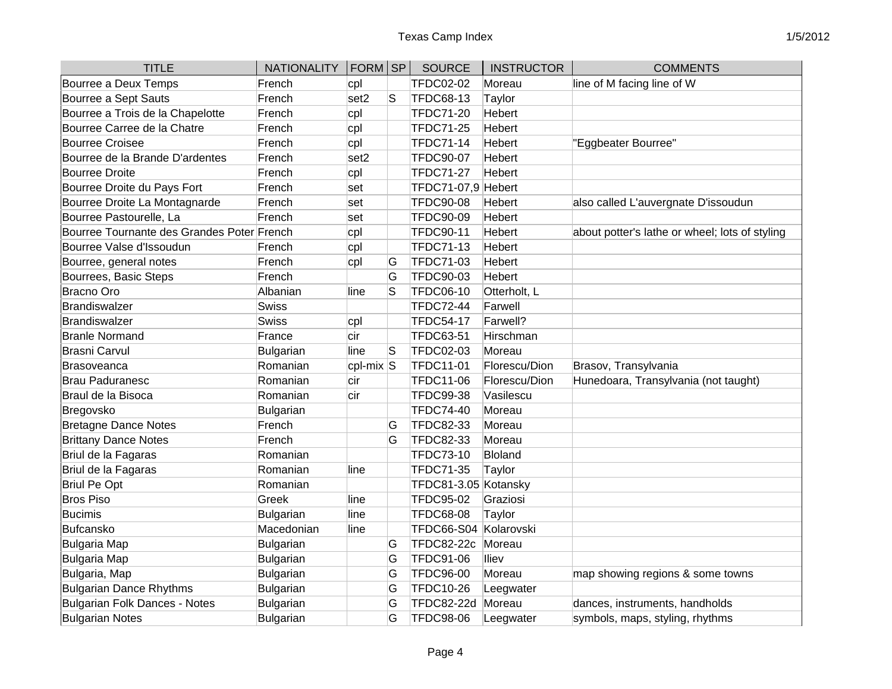| <b>TITLE</b>                               | NATIONALITY   FORM   SP |                  |    | <b>SOURCE</b>         | <b>INSTRUCTOR</b> | <b>COMMENTS</b>                                |
|--------------------------------------------|-------------------------|------------------|----|-----------------------|-------------------|------------------------------------------------|
| Bourree a Deux Temps                       | French                  | cpl              |    | <b>TFDC02-02</b>      | Moreau            | line of M facing line of W                     |
| Bourree a Sept Sauts                       | French                  | set <sub>2</sub> | S  | <b>TFDC68-13</b>      | Taylor            |                                                |
| Bourree a Trois de la Chapelotte           | French                  | cpl              |    | <b>TFDC71-20</b>      | Hebert            |                                                |
| Bourree Carree de la Chatre                | French                  | cpl              |    | <b>TFDC71-25</b>      | <b>Hebert</b>     |                                                |
| <b>Bourree Croisee</b>                     | French                  | cpl              |    | <b>TFDC71-14</b>      | <b>Hebert</b>     | "Eggbeater Bourree"                            |
| Bourree de la Brande D'ardentes            | French                  | set <sub>2</sub> |    | <b>TFDC90-07</b>      | <b>Hebert</b>     |                                                |
| <b>Bourree Droite</b>                      | French                  | cpl              |    | <b>TFDC71-27</b>      | Hebert            |                                                |
| Bourree Droite du Pays Fort                | French                  | set              |    | TFDC71-07,9 Hebert    |                   |                                                |
| Bourree Droite La Montagnarde              | French                  | set              |    | <b>TFDC90-08</b>      | <b>Hebert</b>     | also called L'auvergnate D'issoudun            |
| Bourree Pastourelle, La                    | French                  | set              |    | <b>TFDC90-09</b>      | <b>Hebert</b>     |                                                |
| Bourree Tournante des Grandes Poter French |                         | cpl              |    | <b>TFDC90-11</b>      | <b>Hebert</b>     | about potter's lathe or wheel; lots of styling |
| Bourree Valse d'Issoudun                   | French                  | cpl              |    | <b>TFDC71-13</b>      | <b>Hebert</b>     |                                                |
| Bourree, general notes                     | French                  | cpl              | G  | <b>TFDC71-03</b>      | <b>Hebert</b>     |                                                |
| Bourrees, Basic Steps                      | French                  |                  | G  | <b>TFDC90-03</b>      | Hebert            |                                                |
| <b>Bracno Oro</b>                          | Albanian                | line             | S  | <b>TFDC06-10</b>      | Otterholt, L      |                                                |
| Brandiswalzer                              | Swiss                   |                  |    | TFDC72-44             | Farwell           |                                                |
| Brandiswalzer                              | Swiss                   | cpl              |    | <b>TFDC54-17</b>      | Farwell?          |                                                |
| <b>Branle Normand</b>                      | France                  | cir              |    | <b>TFDC63-51</b>      | Hirschman         |                                                |
| <b>Brasni Carvul</b>                       | Bulgarian               | line             | lS | <b>TFDC02-03</b>      | Moreau            |                                                |
| <b>Brasoveanca</b>                         | Romanian                | $ cpl-mix S$     |    | <b>TFDC11-01</b>      | Florescu/Dion     | Brasov, Transylvania                           |
| <b>Brau Paduranesc</b>                     | Romanian                | cir              |    | <b>TFDC11-06</b>      | Florescu/Dion     | Hunedoara, Transylvania (not taught)           |
| Braul de la Bisoca                         | Romanian                | cir              |    | <b>TFDC99-38</b>      | Vasilescu         |                                                |
| Bregovsko                                  | Bulgarian               |                  |    | <b>TFDC74-40</b>      | Moreau            |                                                |
| <b>Bretagne Dance Notes</b>                | French                  |                  | G  | <b>TFDC82-33</b>      | Moreau            |                                                |
| <b>Brittany Dance Notes</b>                | French                  |                  | G  | <b>TFDC82-33</b>      | Moreau            |                                                |
| Briul de la Fagaras                        | Romanian                |                  |    | <b>TFDC73-10</b>      | Bloland           |                                                |
| Briul de la Fagaras                        | Romanian                | line             |    | <b>TFDC71-35</b>      | Taylor            |                                                |
| <b>Briul Pe Opt</b>                        | Romanian                |                  |    | TFDC81-3.05 Kotansky  |                   |                                                |
| <b>Bros Piso</b>                           | Greek                   | line             |    | <b>TFDC95-02</b>      | Graziosi          |                                                |
| <b>Bucimis</b>                             | Bulgarian               | line             |    | <b>TFDC68-08</b>      | Taylor            |                                                |
| Bufcansko                                  | Macedonian              | line             |    | TFDC66-S04 Kolarovski |                   |                                                |
| Bulgaria Map                               | Bulgarian               |                  | G  | <b>TFDC82-22c</b>     | Moreau            |                                                |
| Bulgaria Map                               | Bulgarian               |                  | G  | <b>TFDC91-06</b>      | <b>Iliev</b>      |                                                |
| Bulgaria, Map                              | Bulgarian               |                  | G  | <b>TFDC96-00</b>      | Moreau            | map showing regions & some towns               |
| <b>Bulgarian Dance Rhythms</b>             | Bulgarian               |                  | G  | <b>TFDC10-26</b>      | Leegwater         |                                                |
| Bulgarian Folk Dances - Notes              | Bulgarian               |                  | G  | <b>TFDC82-22d</b>     | Moreau            | dances, instruments, handholds                 |
| <b>Bulgarian Notes</b>                     | Bulgarian               |                  | Ġ  | <b>TFDC98-06</b>      | Leegwater         | symbols, maps, styling, rhythms                |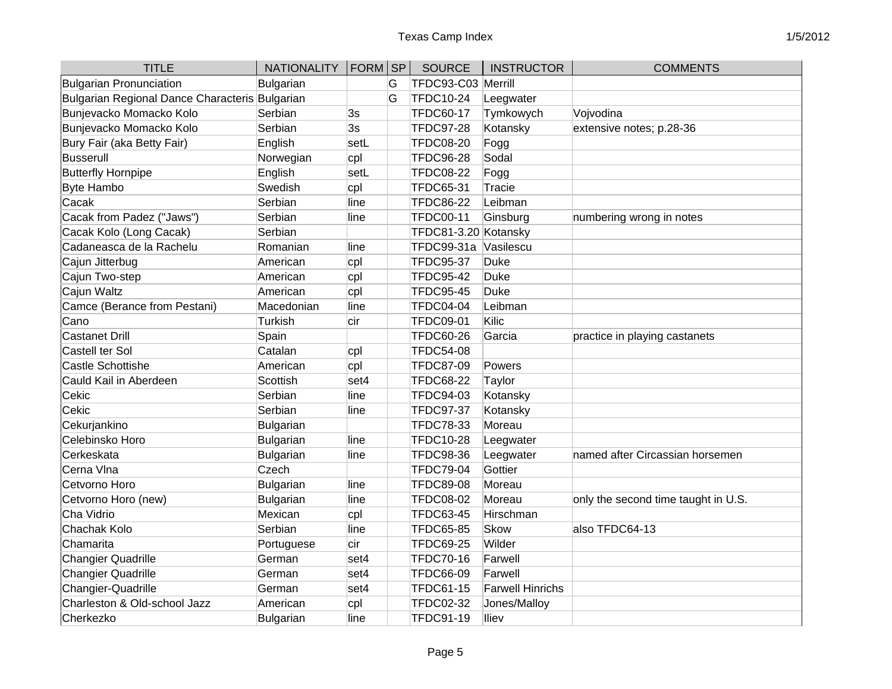| <b>TITLE</b>                                   | <b>NATIONALITY</b> | $ FORM $ SP |   | <b>SOURCE</b>        | <b>INSTRUCTOR</b>       | <b>COMMENTS</b>                     |
|------------------------------------------------|--------------------|-------------|---|----------------------|-------------------------|-------------------------------------|
| Bulgarian Pronunciation                        | <b>Bulgarian</b>   |             | G | TFDC93-C03 Merrill   |                         |                                     |
| Bulgarian Regional Dance Characteris Bulgarian |                    |             | G | <b>TFDC10-24</b>     | Leegwater               |                                     |
| Bunjevacko Momacko Kolo                        | Serbian            | 3s          |   | <b>TFDC60-17</b>     | Tymkowych               | Vojvodina                           |
| Bunjevacko Momacko Kolo                        | Serbian            | 3s          |   | <b>TFDC97-28</b>     | Kotansky                | extensive notes; p.28-36            |
| Bury Fair (aka Betty Fair)                     | English            | setL        |   | <b>TFDC08-20</b>     | Fogg                    |                                     |
| <b>Busserull</b>                               | Norwegian          | cpl         |   | <b>TFDC96-28</b>     | Sodal                   |                                     |
| <b>Butterfly Hornpipe</b>                      | English            | setL        |   | <b>TFDC08-22</b>     | Fogg                    |                                     |
| <b>Byte Hambo</b>                              | Swedish            | cpl         |   | <b>TFDC65-31</b>     | <b>Tracie</b>           |                                     |
| Cacak                                          | Serbian            | line        |   | <b>TFDC86-22</b>     | Leibman                 |                                     |
| Cacak from Padez ("Jaws")                      | Serbian            | line        |   | <b>TFDC00-11</b>     | Ginsburg                | numbering wrong in notes            |
| Cacak Kolo (Long Cacak)                        | Serbian            |             |   | TFDC81-3.20 Kotansky |                         |                                     |
| Cadaneasca de la Rachelu                       | Romanian           | line        |   | TFDC99-31a           | Vasilescu               |                                     |
| Cajun Jitterbug                                | American           | cpl         |   | <b>TFDC95-37</b>     | Duke                    |                                     |
| Cajun Two-step                                 | American           | cpl         |   | <b>TFDC95-42</b>     | <b>Duke</b>             |                                     |
| Cajun Waltz                                    | American           | cpl         |   | <b>TFDC95-45</b>     | <b>Duke</b>             |                                     |
| Camce (Berance from Pestani)                   | Macedonian         | line        |   | TFDC04-04            | Leibman                 |                                     |
| Cano                                           | Turkish            | cir         |   | <b>TFDC09-01</b>     | Kilic                   |                                     |
| <b>Castanet Drill</b>                          | Spain              |             |   | <b>TFDC60-26</b>     | Garcia                  | practice in playing castanets       |
| Castell ter Sol                                | Catalan            | cpl         |   | <b>TFDC54-08</b>     |                         |                                     |
| Castle Schottishe                              | American           | cpl         |   | <b>TFDC87-09</b>     | Powers                  |                                     |
| Cauld Kail in Aberdeen                         | Scottish           | set4        |   | <b>TFDC68-22</b>     | Taylor                  |                                     |
| Cekic                                          | Serbian            | line        |   | <b>TFDC94-03</b>     | Kotansky                |                                     |
| Cekic                                          | Serbian            | line        |   | <b>TFDC97-37</b>     | Kotansky                |                                     |
| Cekurjankino                                   | <b>Bulgarian</b>   |             |   | <b>TFDC78-33</b>     | Moreau                  |                                     |
| Celebinsko Horo                                | <b>Bulgarian</b>   | line        |   | <b>TFDC10-28</b>     | Leegwater               |                                     |
| Cerkeskata                                     | <b>Bulgarian</b>   | line        |   | <b>TFDC98-36</b>     | Leegwater               | named after Circassian horsemen     |
| Cerna VIna                                     | Czech              |             |   | <b>TFDC79-04</b>     | Gottier                 |                                     |
| Cetvorno Horo                                  | <b>Bulgarian</b>   | line        |   | <b>TFDC89-08</b>     | Moreau                  |                                     |
| Cetvorno Horo (new)                            | <b>Bulgarian</b>   | line        |   | <b>TFDC08-02</b>     | Moreau                  | only the second time taught in U.S. |
| Cha Vidrio                                     | Mexican            | cpl         |   | <b>TFDC63-45</b>     | Hirschman               |                                     |
| Chachak Kolo                                   | Serbian            | line        |   | <b>TFDC65-85</b>     | <b>Skow</b>             | also TFDC64-13                      |
| Chamarita                                      | Portuguese         | cir         |   | <b>TFDC69-25</b>     | Wilder                  |                                     |
| Changier Quadrille                             | German             | set4        |   | <b>TFDC70-16</b>     | Farwell                 |                                     |
| Changier Quadrille                             | German             | set4        |   | <b>TFDC66-09</b>     | Farwell                 |                                     |
| Changier-Quadrille                             | German             | set4        |   | <b>TFDC61-15</b>     | <b>Farwell Hinrichs</b> |                                     |
| Charleston & Old-school Jazz                   | American           | cpl         |   | <b>TFDC02-32</b>     | Jones/Malloy            |                                     |
| Cherkezko                                      | <b>Bulgarian</b>   | line        |   | <b>TFDC91-19</b>     | <b>Iliev</b>            |                                     |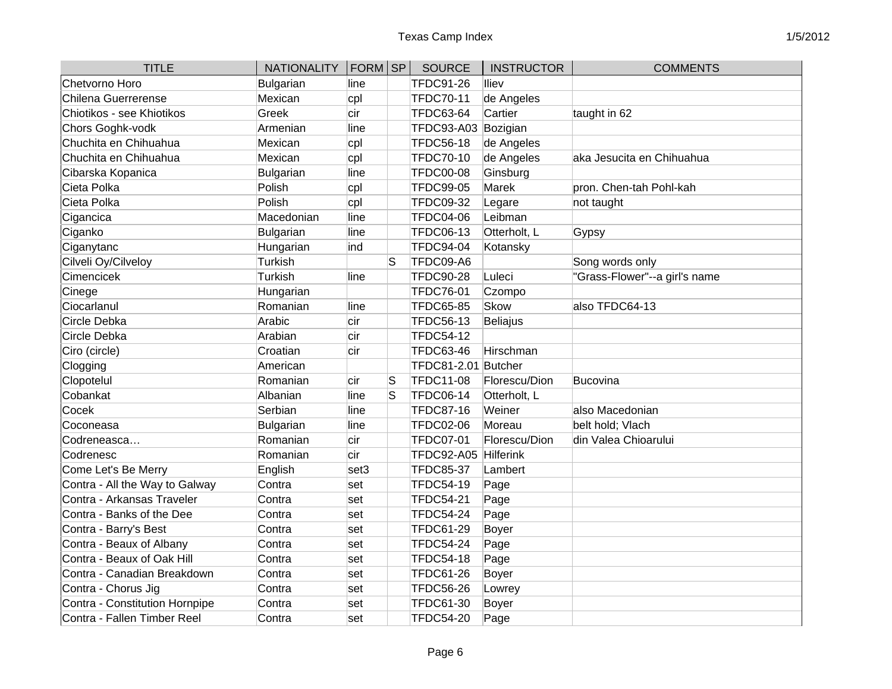| <b>TITLE</b>                   | <b>NATIONALITY</b> | $ FORM $ SP |    | <b>SOURCE</b>       | <b>INSTRUCTOR</b> | <b>COMMENTS</b>               |
|--------------------------------|--------------------|-------------|----|---------------------|-------------------|-------------------------------|
| Chetvorno Horo                 | Bulgarian          | line        |    | <b>TFDC91-26</b>    | lliev             |                               |
| <b>Chilena Guerrerense</b>     | Mexican            | cpl         |    | <b>TFDC70-11</b>    | de Angeles        |                               |
| Chiotikos - see Khiotikos      | Greek              | cir         |    | <b>TFDC63-64</b>    | Cartier           | taught in 62                  |
| Chors Goghk-vodk               | Armenian           | line        |    | <b>TFDC93-A03</b>   | Bozigian          |                               |
| Chuchita en Chihuahua          | Mexican            | cpl         |    | <b>TFDC56-18</b>    | de Angeles        |                               |
| Chuchita en Chihuahua          | Mexican            | cpl         |    | <b>TFDC70-10</b>    | de Angeles        | aka Jesucita en Chihuahua     |
| Cibarska Kopanica              | Bulgarian          | line        |    | <b>TFDC00-08</b>    | Ginsburg          |                               |
| Cieta Polka                    | Polish             | cpl         |    | <b>TFDC99-05</b>    | Marek             | pron. Chen-tah Pohl-kah       |
| Cieta Polka                    | Polish             | cpl         |    | <b>TFDC09-32</b>    | Legare            | not taught                    |
| Cigancica                      | Macedonian         | line        |    | <b>TFDC04-06</b>    | Leibman           |                               |
| Ciganko                        | Bulgarian          | line        |    | <b>TFDC06-13</b>    | Otterholt, L      | Gypsy                         |
| Ciganytanc                     | Hungarian          | ind         |    | <b>TFDC94-04</b>    | Kotansky          |                               |
| Cilveli Oy/Cilveloy            | Turkish            |             | lS | TFDC09-A6           |                   | Song words only               |
| Cimencicek                     | Turkish            | line        |    | <b>TFDC90-28</b>    | Luleci            | "Grass-Flower"--a girl's name |
| Cinege                         | Hungarian          |             |    | <b>TFDC76-01</b>    | Czompo            |                               |
| Ciocarlanul                    | Romanian           | line        |    | <b>TFDC65-85</b>    | Skow              | also TFDC64-13                |
| Circle Debka                   | Arabic             | cir         |    | <b>TFDC56-13</b>    | Beliajus          |                               |
| Circle Debka                   | Arabian            | cir         |    | <b>TFDC54-12</b>    |                   |                               |
| Ciro (circle)                  | Croatian           | cir         |    | <b>TFDC63-46</b>    | Hirschman         |                               |
| Clogging                       | American           |             |    | TFDC81-2.01 Butcher |                   |                               |
| Clopotelul                     | Romanian           | cir         | S  | <b>TFDC11-08</b>    | Florescu/Dion     | <b>Bucovina</b>               |
| Cobankat                       | Albanian           | line        | S  | <b>TFDC06-14</b>    | Otterholt, L      |                               |
| Cocek                          | Serbian            | line        |    | <b>TFDC87-16</b>    | Weiner            | also Macedonian               |
| Coconeasa                      | Bulgarian          | line        |    | <b>TFDC02-06</b>    | Moreau            | belt hold; Vlach              |
| Codreneasca                    | Romanian           | cir         |    | <b>TFDC07-01</b>    | Florescu/Dion     | din Valea Chioarului          |
| Codrenesc                      | Romanian           | cir         |    | TFDC92-A05          | Hilferink         |                               |
| Come Let's Be Merry            | English            | set3        |    | <b>TFDC85-37</b>    | Lambert           |                               |
| Contra - All the Way to Galway | Contra             | set         |    | <b>TFDC54-19</b>    | Page              |                               |
| Contra - Arkansas Traveler     | Contra             | set         |    | <b>TFDC54-21</b>    | Page              |                               |
| Contra - Banks of the Dee      | Contra             | set         |    | <b>TFDC54-24</b>    | Page              |                               |
| Contra - Barry's Best          | Contra             | set         |    | <b>TFDC61-29</b>    | <b>Boyer</b>      |                               |
| Contra - Beaux of Albany       | Contra             | set         |    | <b>TFDC54-24</b>    | Page              |                               |
| Contra - Beaux of Oak Hill     | Contra             | set         |    | <b>TFDC54-18</b>    | Page              |                               |
| Contra - Canadian Breakdown    | Contra             | set         |    | <b>TFDC61-26</b>    | Boyer             |                               |
| Contra - Chorus Jig            | Contra             | set         |    | <b>TFDC56-26</b>    | Lowrey            |                               |
| Contra - Constitution Hornpipe | Contra             | set         |    | <b>TFDC61-30</b>    | Boyer             |                               |
| Contra - Fallen Timber Reel    | Contra             | set         |    | <b>TFDC54-20</b>    | Page              |                               |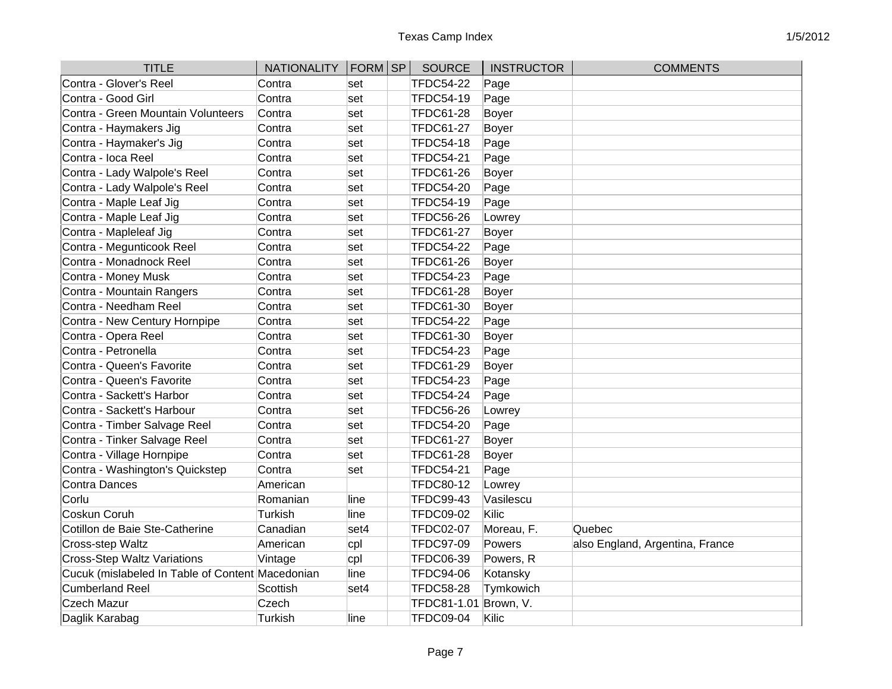| <b>TITLE</b>                                     | <b>NATIONALITY</b> | FORM SP | <b>SOURCE</b>    | <b>INSTRUCTOR</b> | <b>COMMENTS</b>                 |
|--------------------------------------------------|--------------------|---------|------------------|-------------------|---------------------------------|
| Contra - Glover's Reel                           | Contra             | set     | <b>TFDC54-22</b> | Page              |                                 |
| Contra - Good Girl                               | Contra             | set     | TFDC54-19        | Page              |                                 |
| Contra - Green Mountain Volunteers               | Contra             | set     | <b>TFDC61-28</b> | Boyer             |                                 |
| Contra - Haymakers Jig                           | Contra             | set     | <b>TFDC61-27</b> | Boyer             |                                 |
| Contra - Haymaker's Jig                          | Contra             | set     | <b>TFDC54-18</b> | Page              |                                 |
| Contra - loca Reel                               | Contra             | set     | <b>TFDC54-21</b> | Page              |                                 |
| Contra - Lady Walpole's Reel                     | Contra             | set     | <b>TFDC61-26</b> | Boyer             |                                 |
| Contra - Lady Walpole's Reel                     | Contra             | set     | <b>TFDC54-20</b> | Page              |                                 |
| Contra - Maple Leaf Jig                          | Contra             | set     | <b>TFDC54-19</b> | Page              |                                 |
| Contra - Maple Leaf Jig                          | Contra             | set     | <b>TFDC56-26</b> | Lowrey            |                                 |
| Contra - Mapleleaf Jig                           | Contra             | set     | <b>TFDC61-27</b> | Boyer             |                                 |
| Contra - Megunticook Reel                        | Contra             | set     | <b>TFDC54-22</b> | Page              |                                 |
| Contra - Monadnock Reel                          | Contra             | set     | <b>TFDC61-26</b> | Boyer             |                                 |
| Contra - Money Musk                              | Contra             | set     | <b>TFDC54-23</b> | Page              |                                 |
| Contra - Mountain Rangers                        | Contra             | set     | <b>TFDC61-28</b> | Boyer             |                                 |
| Contra - Needham Reel                            | Contra             | set     | <b>TFDC61-30</b> | Boyer             |                                 |
| Contra - New Century Hornpipe                    | Contra             | set     | <b>TFDC54-22</b> | Page              |                                 |
| Contra - Opera Reel                              | Contra             | set     | <b>TFDC61-30</b> | Boyer             |                                 |
| Contra - Petronella                              | Contra             | set     | <b>TFDC54-23</b> | Page              |                                 |
| Contra - Queen's Favorite                        | Contra             | set     | <b>TFDC61-29</b> | Boyer             |                                 |
| Contra - Queen's Favorite                        | Contra             | set     | <b>TFDC54-23</b> | Page              |                                 |
| Contra - Sackett's Harbor                        | Contra             | set     | <b>TFDC54-24</b> | Page              |                                 |
| Contra - Sackett's Harbour                       | Contra             | set     | <b>TFDC56-26</b> | Lowrey            |                                 |
| Contra - Timber Salvage Reel                     | Contra             | set     | <b>TFDC54-20</b> | Page              |                                 |
| Contra - Tinker Salvage Reel                     | Contra             | set     | <b>TFDC61-27</b> | Boyer             |                                 |
| Contra - Village Hornpipe                        | Contra             | set     | <b>TFDC61-28</b> | Boyer             |                                 |
| Contra - Washington's Quickstep                  | Contra             | set     | <b>TFDC54-21</b> | Page              |                                 |
| <b>Contra Dances</b>                             | American           |         | <b>TFDC80-12</b> | Lowrey            |                                 |
| Corlu                                            | Romanian           | lline   | <b>TFDC99-43</b> | Vasilescu         |                                 |
| Coskun Coruh                                     | Turkish            | lline   | <b>TFDC09-02</b> | Kilic             |                                 |
| Cotillon de Baie Ste-Catherine                   | Canadian           | set4    | <b>TFDC02-07</b> | Moreau, F.        | Quebec                          |
| Cross-step Waltz                                 | American           | cpl     | <b>TFDC97-09</b> | Powers            | also England, Argentina, France |
| <b>Cross-Step Waltz Variations</b>               | Vintage            | cpl     | <b>TFDC06-39</b> | Powers, R         |                                 |
| Cucuk (mislabeled In Table of Content Macedonian |                    | line    | <b>TFDC94-06</b> | Kotansky          |                                 |
| Cumberland Reel                                  | Scottish           | set4    | <b>TFDC58-28</b> | Tymkowich         |                                 |
| <b>Czech Mazur</b>                               | Czech              |         | TFDC81-1.01      | Brown, V.         |                                 |
| Daglik Karabag                                   | Turkish            | lline   | <b>TFDC09-04</b> | Kilic             |                                 |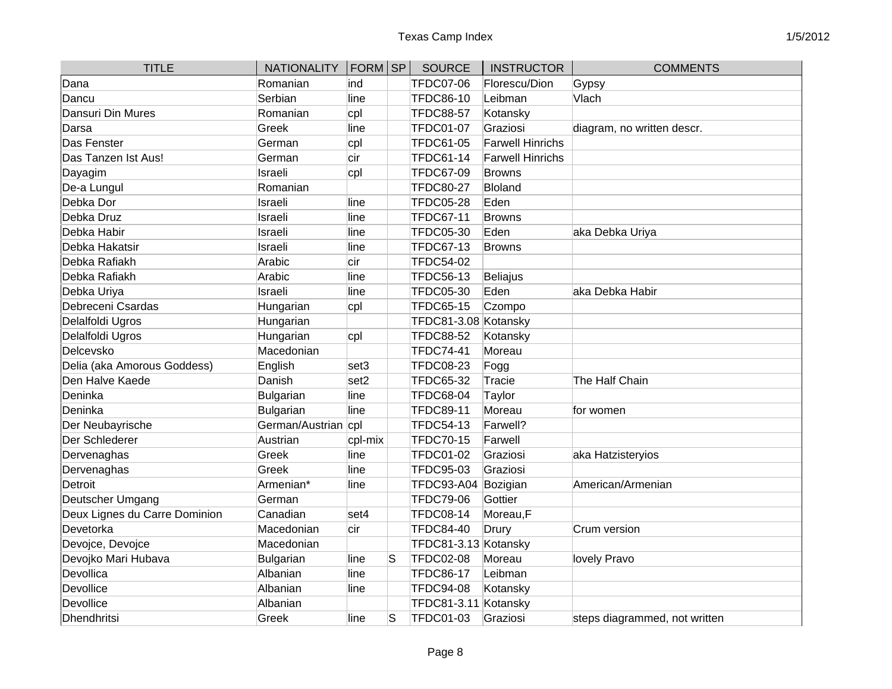| <b>TITLE</b>                  | <b>NATIONALITY</b>  | $ FORM $ SP      |   | <b>SOURCE</b>        | <b>INSTRUCTOR</b>       | <b>COMMENTS</b>               |
|-------------------------------|---------------------|------------------|---|----------------------|-------------------------|-------------------------------|
| Dana                          | Romanian            | ind              |   | <b>TFDC07-06</b>     | Florescu/Dion           | Gypsy                         |
| Dancu                         | Serbian             | line             |   | <b>TFDC86-10</b>     | Leibman                 | Vlach                         |
| Dansuri Din Mures             | Romanian            | cpl              |   | <b>TFDC88-57</b>     | Kotansky                |                               |
| Darsa                         | Greek               | line             |   | <b>TFDC01-07</b>     | Graziosi                | diagram, no written descr.    |
| Das Fenster                   | German              | cpl              |   | <b>TFDC61-05</b>     | <b>Farwell Hinrichs</b> |                               |
| Das Tanzen Ist Aus!           | German              | cir              |   | <b>TFDC61-14</b>     | <b>Farwell Hinrichs</b> |                               |
| Dayagim                       | Israeli             | cpl              |   | <b>TFDC67-09</b>     | <b>Browns</b>           |                               |
| De-a Lungul                   | Romanian            |                  |   | <b>TFDC80-27</b>     | <b>Bloland</b>          |                               |
| Debka Dor                     | Israeli             | line             |   | <b>TFDC05-28</b>     | Eden                    |                               |
| Debka Druz                    | Israeli             | line             |   | <b>TFDC67-11</b>     | <b>Browns</b>           |                               |
| Debka Habir                   | Israeli             | line             |   | <b>TFDC05-30</b>     | Eden                    | aka Debka Uriya               |
| Debka Hakatsir                | Israeli             | line             |   | <b>TFDC67-13</b>     | <b>Browns</b>           |                               |
| Debka Rafiakh                 | Arabic              | cir              |   | <b>TFDC54-02</b>     |                         |                               |
| Debka Rafiakh                 | Arabic              | line             |   | <b>TFDC56-13</b>     | <b>Beliajus</b>         |                               |
| Debka Uriya                   | Israeli             | line             |   | <b>TFDC05-30</b>     | Eden                    | aka Debka Habir               |
| Debreceni Csardas             | Hungarian           | cpl              |   | <b>TFDC65-15</b>     | Czompo                  |                               |
| Delalfoldi Ugros              | Hungarian           |                  |   | TFDC81-3.08 Kotansky |                         |                               |
| Delalfoldi Ugros              | Hungarian           | cpl              |   | <b>TFDC88-52</b>     | Kotansky                |                               |
| Delcevsko                     | Macedonian          |                  |   | <b>TFDC74-41</b>     | Moreau                  |                               |
| Delia (aka Amorous Goddess)   | English             | set3             |   | <b>TFDC08-23</b>     | Fogg                    |                               |
| Den Halve Kaede               | Danish              | set <sub>2</sub> |   | <b>TFDC65-32</b>     | Tracie                  | The Half Chain                |
| Deninka                       | Bulgarian           | line             |   | <b>TFDC68-04</b>     | Taylor                  |                               |
| Deninka                       | Bulgarian           | line             |   | <b>TFDC89-11</b>     | Moreau                  | for women                     |
| Der Neubayrische              | German/Austrian cpl |                  |   | <b>TFDC54-13</b>     | Farwell?                |                               |
| Der Schlederer                | Austrian            | cpl-mix          |   | <b>TFDC70-15</b>     | Farwell                 |                               |
| Dervenaghas                   | Greek               | line             |   | <b>TFDC01-02</b>     | Graziosi                | aka Hatzisteryios             |
| Dervenaghas                   | Greek               | line             |   | <b>TFDC95-03</b>     | Graziosi                |                               |
| Detroit                       | Armenian*           | line             |   | <b>TFDC93-A04</b>    | Bozigian                | American/Armenian             |
| Deutscher Umgang              | German              |                  |   | <b>TFDC79-06</b>     | Gottier                 |                               |
| Deux Lignes du Carre Dominion | Canadian            | set4             |   | <b>TFDC08-14</b>     | Moreau,F                |                               |
| Devetorka                     | Macedonian          | cir              |   | <b>TFDC84-40</b>     | Drury                   | Crum version                  |
| Devojce, Devojce              | Macedonian          |                  |   | TFDC81-3.13 Kotansky |                         |                               |
| Devojko Mari Hubava           | Bulgarian           | line             | S | <b>TFDC02-08</b>     | Moreau                  | lovely Pravo                  |
| Devollica                     | Albanian            | line             |   | <b>TFDC86-17</b>     | Leibman                 |                               |
| Devollice                     | Albanian            | line             |   | <b>TFDC94-08</b>     | Kotansky                |                               |
| Devollice                     | Albanian            |                  |   | TFDC81-3.11 Kotansky |                         |                               |
| Dhendhritsi                   | Greek               | line             | S | <b>TFDC01-03</b>     | Graziosi                | steps diagrammed, not written |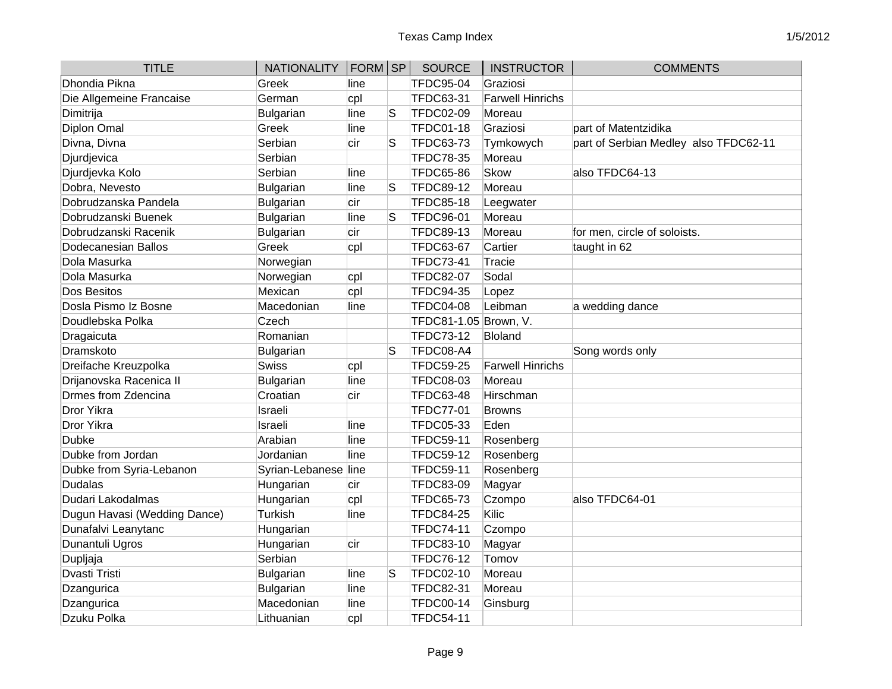| <b>TITLE</b>                 | <b>NATIONALITY</b>   | FORM SP |    | <b>SOURCE</b>         | <b>INSTRUCTOR</b>       | <b>COMMENTS</b>                       |
|------------------------------|----------------------|---------|----|-----------------------|-------------------------|---------------------------------------|
| Dhondia Pikna                | Greek                | line    |    | <b>TFDC95-04</b>      | Graziosi                |                                       |
| Die Allgemeine Francaise     | German               | cpl     |    | <b>TFDC63-31</b>      | <b>Farwell Hinrichs</b> |                                       |
| Dimitrija                    | <b>Bulgarian</b>     | line    | lS | <b>TFDC02-09</b>      | Moreau                  |                                       |
| Diplon Omal                  | Greek                | line    |    | <b>TFDC01-18</b>      | Graziosi                | part of Matentzidika                  |
| Divna, Divna                 | Serbian              | cir     | S  | <b>TFDC63-73</b>      | Tymkowych               | part of Serbian Medley also TFDC62-11 |
| Djurdjevica                  | Serbian              |         |    | <b>TFDC78-35</b>      | Moreau                  |                                       |
| Djurdjevka Kolo              | Serbian              | line    |    | <b>TFDC65-86</b>      | Skow                    | also TFDC64-13                        |
| Dobra, Nevesto               | Bulgarian            | line    | S  | <b>TFDC89-12</b>      | Moreau                  |                                       |
| Dobrudzanska Pandela         | <b>Bulgarian</b>     | cir     |    | <b>TFDC85-18</b>      | Leegwater               |                                       |
| Dobrudzanski Buenek          | <b>Bulgarian</b>     | line    | S  | <b>TFDC96-01</b>      | Moreau                  |                                       |
| Dobrudzanski Racenik         | <b>Bulgarian</b>     | cir     |    | <b>TFDC89-13</b>      | Moreau                  | for men, circle of soloists.          |
| Dodecanesian Ballos          | Greek                | cpl     |    | <b>TFDC63-67</b>      | Cartier                 | taught in 62                          |
| Dola Masurka                 | Norwegian            |         |    | <b>TFDC73-41</b>      | <b>Tracie</b>           |                                       |
| Dola Masurka                 | Norwegian            | cpl     |    | <b>TFDC82-07</b>      | Sodal                   |                                       |
| Dos Besitos                  | Mexican              | cpl     |    | <b>TFDC94-35</b>      | Lopez                   |                                       |
| Dosla Pismo Iz Bosne         | Macedonian           | line    |    | <b>TFDC04-08</b>      | Leibman                 | a wedding dance                       |
| Doudlebska Polka             | Czech                |         |    | TFDC81-1.05 Brown, V. |                         |                                       |
| Dragaicuta                   | Romanian             |         |    | <b>TFDC73-12</b>      | Bloland                 |                                       |
| Dramskoto                    | Bulgarian            |         | S  | TFDC08-A4             |                         | Song words only                       |
| Dreifache Kreuzpolka         | Swiss                | cpl     |    | <b>TFDC59-25</b>      | <b>Farwell Hinrichs</b> |                                       |
| Drijanovska Racenica II      | <b>Bulgarian</b>     | line    |    | <b>TFDC08-03</b>      | Moreau                  |                                       |
| Drmes from Zdencina          | Croatian             | cir     |    | <b>TFDC63-48</b>      | Hirschman               |                                       |
| Dror Yikra                   | Israeli              |         |    | <b>TFDC77-01</b>      | <b>Browns</b>           |                                       |
| Dror Yikra                   | Israeli              | line    |    | <b>TFDC05-33</b>      | Eden                    |                                       |
| <b>Dubke</b>                 | Arabian              | line    |    | <b>TFDC59-11</b>      | Rosenberg               |                                       |
| Dubke from Jordan            | Jordanian            | line    |    | <b>TFDC59-12</b>      | Rosenberg               |                                       |
| Dubke from Syria-Lebanon     | Syrian-Lebanese line |         |    | <b>TFDC59-11</b>      | Rosenberg               |                                       |
| <b>Dudalas</b>               | Hungarian            | cir     |    | <b>TFDC83-09</b>      | Magyar                  |                                       |
| Dudari Lakodalmas            | Hungarian            | cpl     |    | <b>TFDC65-73</b>      | Czompo                  | also TFDC64-01                        |
| Dugun Havasi (Wedding Dance) | Turkish              | lline   |    | <b>TFDC84-25</b>      | Kilic                   |                                       |
| Dunafalvi Leanytanc          | Hungarian            |         |    | <b>TFDC74-11</b>      | Czompo                  |                                       |
| Dunantuli Ugros              | Hungarian            | cir     |    | <b>TFDC83-10</b>      | Magyar                  |                                       |
| Dupljaja                     | Serbian              |         |    | <b>TFDC76-12</b>      | Tomov                   |                                       |
| <b>Dvasti Tristi</b>         | Bulgarian            | lline   | S  | <b>TFDC02-10</b>      | Moreau                  |                                       |
| Dzangurica                   | <b>Bulgarian</b>     | line    |    | <b>TFDC82-31</b>      | Moreau                  |                                       |
| Dzangurica                   | Macedonian           | line    |    | <b>TFDC00-14</b>      | Ginsburg                |                                       |
| Dzuku Polka                  | Lithuanian           | cpl     |    | <b>TFDC54-11</b>      |                         |                                       |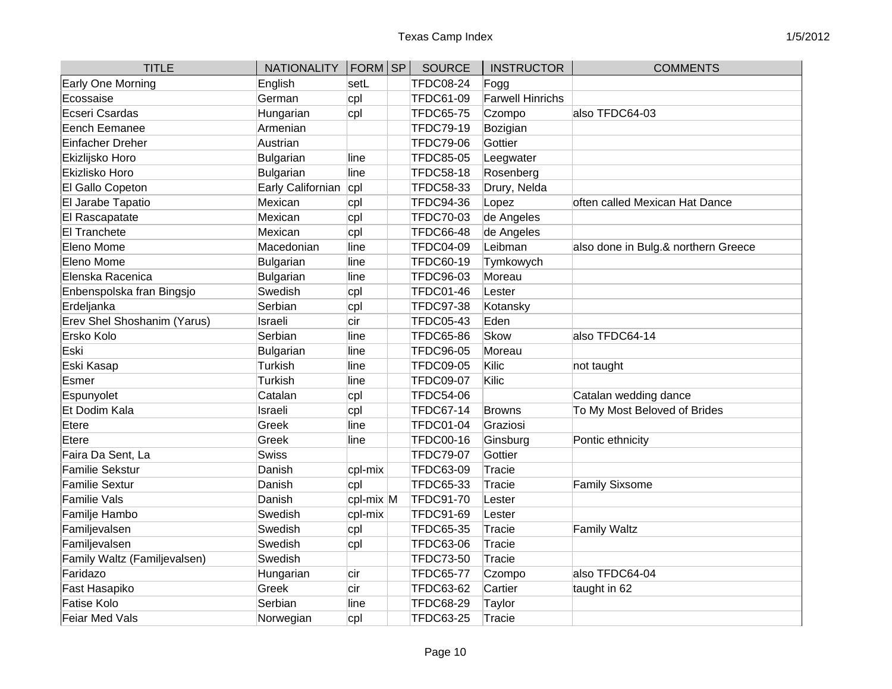| <b>TITLE</b>                 | NATIONALITY   FORM   SP |           | <b>SOURCE</b>    | <b>INSTRUCTOR</b>       | <b>COMMENTS</b>                     |
|------------------------------|-------------------------|-----------|------------------|-------------------------|-------------------------------------|
| Early One Morning            | English                 | setL      | <b>TFDC08-24</b> | Fogg                    |                                     |
| Ecossaise                    | German                  | cpl       | <b>TFDC61-09</b> | <b>Farwell Hinrichs</b> |                                     |
| Ecseri Csardas               | Hungarian               | cpl       | <b>TFDC65-75</b> | Czompo                  | also TFDC64-03                      |
| Eench Eemanee                | Armenian                |           | <b>TFDC79-19</b> | Bozigian                |                                     |
| Einfacher Dreher             | Austrian                |           | <b>TFDC79-06</b> | Gottier                 |                                     |
| Ekizlijsko Horo              | <b>Bulgarian</b>        | line      | <b>TFDC85-05</b> | Leegwater               |                                     |
| Ekizlisko Horo               | <b>Bulgarian</b>        | line      | <b>TFDC58-18</b> | Rosenberg               |                                     |
| El Gallo Copeton             | Early Californian cpl   |           | <b>TFDC58-33</b> | Drury, Nelda            |                                     |
| El Jarabe Tapatio            | Mexican                 | cpl       | <b>TFDC94-36</b> | Lopez                   | often called Mexican Hat Dance      |
| El Rascapatate               | Mexican                 | cpl       | <b>TFDC70-03</b> | de Angeles              |                                     |
| <b>El Tranchete</b>          | Mexican                 | cpl       | <b>TFDC66-48</b> | de Angeles              |                                     |
| Eleno Mome                   | Macedonian              | line      | <b>TFDC04-09</b> | Leibman                 | also done in Bulg.& northern Greece |
| Eleno Mome                   | Bulgarian               | line      | <b>TFDC60-19</b> | Tymkowych               |                                     |
| Elenska Racenica             | Bulgarian               | line      | <b>TFDC96-03</b> | Moreau                  |                                     |
| Enbenspolska fran Bingsjo    | Swedish                 | cpl       | <b>TFDC01-46</b> | Lester                  |                                     |
| Erdeljanka                   | Serbian                 | cpl       | <b>TFDC97-38</b> | Kotansky                |                                     |
| Erev Shel Shoshanim (Yarus)  | Israeli                 | cir       | <b>TFDC05-43</b> | Eden                    |                                     |
| Ersko Kolo                   | Serbian                 | line      | <b>TFDC65-86</b> | <b>Skow</b>             | also TFDC64-14                      |
| Eski                         | Bulgarian               | line      | <b>TFDC96-05</b> | Moreau                  |                                     |
| Eski Kasap                   | Turkish                 | line      | <b>TFDC09-05</b> | Kilic                   | not taught                          |
| Esmer                        | Turkish                 | line      | <b>TFDC09-07</b> | Kilic                   |                                     |
| Espunyolet                   | Catalan                 | cpl       | <b>TFDC54-06</b> |                         | Catalan wedding dance               |
| Et Dodim Kala                | Israeli                 | cpl       | <b>TFDC67-14</b> | <b>Browns</b>           | To My Most Beloved of Brides        |
| Etere                        | Greek                   | line      | <b>TFDC01-04</b> | Graziosi                |                                     |
| Etere                        | Greek                   | line      | <b>TFDC00-16</b> | Ginsburg                | Pontic ethnicity                    |
| Faira Da Sent, La            | Swiss                   |           | <b>TFDC79-07</b> | Gottier                 |                                     |
| <b>Familie Sekstur</b>       | Danish                  | cpl-mix   | TFDC63-09        | Tracie                  |                                     |
| <b>Familie Sextur</b>        | Danish                  | cpl       | <b>TFDC65-33</b> | Tracie                  | <b>Family Sixsome</b>               |
| <b>Familie Vals</b>          | Danish                  | cpl-mix M | <b>TFDC91-70</b> | Lester                  |                                     |
| Familje Hambo                | Swedish                 | cpl-mix   | <b>TFDC91-69</b> | Lester                  |                                     |
| Familjevalsen                | Swedish                 | cpl       | <b>TFDC65-35</b> | <b>Tracie</b>           | <b>Family Waltz</b>                 |
| Familjevalsen                | Swedish                 | cpl       | <b>TFDC63-06</b> | <b>Tracie</b>           |                                     |
| Family Waltz (Familjevalsen) | Swedish                 |           | <b>TFDC73-50</b> | Tracie                  |                                     |
| Faridazo                     | Hungarian               | cir       | <b>TFDC65-77</b> | Czompo                  | also TFDC64-04                      |
| Fast Hasapiko                | Greek                   | cir       | <b>TFDC63-62</b> | Cartier                 | taught in 62                        |
| <b>Fatise Kolo</b>           | Serbian                 | line      | <b>TFDC68-29</b> | <b>Taylor</b>           |                                     |
| <b>Feiar Med Vals</b>        | Norwegian               | cpl       | <b>TFDC63-25</b> | Tracie                  |                                     |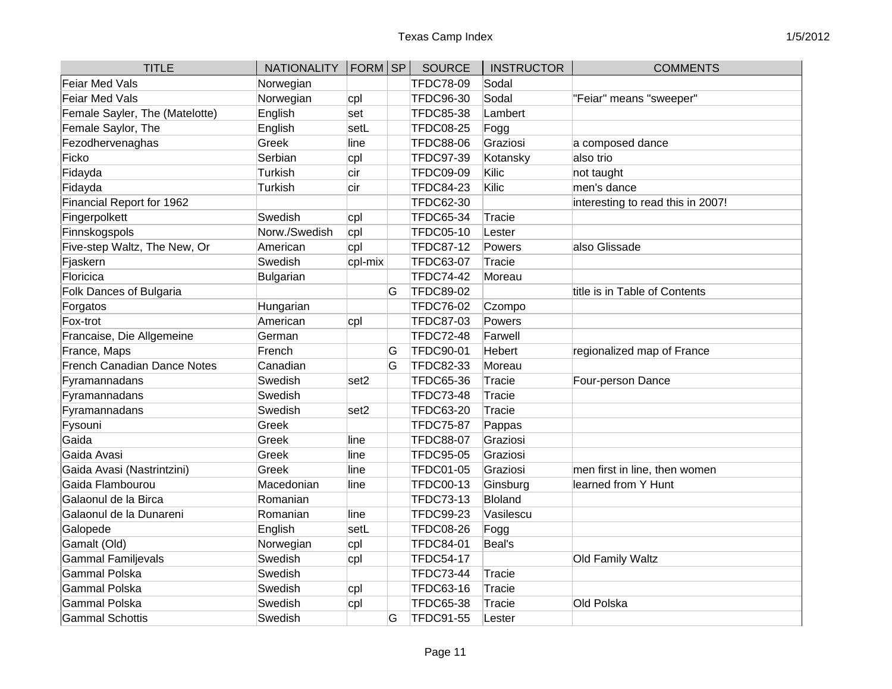| <b>TITLE</b>                       | <b>NATIONALITY</b> | FORM SP          |   | <b>SOURCE</b>    | <b>INSTRUCTOR</b> | <b>COMMENTS</b>                   |
|------------------------------------|--------------------|------------------|---|------------------|-------------------|-----------------------------------|
| <b>Feiar Med Vals</b>              | Norwegian          |                  |   | <b>TFDC78-09</b> | Sodal             |                                   |
| Feiar Med Vals                     | Norwegian          | cpl              |   | <b>TFDC96-30</b> | Sodal             | "Feiar" means "sweeper"           |
| Female Sayler, The (Matelotte)     | English            | set              |   | <b>TFDC85-38</b> | Lambert           |                                   |
| Female Saylor, The                 | English            | setL             |   | <b>TFDC08-25</b> | Fogg              |                                   |
| Fezodhervenaghas                   | Greek              | line             |   | <b>TFDC88-06</b> | Graziosi          | a composed dance                  |
| Ficko                              | Serbian            | cpl              |   | <b>TFDC97-39</b> | Kotansky          | also trio                         |
| Fidayda                            | Turkish            | cir              |   | <b>TFDC09-09</b> | Kilic             | not taught                        |
| Fidayda                            | Turkish            | cir              |   | <b>TFDC84-23</b> | Kilic             | men's dance                       |
| Financial Report for 1962          |                    |                  |   | <b>TFDC62-30</b> |                   | interesting to read this in 2007! |
| Fingerpolkett                      | Swedish            | cpl              |   | <b>TFDC65-34</b> | Tracie            |                                   |
| Finnskogspols                      | Norw./Swedish      | cpl              |   | <b>TFDC05-10</b> | Lester            |                                   |
| Five-step Waltz, The New, Or       | American           | cpl              |   | <b>TFDC87-12</b> | Powers            | also Glissade                     |
| Fjaskern                           | Swedish            | cpl-mix          |   | <b>TFDC63-07</b> | <b>Tracie</b>     |                                   |
| Floricica                          | <b>Bulgarian</b>   |                  |   | <b>TFDC74-42</b> | Moreau            |                                   |
| Folk Dances of Bulgaria            |                    |                  | G | <b>TFDC89-02</b> |                   | title is in Table of Contents     |
| Forgatos                           | Hungarian          |                  |   | <b>TFDC76-02</b> | Czompo            |                                   |
| Fox-trot                           | American           | cpl              |   | <b>TFDC87-03</b> | Powers            |                                   |
| Francaise, Die Allgemeine          | German             |                  |   | <b>TFDC72-48</b> | Farwell           |                                   |
| France, Maps                       | French             |                  | G | <b>TFDC90-01</b> | Hebert            | regionalized map of France        |
| <b>French Canadian Dance Notes</b> | Canadian           |                  | G | TFDC82-33        | Moreau            |                                   |
| Fyramannadans                      | Swedish            | set <sub>2</sub> |   | <b>TFDC65-36</b> | <b>Tracie</b>     | Four-person Dance                 |
| Fyramannadans                      | Swedish            |                  |   | <b>TFDC73-48</b> | <b>Tracie</b>     |                                   |
| Fyramannadans                      | Swedish            | set <sub>2</sub> |   | <b>TFDC63-20</b> | <b>Tracie</b>     |                                   |
| Fysouni                            | Greek              |                  |   | <b>TFDC75-87</b> | Pappas            |                                   |
| Gaida                              | Greek              | line             |   | <b>TFDC88-07</b> | Graziosi          |                                   |
| Gaida Avasi                        | Greek              | line             |   | <b>TFDC95-05</b> | Graziosi          |                                   |
| Gaida Avasi (Nastrintzini)         | Greek              | line             |   | <b>TFDC01-05</b> | Graziosi          | men first in line, then women     |
| Gaida Flambourou                   | Macedonian         | line             |   | <b>TFDC00-13</b> | Ginsburg          | learned from Y Hunt               |
| Galaonul de la Birca               | Romanian           |                  |   | <b>TFDC73-13</b> | <b>Bloland</b>    |                                   |
| Galaonul de la Dunareni            | Romanian           | line             |   | <b>TFDC99-23</b> | Vasilescu         |                                   |
| Galopede                           | English            | setL             |   | <b>TFDC08-26</b> | Fogg              |                                   |
| Gamalt (Old)                       | Norwegian          | cpl              |   | <b>TFDC84-01</b> | Beal's            |                                   |
| <b>Gammal Familjevals</b>          | Swedish            | cpl              |   | <b>TFDC54-17</b> |                   | Old Family Waltz                  |
| Gammal Polska                      | Swedish            |                  |   | <b>TFDC73-44</b> | Tracie            |                                   |
| Gammal Polska                      | Swedish            | cpl              |   | <b>TFDC63-16</b> | <b>Tracie</b>     |                                   |
| Gammal Polska                      | Swedish            | cpl              |   | <b>TFDC65-38</b> | <b>Tracie</b>     | Old Polska                        |
| <b>Gammal Schottis</b>             | Swedish            |                  | G | TFDC91-55        | Lester            |                                   |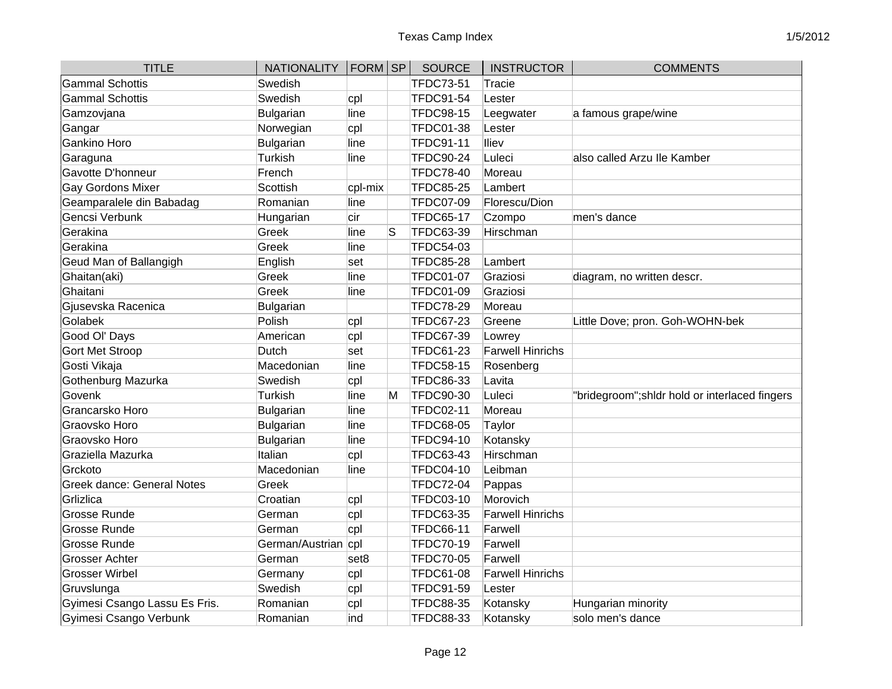| <b>TITLE</b>                      | NATIONALITY   FORM   SP |                  |   | <b>SOURCE</b>    | <b>INSTRUCTOR</b>       | <b>COMMENTS</b>                                |
|-----------------------------------|-------------------------|------------------|---|------------------|-------------------------|------------------------------------------------|
| <b>Gammal Schottis</b>            | Swedish                 |                  |   | <b>TFDC73-51</b> | Tracie                  |                                                |
| <b>Gammal Schottis</b>            | Swedish                 | cpl              |   | TFDC91-54        | Lester                  |                                                |
| Gamzovjana                        | Bulgarian               | line             |   | <b>TFDC98-15</b> | Leegwater               | a famous grape/wine                            |
| Gangar                            | Norwegian               | cpl              |   | <b>TFDC01-38</b> | Lester                  |                                                |
| <b>Gankino Horo</b>               | Bulgarian               | line             |   | <b>TFDC91-11</b> | lliev                   |                                                |
| Garaguna                          | Turkish                 | line             |   | <b>TFDC90-24</b> | Luleci                  | also called Arzu Ile Kamber                    |
| Gavotte D'honneur                 | French                  |                  |   | <b>TFDC78-40</b> | Moreau                  |                                                |
| <b>Gay Gordons Mixer</b>          | Scottish                | cpl-mix          |   | <b>TFDC85-25</b> | Lambert                 |                                                |
| Geamparalele din Babadag          | Romanian                | line             |   | <b>TFDC07-09</b> | Florescu/Dion           |                                                |
| Gencsi Verbunk                    | Hungarian               | cir              |   | <b>TFDC65-17</b> | Czompo                  | men's dance                                    |
| Gerakina                          | Greek                   | line             | S | TFDC63-39        | Hirschman               |                                                |
| Gerakina                          | Greek                   | line             |   | TFDC54-03        |                         |                                                |
| Geud Man of Ballangigh            | English                 | set              |   | <b>TFDC85-28</b> | Lambert                 |                                                |
| Ghaitan(aki)                      | Greek                   | line             |   | <b>TFDC01-07</b> | Graziosi                | diagram, no written descr.                     |
| Ghaitani                          | Greek                   | line             |   | <b>TFDC01-09</b> | Graziosi                |                                                |
| Gjusevska Racenica                | Bulgarian               |                  |   | <b>TFDC78-29</b> | Moreau                  |                                                |
| Golabek                           | Polish                  | cpl              |   | <b>TFDC67-23</b> | Greene                  | Little Dove; pron. Goh-WOHN-bek                |
| Good OI' Days                     | American                | cpl              |   | TFDC67-39        | Lowrey                  |                                                |
| <b>Gort Met Stroop</b>            | Dutch                   | set              |   | <b>TFDC61-23</b> | <b>Farwell Hinrichs</b> |                                                |
| Gosti Vikaja                      | Macedonian              | line             |   | <b>TFDC58-15</b> | Rosenberg               |                                                |
| Gothenburg Mazurka                | Swedish                 | cpl              |   | <b>TFDC86-33</b> | Lavita                  |                                                |
| Govenk                            | Turkish                 | line             | M | <b>TFDC90-30</b> | Luleci                  | "bridegroom"; shidr hold or interlaced fingers |
| Grancarsko Horo                   | Bulgarian               | line             |   | <b>TFDC02-11</b> | Moreau                  |                                                |
| Graovsko Horo                     | Bulgarian               | line             |   | <b>TFDC68-05</b> | Taylor                  |                                                |
| Graovsko Horo                     | Bulgarian               | line             |   | <b>TFDC94-10</b> | Kotansky                |                                                |
| Graziella Mazurka                 | Italian                 | cpl              |   | <b>TFDC63-43</b> | Hirschman               |                                                |
| Grckoto                           | Macedonian              | line             |   | <b>TFDC04-10</b> | Leibman                 |                                                |
| <b>Greek dance: General Notes</b> | Greek                   |                  |   | <b>TFDC72-04</b> | Pappas                  |                                                |
| Grlizlica                         | Croatian                | cpl              |   | <b>TFDC03-10</b> | Morovich                |                                                |
| <b>Grosse Runde</b>               | German                  | cpl              |   | <b>TFDC63-35</b> | <b>Farwell Hinrichs</b> |                                                |
| <b>Grosse Runde</b>               | German                  | cpl              |   | <b>TFDC66-11</b> | Farwell                 |                                                |
| <b>Grosse Runde</b>               | German/Austrian cpl     |                  |   | <b>TFDC70-19</b> | Farwell                 |                                                |
| <b>Grosser Achter</b>             | German                  | set <sub>8</sub> |   | <b>TFDC70-05</b> | Farwell                 |                                                |
| <b>Grosser Wirbel</b>             | Germany                 | cpl              |   | <b>TFDC61-08</b> | <b>Farwell Hinrichs</b> |                                                |
| Gruvslunga                        | Swedish                 | cpl              |   | TFDC91-59        | Lester                  |                                                |
| Gyimesi Csango Lassu Es Fris.     | Romanian                | cpl              |   | <b>TFDC88-35</b> | Kotansky                | Hungarian minority                             |
| Gyimesi Csango Verbunk            | Romanian                | ind              |   | TFDC88-33        | Kotansky                | solo men's dance                               |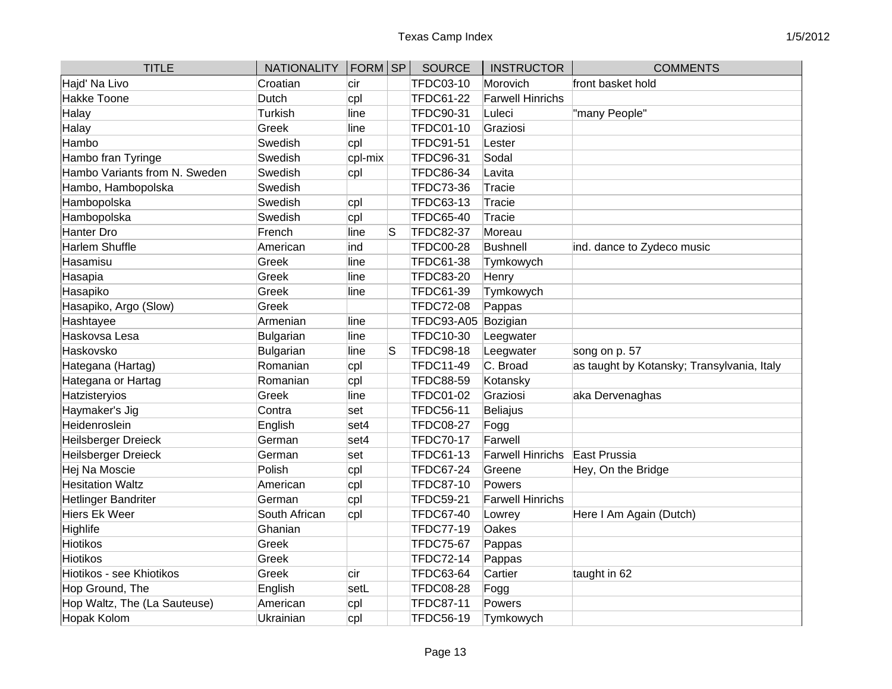| <b>TITLE</b>                  | <b>NATIONALITY</b> | $ FORM $ SP |    | <b>SOURCE</b>     | <b>INSTRUCTOR</b>       | <b>COMMENTS</b>                            |
|-------------------------------|--------------------|-------------|----|-------------------|-------------------------|--------------------------------------------|
| Hajd' Na Livo                 | Croatian           | cir         |    | <b>TFDC03-10</b>  | Morovich                | front basket hold                          |
| <b>Hakke Toone</b>            | Dutch              | cpl         |    | <b>TFDC61-22</b>  | <b>Farwell Hinrichs</b> |                                            |
| Halay                         | Turkish            | line        |    | <b>TFDC90-31</b>  | Luleci                  | "many People"                              |
| Halay                         | Greek              | line        |    | <b>TFDC01-10</b>  | Graziosi                |                                            |
| Hambo                         | Swedish            | cpl         |    | <b>TFDC91-51</b>  | Lester                  |                                            |
| Hambo fran Tyringe            | Swedish            | cpl-mix     |    | <b>TFDC96-31</b>  | Sodal                   |                                            |
| Hambo Variants from N. Sweden | Swedish            | cpl         |    | <b>TFDC86-34</b>  | Lavita                  |                                            |
| Hambo, Hambopolska            | Swedish            |             |    | <b>TFDC73-36</b>  | Tracie                  |                                            |
| Hambopolska                   | Swedish            | cpl         |    | <b>TFDC63-13</b>  | Tracie                  |                                            |
| Hambopolska                   | Swedish            | cpl         |    | <b>TFDC65-40</b>  | Tracie                  |                                            |
| Hanter Dro                    | French             | line        | ls | <b>TFDC82-37</b>  | Moreau                  |                                            |
| Harlem Shuffle                | American           | ind         |    | <b>TFDC00-28</b>  | Bushnell                | ind. dance to Zydeco music                 |
| Hasamisu                      | Greek              | line        |    | <b>TFDC61-38</b>  | Tymkowych               |                                            |
| Hasapia                       | Greek              | line        |    | <b>TFDC83-20</b>  | Henry                   |                                            |
| Hasapiko                      | Greek              | line        |    | <b>TFDC61-39</b>  | Tymkowych               |                                            |
| Hasapiko, Argo (Slow)         | Greek              |             |    | <b>TFDC72-08</b>  | Pappas                  |                                            |
| Hashtayee                     | Armenian           | lline       |    | <b>TFDC93-A05</b> | Bozigian                |                                            |
| Haskovsa Lesa                 | Bulgarian          | line        |    | <b>TFDC10-30</b>  | Leegwater               |                                            |
| Haskovsko                     | <b>Bulgarian</b>   | line        | lS | <b>TFDC98-18</b>  | Leegwater               | song on p. 57                              |
| Hategana (Hartag)             | Romanian           | cpl         |    | <b>TFDC11-49</b>  | C. Broad                | as taught by Kotansky; Transylvania, Italy |
| Hategana or Hartag            | Romanian           | cpl         |    | <b>TFDC88-59</b>  | Kotansky                |                                            |
| Hatzisteryios                 | Greek              | line        |    | <b>TFDC01-02</b>  | Graziosi                | aka Dervenaghas                            |
| Haymaker's Jig                | Contra             | set         |    | <b>TFDC56-11</b>  | <b>Beliajus</b>         |                                            |
| Heidenroslein                 | English            | set4        |    | <b>TFDC08-27</b>  | Fogg                    |                                            |
| Heilsberger Dreieck           | German             | set4        |    | <b>TFDC70-17</b>  | Farwell                 |                                            |
| Heilsberger Dreieck           | German             | set         |    | <b>TFDC61-13</b>  | <b>Farwell Hinrichs</b> | East Prussia                               |
| Hej Na Moscie                 | Polish             | cpl         |    | <b>TFDC67-24</b>  | Greene                  | Hey, On the Bridge                         |
| <b>Hesitation Waltz</b>       | American           | cpl         |    | <b>TFDC87-10</b>  | Powers                  |                                            |
| <b>Hetlinger Bandriter</b>    | German             | cpl         |    | <b>TFDC59-21</b>  | <b>Farwell Hinrichs</b> |                                            |
| Hiers Ek Weer                 | South African      | cpl         |    | <b>TFDC67-40</b>  | Lowrey                  | Here I Am Again (Dutch)                    |
| Highlife                      | Ghanian            |             |    | <b>TFDC77-19</b>  | Oakes                   |                                            |
| <b>Hiotikos</b>               | Greek              |             |    | <b>TFDC75-67</b>  | Pappas                  |                                            |
| <b>Hiotikos</b>               | Greek              |             |    | <b>TFDC72-14</b>  | Pappas                  |                                            |
| Hiotikos - see Khiotikos      | Greek              | cir         |    | <b>TFDC63-64</b>  | Cartier                 | taught in 62                               |
| Hop Ground, The               | English            | setL        |    | <b>TFDC08-28</b>  | Fogg                    |                                            |
| Hop Waltz, The (La Sauteuse)  | American           | cpl         |    | <b>TFDC87-11</b>  | Powers                  |                                            |
| Hopak Kolom                   | Ukrainian          | cpl         |    | <b>TFDC56-19</b>  | Tymkowych               |                                            |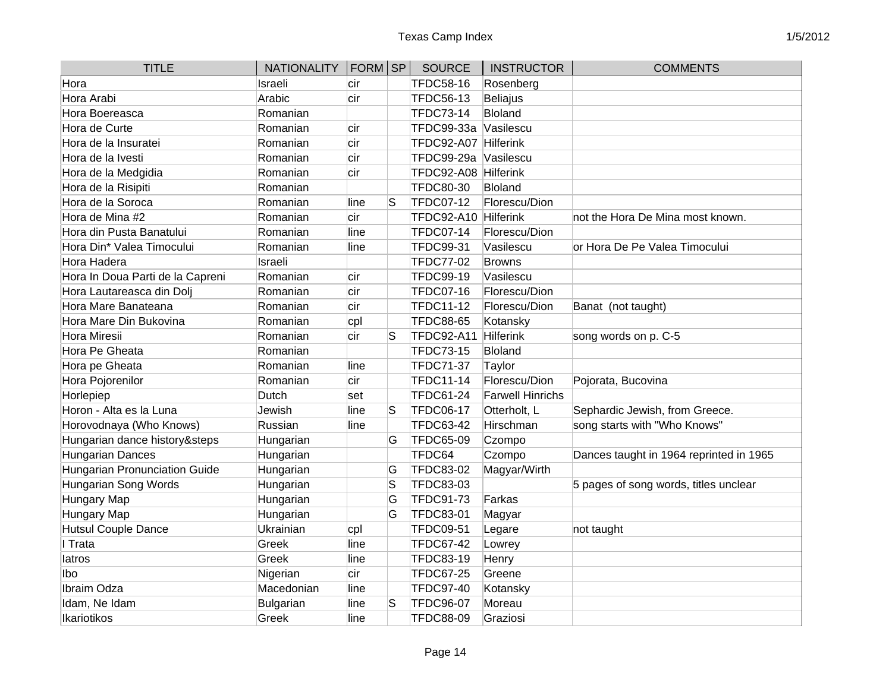| <b>TITLE</b>                     | NATIONALITY   FORM SP |      |    | <b>SOURCE</b>     | <b>INSTRUCTOR</b>       | <b>COMMENTS</b>                         |
|----------------------------------|-----------------------|------|----|-------------------|-------------------------|-----------------------------------------|
| Hora                             | Israeli               | cir  |    | <b>TFDC58-16</b>  | Rosenberg               |                                         |
| Hora Arabi                       | Arabic                | cir  |    | <b>TFDC56-13</b>  | <b>Beliajus</b>         |                                         |
| Hora Boereasca                   | Romanian              |      |    | TFDC73-14         | Bloland                 |                                         |
| Hora de Curte                    | Romanian              | cir  |    | TFDC99-33a        | Vasilescu               |                                         |
| Hora de la Insuratei             | Romanian              | cir  |    | <b>TFDC92-A07</b> | Hilferink               |                                         |
| Hora de la Ivesti                | Romanian              | cir  |    | TFDC99-29a        | Vasilescu               |                                         |
| Hora de la Medgidia              | Romanian              | cir  |    | <b>TFDC92-A08</b> | Hilferink               |                                         |
| Hora de la Risipiti              | Romanian              |      |    | <b>TFDC80-30</b>  | <b>Bloland</b>          |                                         |
| Hora de la Soroca                | Romanian              | line | lS | <b>TFDC07-12</b>  | Florescu/Dion           |                                         |
| Hora de Mina #2                  | Romanian              | cir  |    | <b>TFDC92-A10</b> | <b>Hilferink</b>        | not the Hora De Mina most known.        |
| Hora din Pusta Banatului         | Romanian              | line |    | <b>TFDC07-14</b>  | Florescu/Dion           |                                         |
| Hora Din* Valea Timocului        | Romanian              | line |    | <b>TFDC99-31</b>  | Vasilescu               | or Hora De Pe Valea Timocului           |
| Hora Hadera                      | Israeli               |      |    | <b>TFDC77-02</b>  | <b>Browns</b>           |                                         |
| Hora In Doua Parti de la Capreni | Romanian              | cir  |    | <b>TFDC99-19</b>  | Vasilescu               |                                         |
| Hora Lautareasca din Dolj        | Romanian              | cir  |    | <b>TFDC07-16</b>  | Florescu/Dion           |                                         |
| Hora Mare Banateana              | Romanian              | cir  |    | <b>TFDC11-12</b>  | Florescu/Dion           | Banat (not taught)                      |
| Hora Mare Din Bukovina           | Romanian              | cpl  |    | <b>TFDC88-65</b>  | Kotansky                |                                         |
| Hora Miresii                     | Romanian              | cir  | S  | TFDC92-A11        | <b>Hilferink</b>        | song words on p. C-5                    |
| Hora Pe Gheata                   | Romanian              |      |    | TFDC73-15         | Bloland                 |                                         |
| Hora pe Gheata                   | Romanian              | line |    | <b>TFDC71-37</b>  | Taylor                  |                                         |
| Hora Pojorenilor                 | Romanian              | cir  |    | <b>TFDC11-14</b>  | Florescu/Dion           | Pojorata, Bucovina                      |
| Horlepiep                        | Dutch                 | set  |    | <b>TFDC61-24</b>  | <b>Farwell Hinrichs</b> |                                         |
| Horon - Alta es la Luna          | Jewish                | line | S  | <b>TFDC06-17</b>  | Otterholt, L            | Sephardic Jewish, from Greece.          |
| Horovodnaya (Who Knows)          | Russian               | line |    | <b>TFDC63-42</b>  | Hirschman               | song starts with "Who Knows"            |
| Hungarian dance history&steps    | Hungarian             |      | G  | <b>TFDC65-09</b>  | Czompo                  |                                         |
| Hungarian Dances                 | Hungarian             |      |    | TFDC64            | Czompo                  | Dances taught in 1964 reprinted in 1965 |
| Hungarian Pronunciation Guide    | Hungarian             |      | G  | <b>TFDC83-02</b>  | Magyar/Wirth            |                                         |
| Hungarian Song Words             | Hungarian             |      | S  | TFDC83-03         |                         | 5 pages of song words, titles unclear   |
| Hungary Map                      | Hungarian             |      | G  | TFDC91-73         | Farkas                  |                                         |
| Hungary Map                      | Hungarian             |      | G  | <b>TFDC83-01</b>  | Magyar                  |                                         |
| Hutsul Couple Dance              | Ukrainian             | cpl  |    | <b>TFDC09-51</b>  | Legare                  | not taught                              |
| Trata                            | Greek                 | line |    | <b>TFDC67-42</b>  | Lowrey                  |                                         |
| latros                           | Greek                 | line |    | <b>TFDC83-19</b>  | Henry                   |                                         |
| lbo.                             | Nigerian              | cir  |    | <b>TFDC67-25</b>  | Greene                  |                                         |
| Ibraim Odza                      | Macedonian            | line |    | <b>TFDC97-40</b>  | Kotansky                |                                         |
| Idam, Ne Idam                    | <b>Bulgarian</b>      | line | S  | <b>TFDC96-07</b>  | Moreau                  |                                         |
| Ikariotikos                      | Greek                 | line |    | <b>TFDC88-09</b>  | Graziosi                |                                         |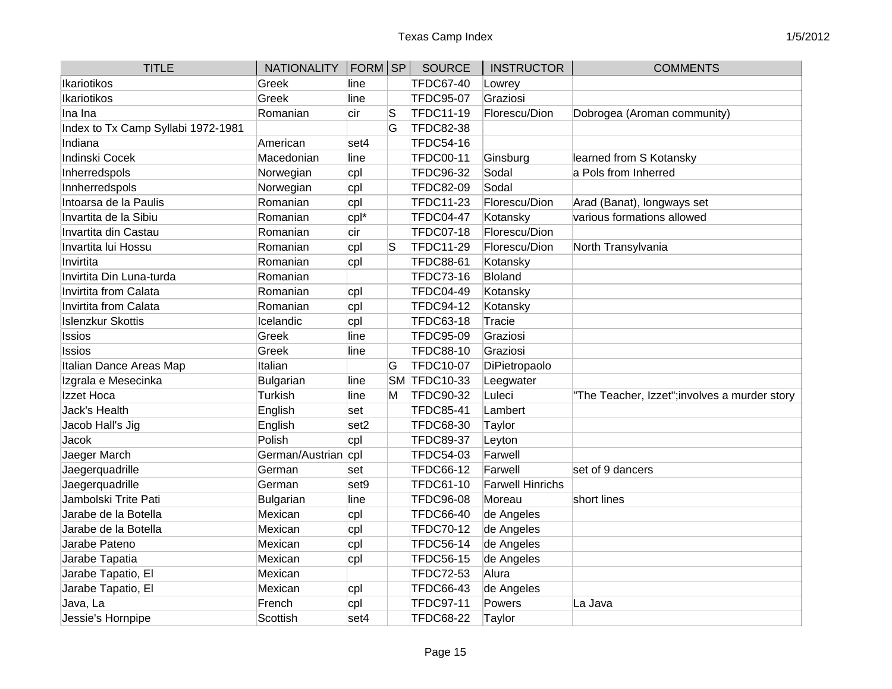| <b>TITLE</b>                       | NATIONALITY   FORM   SP |                  |    | <b>SOURCE</b>    | <b>INSTRUCTOR</b>       | <b>COMMENTS</b>                               |
|------------------------------------|-------------------------|------------------|----|------------------|-------------------------|-----------------------------------------------|
| Ikariotikos                        | Greek                   | line             |    | <b>TFDC67-40</b> | Lowrey                  |                                               |
| Ikariotikos                        | Greek                   | line             |    | <b>TFDC95-07</b> | Graziosi                |                                               |
| Ina Ina                            | Romanian                | cir              | lS | <b>TFDC11-19</b> | Florescu/Dion           | Dobrogea (Aroman community)                   |
| Index to Tx Camp Syllabi 1972-1981 |                         |                  | G  | <b>TFDC82-38</b> |                         |                                               |
| Indiana                            | American                | set4             |    | TFDC54-16        |                         |                                               |
| Indinski Cocek                     | Macedonian              | line             |    | <b>TFDC00-11</b> | Ginsburg                | learned from S Kotansky                       |
| Inherredspols                      | Norwegian               | cpl              |    | <b>TFDC96-32</b> | Sodal                   | a Pols from Inherred                          |
| Innherredspols                     | Norwegian               | cpl              |    | <b>TFDC82-09</b> | Sodal                   |                                               |
| Intoarsa de la Paulis              | Romanian                | cpl              |    | <b>TFDC11-23</b> | Florescu/Dion           | Arad (Banat), longways set                    |
| Invartita de la Sibiu              | Romanian                | cpl*             |    | TFDC04-47        | Kotansky                | various formations allowed                    |
| Invartita din Castau               | Romanian                | cir              |    | <b>TFDC07-18</b> | Florescu/Dion           |                                               |
| Invartita lui Hossu                | Romanian                | cpl              | lS | <b>TFDC11-29</b> | Florescu/Dion           | North Transylvania                            |
| Invirtita                          | Romanian                | cpl              |    | <b>TFDC88-61</b> | Kotansky                |                                               |
| Invirtita Din Luna-turda           | Romanian                |                  |    | TFDC73-16        | Bloland                 |                                               |
| Invirtita from Calata              | Romanian                | cpl              |    | <b>TFDC04-49</b> | Kotansky                |                                               |
| Invirtita from Calata              | Romanian                | cpl              |    | <b>TFDC94-12</b> | Kotansky                |                                               |
| <b>Islenzkur Skottis</b>           | Icelandic               | cpl              |    | <b>TFDC63-18</b> | <b>Tracie</b>           |                                               |
| <b>Issios</b>                      | Greek                   | line             |    | <b>TFDC95-09</b> | Graziosi                |                                               |
| <b>Issios</b>                      | Greek                   | line             |    | <b>TFDC88-10</b> | Graziosi                |                                               |
| Italian Dance Areas Map            | Italian                 |                  | G  | <b>TFDC10-07</b> | DiPietropaolo           |                                               |
| Izgrala e Mesecinka                | Bulgarian               | line             |    | SM TFDC10-33     | Leegwater               |                                               |
| Izzet Hoca                         | Turkish                 | line             | M  | <b>TFDC90-32</b> | Luleci                  | "The Teacher, Izzet"; involves a murder story |
| Jack's Health                      | English                 | set              |    | <b>TFDC85-41</b> | Lambert                 |                                               |
| Jacob Hall's Jig                   | English                 | set <sub>2</sub> |    | <b>TFDC68-30</b> | Taylor                  |                                               |
| Jacok                              | Polish                  | cpl              |    | <b>TFDC89-37</b> | Leyton                  |                                               |
| Jaeger March                       | German/Austrian cpl     |                  |    | <b>TFDC54-03</b> | Farwell                 |                                               |
| Jaegerquadrille                    | German                  | set              |    | <b>TFDC66-12</b> | Farwell                 | set of 9 dancers                              |
| Jaegerquadrille                    | German                  | set9             |    | <b>TFDC61-10</b> | <b>Farwell Hinrichs</b> |                                               |
| Jambolski Trite Pati               | Bulgarian               | line             |    | <b>TFDC96-08</b> | Moreau                  | short lines                                   |
| Jarabe de la Botella               | Mexican                 | cpl              |    | <b>TFDC66-40</b> | de Angeles              |                                               |
| Jarabe de la Botella               | Mexican                 | cpl              |    | <b>TFDC70-12</b> | de Angeles              |                                               |
| Jarabe Pateno                      | Mexican                 | cpl              |    | <b>TFDC56-14</b> | de Angeles              |                                               |
| Jarabe Tapatia                     | Mexican                 | cpl              |    | <b>TFDC56-15</b> | de Angeles              |                                               |
| Jarabe Tapatio, El                 | Mexican                 |                  |    | TFDC72-53        | Alura                   |                                               |
| Jarabe Tapatio, El                 | Mexican                 | cpl              |    | <b>TFDC66-43</b> | de Angeles              |                                               |
| Java, La                           | French                  | cpl              |    | <b>TFDC97-11</b> | Powers                  | La Java                                       |
| Jessie's Hornpipe                  | Scottish                | set4             |    | <b>TFDC68-22</b> | Taylor                  |                                               |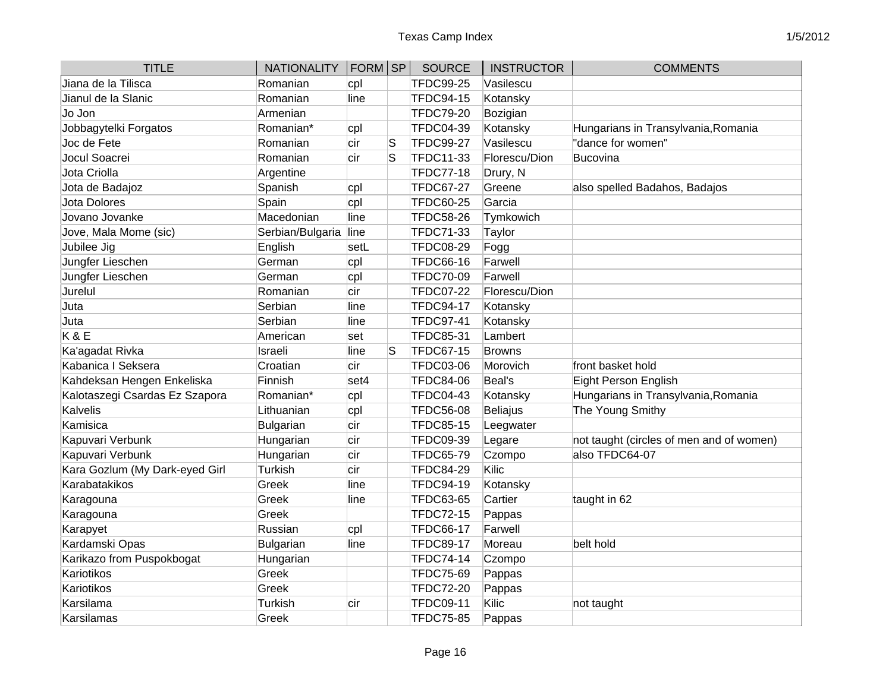| <b>TITLE</b>                   | <b>NATIONALITY</b> | FORM SP |    | <b>SOURCE</b>    | <b>INSTRUCTOR</b> | <b>COMMENTS</b>                          |
|--------------------------------|--------------------|---------|----|------------------|-------------------|------------------------------------------|
| Jiana de la Tilisca            | Romanian           | cpl     |    | <b>TFDC99-25</b> | Vasilescu         |                                          |
| Jianul de la Slanic            | Romanian           | line    |    | <b>TFDC94-15</b> | Kotansky          |                                          |
| Jo Jon                         | Armenian           |         |    | <b>TFDC79-20</b> | Bozigian          |                                          |
| Jobbagytelki Forgatos          | Romanian*          | cpl     |    | <b>TFDC04-39</b> | Kotansky          | Hungarians in Transylvania, Romania      |
| Joc de Fete                    | Romanian           | cir     | ls | <b>TFDC99-27</b> | Vasilescu         | "dance for women"                        |
| Jocul Soacrei                  | Romanian           | cir     | S  | TFDC11-33        | Florescu/Dion     | <b>Bucovina</b>                          |
| Jota Criolla                   | Argentine          |         |    | <b>TFDC77-18</b> | Drury, N          |                                          |
| Jota de Badajoz                | Spanish            | cpl     |    | <b>TFDC67-27</b> | Greene            | also spelled Badahos, Badajos            |
| Jota Dolores                   | Spain              | cpl     |    | <b>TFDC60-25</b> | Garcia            |                                          |
| Jovano Jovanke                 | Macedonian         | line    |    | <b>TFDC58-26</b> | Tymkowich         |                                          |
| Jove, Mala Mome (sic)          | Serbian/Bulgaria   | line    |    | <b>TFDC71-33</b> | Taylor            |                                          |
| Jubilee Jig                    | English            | setL    |    | <b>TFDC08-29</b> | Fogg              |                                          |
| Jungfer Lieschen               | German             | cpl     |    | <b>TFDC66-16</b> | Farwell           |                                          |
| Jungfer Lieschen               | German             | cpl     |    | <b>TFDC70-09</b> | Farwell           |                                          |
| Jurelul                        | Romanian           | cir     |    | <b>TFDC07-22</b> | Florescu/Dion     |                                          |
| Juta                           | Serbian            | line    |    | <b>TFDC94-17</b> | Kotansky          |                                          |
| Juta                           | Serbian            | line    |    | <b>TFDC97-41</b> | Kotansky          |                                          |
| <b>K&amp;E</b>                 | American           | set     |    | <b>TFDC85-31</b> | Lambert           |                                          |
| Ka'agadat Rivka                | Israeli            | line    | lS | <b>TFDC67-15</b> | <b>Browns</b>     |                                          |
| Kabanica I Seksera             | Croatian           | cir     |    | <b>TFDC03-06</b> | Morovich          | front basket hold                        |
| Kahdeksan Hengen Enkeliska     | Finnish            | set4    |    | <b>TFDC84-06</b> | Beal's            | Eight Person English                     |
| Kalotaszegi Csardas Ez Szapora | Romanian*          | cpl     |    | <b>TFDC04-43</b> | Kotansky          | Hungarians in Transylvania, Romania      |
| Kalvelis                       | Lithuanian         | cpl     |    | <b>TFDC56-08</b> | Beliajus          | The Young Smithy                         |
| Kamisica                       | Bulgarian          | cir     |    | <b>TFDC85-15</b> | Leegwater         |                                          |
| Kapuvari Verbunk               | Hungarian          | cir     |    | <b>TFDC09-39</b> | Legare            | not taught (circles of men and of women) |
| Kapuvari Verbunk               | Hungarian          | cir     |    | <b>TFDC65-79</b> | Czompo            | also TFDC64-07                           |
| Kara Gozlum (My Dark-eyed Girl | Turkish            | cir     |    | <b>TFDC84-29</b> | Kilic             |                                          |
| Karabatakikos                  | Greek              | line    |    | <b>TFDC94-19</b> | Kotansky          |                                          |
| Karagouna                      | Greek              | line    |    | <b>TFDC63-65</b> | Cartier           | taught in 62                             |
| Karagouna                      | Greek              |         |    | <b>TFDC72-15</b> | Pappas            |                                          |
| Karapyet                       | Russian            | cpl     |    | <b>TFDC66-17</b> | Farwell           |                                          |
| Kardamski Opas                 | Bulgarian          | line    |    | <b>TFDC89-17</b> | Moreau            | belt hold                                |
| Karikazo from Puspokbogat      | Hungarian          |         |    | <b>TFDC74-14</b> | Czompo            |                                          |
| Kariotikos                     | Greek              |         |    | TFDC75-69        | Pappas            |                                          |
| Kariotikos                     | Greek              |         |    | <b>TFDC72-20</b> | Pappas            |                                          |
| Karsilama                      | Turkish            | cir     |    | <b>TFDC09-11</b> | Kilic             | not taught                               |
| Karsilamas                     | Greek              |         |    | <b>TFDC75-85</b> | Pappas            |                                          |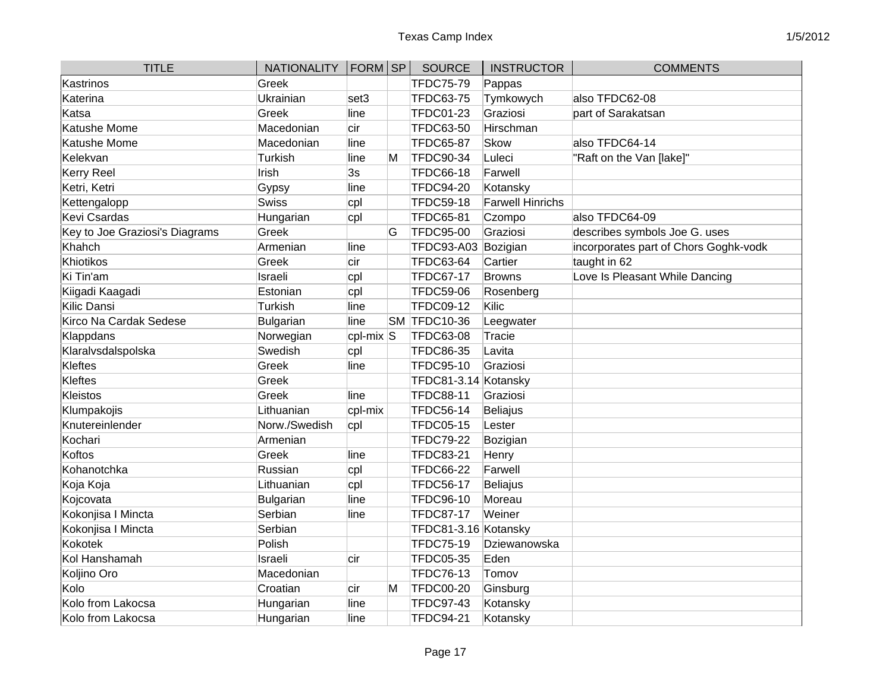| <b>TITLE</b>                   | <b>NATIONALITY</b> | $ FORM $ SP  |   | <b>SOURCE</b>        | <b>INSTRUCTOR</b>       | <b>COMMENTS</b>                       |
|--------------------------------|--------------------|--------------|---|----------------------|-------------------------|---------------------------------------|
| Kastrinos                      | Greek              |              |   | TFDC75-79            | Pappas                  |                                       |
| Katerina                       | Ukrainian          | set3         |   | <b>TFDC63-75</b>     | Tymkowych               | also TFDC62-08                        |
| Katsa                          | Greek              | line         |   | <b>TFDC01-23</b>     | Graziosi                | part of Sarakatsan                    |
| Katushe Mome                   | Macedonian         | cir          |   | <b>TFDC63-50</b>     | Hirschman               |                                       |
| <b>Katushe Mome</b>            | Macedonian         | line         |   | <b>TFDC65-87</b>     | Skow                    | also TFDC64-14                        |
| Kelekvan                       | Turkish            | line         | M | <b>TFDC90-34</b>     | Luleci                  | "Raft on the Van [lake]"              |
| <b>Kerry Reel</b>              | Irish              | 3s           |   | TFDC66-18            | Farwell                 |                                       |
| Ketri, Ketri                   | Gypsy              | line         |   | <b>TFDC94-20</b>     | Kotansky                |                                       |
| Kettengalopp                   | <b>Swiss</b>       | cpl          |   | <b>TFDC59-18</b>     | <b>Farwell Hinrichs</b> |                                       |
| Kevi Csardas                   | Hungarian          | cpl          |   | <b>TFDC65-81</b>     | Czompo                  | also TFDC64-09                        |
| Key to Joe Graziosi's Diagrams | Greek              |              | G | <b>TFDC95-00</b>     | Graziosi                | describes symbols Joe G. uses         |
| Khahch                         | Armenian           | line         |   | TFDC93-A03 Bozigian  |                         | incorporates part of Chors Goghk-vodk |
| Khiotikos                      | Greek              | cir          |   | <b>TFDC63-64</b>     | Cartier                 | taught in 62                          |
| Ki Tin'am                      | Israeli            | cpl          |   | <b>TFDC67-17</b>     | Browns                  | Love Is Pleasant While Dancing        |
| Kiigadi Kaagadi                | Estonian           | cpl          |   | <b>TFDC59-06</b>     | Rosenberg               |                                       |
| Kilic Dansi                    | Turkish            | line         |   | <b>TFDC09-12</b>     | Kilic                   |                                       |
| Kirco Na Cardak Sedese         | <b>Bulgarian</b>   | line         |   | SM TFDC10-36         | Leegwater               |                                       |
| Klappdans                      | Norwegian          | $ cpl-mix S$ |   | TFDC63-08            | Tracie                  |                                       |
| Klaralvsdalspolska             | Swedish            | cpl          |   | <b>TFDC86-35</b>     | Lavita                  |                                       |
| Kleftes                        | Greek              | line         |   | TFDC95-10            | Graziosi                |                                       |
| Kleftes                        | Greek              |              |   | TFDC81-3.14 Kotansky |                         |                                       |
| Kleistos                       | Greek              | line         |   | <b>TFDC88-11</b>     | Graziosi                |                                       |
| Klumpakojis                    | Lithuanian         | cpl-mix      |   | <b>TFDC56-14</b>     | Beliajus                |                                       |
| Knutereinlender                | Norw./Swedish      | cpl          |   | <b>TFDC05-15</b>     | Lester                  |                                       |
| Kochari                        | Armenian           |              |   | <b>TFDC79-22</b>     | Bozigian                |                                       |
| Koftos                         | Greek              | line         |   | <b>TFDC83-21</b>     | Henry                   |                                       |
| Kohanotchka                    | Russian            | cpl          |   | <b>TFDC66-22</b>     | Farwell                 |                                       |
| Koja Koja                      | Lithuanian         | cpl          |   | <b>TFDC56-17</b>     | <b>Beliajus</b>         |                                       |
| Kojcovata                      | <b>Bulgarian</b>   | line         |   | <b>TFDC96-10</b>     | Moreau                  |                                       |
| Kokonjisa I Mincta             | Serbian            | line         |   | <b>TFDC87-17</b>     | Weiner                  |                                       |
| Kokonjisa I Mincta             | Serbian            |              |   | TFDC81-3.16 Kotansky |                         |                                       |
| Kokotek                        | Polish             |              |   | <b>TFDC75-19</b>     | Dziewanowska            |                                       |
| Kol Hanshamah                  | Israeli            | cir          |   | <b>TFDC05-35</b>     | Eden                    |                                       |
| Koljino Oro                    | Macedonian         |              |   | TFDC76-13            | Tomov                   |                                       |
| Kolo                           | Croatian           | cir          | M | <b>TFDC00-20</b>     | Ginsburg                |                                       |
| Kolo from Lakocsa              | Hungarian          | line         |   | <b>TFDC97-43</b>     | Kotansky                |                                       |
| Kolo from Lakocsa              | Hungarian          | line         |   | <b>TFDC94-21</b>     | Kotansky                |                                       |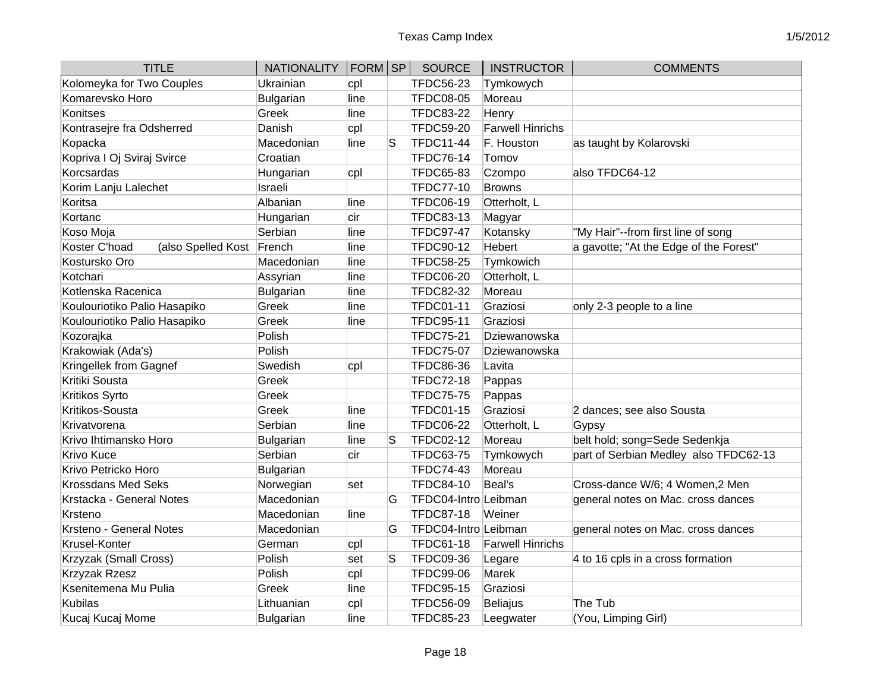| <b>TITLE</b>                               | <b>NATIONALITY</b> | FORM SP |   | <b>SOURCE</b>        | <b>INSTRUCTOR</b>       | <b>COMMENTS</b>                        |
|--------------------------------------------|--------------------|---------|---|----------------------|-------------------------|----------------------------------------|
| Kolomeyka for Two Couples                  | Ukrainian          | cpl     |   | <b>TFDC56-23</b>     | Tymkowych               |                                        |
| Komarevsko Horo                            | Bulgarian          | line    |   | <b>TFDC08-05</b>     | Moreau                  |                                        |
| Konitses                                   | Greek              | line    |   | <b>TFDC83-22</b>     | Henry                   |                                        |
| Kontrasejre fra Odsherred                  | Danish             | cpl     |   | <b>TFDC59-20</b>     | <b>Farwell Hinrichs</b> |                                        |
| Kopacka                                    | Macedonian         | line    | S | <b>TFDC11-44</b>     | F. Houston              | as taught by Kolarovski                |
| Kopriva I Oj Sviraj Svirce                 | Croatian           |         |   | TFDC76-14            | Tomov                   |                                        |
| Korcsardas                                 | Hungarian          | cpl     |   | <b>TFDC65-83</b>     | Czompo                  | also TFDC64-12                         |
| Korim Lanju Lalechet                       | Israeli            |         |   | <b>TFDC77-10</b>     | <b>Browns</b>           |                                        |
| Koritsa                                    | Albanian           | line    |   | <b>TFDC06-19</b>     | Otterholt, L            |                                        |
| Kortanc                                    | Hungarian          | cir     |   | <b>TFDC83-13</b>     | Magyar                  |                                        |
| Koso Moja                                  | Serbian            | line    |   | <b>TFDC97-47</b>     | Kotansky                | "My Hair"--from first line of song     |
| Koster C'hoad<br>(also Spelled Kost French |                    | line    |   | <b>TFDC90-12</b>     | Hebert                  | a gavotte; "At the Edge of the Forest" |
| Kostursko Oro                              | Macedonian         | line    |   | <b>TFDC58-25</b>     | Tymkowich               |                                        |
| Kotchari                                   | Assyrian           | line    |   | <b>TFDC06-20</b>     | Otterholt, L            |                                        |
| Kotlenska Racenica                         | Bulgarian          | line    |   | <b>TFDC82-32</b>     | Moreau                  |                                        |
| Koulouriotiko Palio Hasapiko               | Greek              | line    |   | <b>TFDC01-11</b>     | Graziosi                | only 2-3 people to a line              |
| Koulouriotiko Palio Hasapiko               | Greek              | line    |   | <b>TFDC95-11</b>     | Graziosi                |                                        |
| Kozorajka                                  | Polish             |         |   | <b>TFDC75-21</b>     | Dziewanowska            |                                        |
| Krakowiak (Ada's)                          | Polish             |         |   | <b>TFDC75-07</b>     | Dziewanowska            |                                        |
| Kringellek from Gagnef                     | Swedish            | cpl     |   | <b>TFDC86-36</b>     | Lavita                  |                                        |
| Kritiki Sousta                             | Greek              |         |   | <b>TFDC72-18</b>     | Pappas                  |                                        |
| Kritikos Syrto                             | Greek              |         |   | <b>TFDC75-75</b>     | Pappas                  |                                        |
| Kritikos-Sousta                            | Greek              | line    |   | <b>TFDC01-15</b>     | Graziosi                | 2 dances; see also Sousta              |
| Krivatvorena                               | Serbian            | line    |   | <b>TFDC06-22</b>     | Otterholt, L            | Gypsy                                  |
| Krivo Ihtimansko Horo                      | Bulgarian          | line    | S | TFDC02-12            | Moreau                  | belt hold; song=Sede Sedenkja          |
| Krivo Kuce                                 | Serbian            | cir     |   | <b>TFDC63-75</b>     | Tymkowych               | part of Serbian Medley also TFDC62-13  |
| Krivo Petricko Horo                        | Bulgarian          |         |   | <b>TFDC74-43</b>     | Moreau                  |                                        |
| Krossdans Med Seks                         | Norwegian          | set     |   | <b>TFDC84-10</b>     | Beal's                  | Cross-dance W/6; 4 Women, 2 Men        |
| Krstacka - General Notes                   | Macedonian         |         | G | TFDC04-Intro Leibman |                         | general notes on Mac. cross dances     |
| Krsteno                                    | Macedonian         | line    |   | <b>TFDC87-18</b>     | Weiner                  |                                        |
| Krsteno - General Notes                    | Macedonian         |         | G | TFDC04-Intro Leibman |                         | general notes on Mac. cross dances     |
| Krusel-Konter                              | German             | cpl     |   | <b>TFDC61-18</b>     | <b>Farwell Hinrichs</b> |                                        |
| Krzyzak (Small Cross)                      | Polish             | set     | S | <b>TFDC09-36</b>     | Legare                  | 4 to 16 cpls in a cross formation      |
| <b>Krzyzak Rzesz</b>                       | Polish             | cpl     |   | <b>TFDC99-06</b>     | Marek                   |                                        |
| Ksenitemena Mu Pulia                       | Greek              | line    |   | <b>TFDC95-15</b>     | Graziosi                |                                        |
| <b>Kubilas</b>                             | Lithuanian         | cpl     |   | <b>TFDC56-09</b>     | Beliajus                | The Tub                                |
| Kucaj Kucaj Mome                           | Bulgarian          | line    |   | <b>TFDC85-23</b>     | Leegwater               | (You, Limping Girl)                    |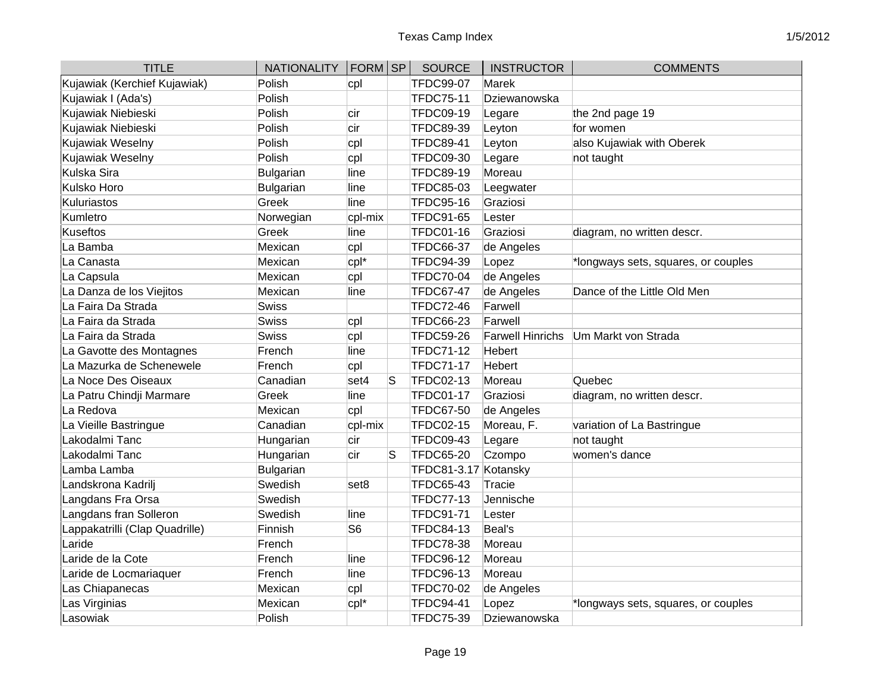| <b>TITLE</b>                   | <b>NATIONALITY</b> | $ FORM $ SP    |   | <b>SOURCE</b>        | <b>INSTRUCTOR</b>       | <b>COMMENTS</b>                     |
|--------------------------------|--------------------|----------------|---|----------------------|-------------------------|-------------------------------------|
| Kujawiak (Kerchief Kujawiak)   | Polish             | cpl            |   | <b>TFDC99-07</b>     | <b>Marek</b>            |                                     |
| Kujawiak I (Ada's)             | Polish             |                |   | <b>TFDC75-11</b>     | Dziewanowska            |                                     |
| Kujawiak Niebieski             | Polish             | cir            |   | <b>TFDC09-19</b>     | Legare                  | the 2nd page 19                     |
| Kujawiak Niebieski             | Polish             | cir            |   | TFDC89-39            | Leyton                  | for women                           |
| Kujawiak Weselny               | Polish             | cpl            |   | <b>TFDC89-41</b>     | Leyton                  | also Kujawiak with Oberek           |
| Kujawiak Weselny               | Polish             | cpl            |   | <b>TFDC09-30</b>     | Legare                  | not taught                          |
| Kulska Sira                    | <b>Bulgarian</b>   | line           |   | <b>TFDC89-19</b>     | Moreau                  |                                     |
| Kulsko Horo                    | <b>Bulgarian</b>   | line           |   | TFDC85-03            | Leegwater               |                                     |
| Kuluriastos                    | Greek              | line           |   | <b>TFDC95-16</b>     | Graziosi                |                                     |
| Kumletro                       | Norwegian          | cpl-mix        |   | TFDC91-65            | Lester                  |                                     |
| <b>Kuseftos</b>                | Greek              | line           |   | <b>TFDC01-16</b>     | Graziosi                | diagram, no written descr.          |
| La Bamba                       | Mexican            | cpl            |   | <b>TFDC66-37</b>     | de Angeles              |                                     |
| La Canasta                     | Mexican            | cpl*           |   | TFDC94-39            | Lopez                   | *longways sets, squares, or couples |
| La Capsula                     | Mexican            | cpl            |   | <b>TFDC70-04</b>     | de Angeles              |                                     |
| La Danza de los Viejitos       | Mexican            | line           |   | <b>TFDC67-47</b>     | de Angeles              | Dance of the Little Old Men         |
| La Faira Da Strada             | <b>Swiss</b>       |                |   | <b>TFDC72-46</b>     | Farwell                 |                                     |
| La Faira da Strada             | <b>Swiss</b>       | cpl            |   | <b>TFDC66-23</b>     | Farwell                 |                                     |
| La Faira da Strada             | <b>Swiss</b>       | cpl            |   | <b>TFDC59-26</b>     | <b>Farwell Hinrichs</b> | Um Markt von Strada                 |
| La Gavotte des Montagnes       | French             | line           |   | <b>TFDC71-12</b>     | Hebert                  |                                     |
| La Mazurka de Schenewele       | French             | cpl            |   | <b>TFDC71-17</b>     | <b>Hebert</b>           |                                     |
| La Noce Des Oiseaux            | Canadian           | set4           | S | TFDC02-13            | Moreau                  | Quebec                              |
| La Patru Chindji Marmare       | Greek              | line           |   | <b>TFDC01-17</b>     | Graziosi                | diagram, no written descr.          |
| La Redova                      | Mexican            | cpl            |   | <b>TFDC67-50</b>     | de Angeles              |                                     |
| La Vieille Bastringue          | Canadian           | cpl-mix        |   | <b>TFDC02-15</b>     | Moreau, F.              | variation of La Bastringue          |
| Lakodalmi Tanc                 | Hungarian          | cir            |   | <b>TFDC09-43</b>     | Legare                  | not taught                          |
| Lakodalmi Tanc                 | Hungarian          | cir            | S | <b>TFDC65-20</b>     | Czompo                  | women's dance                       |
| Lamba Lamba                    | <b>Bulgarian</b>   |                |   | TFDC81-3.17 Kotansky |                         |                                     |
| Landskrona Kadrilj             | Swedish            | set8           |   | <b>TFDC65-43</b>     | <b>Tracie</b>           |                                     |
| Langdans Fra Orsa              | Swedish            |                |   | <b>TFDC77-13</b>     | Jennische               |                                     |
| Langdans fran Solleron         | Swedish            | line           |   | <b>TFDC91-71</b>     | Lester                  |                                     |
| Lappakatrilli (Clap Quadrille) | Finnish            | S <sub>6</sub> |   | <b>TFDC84-13</b>     | Beal's                  |                                     |
| Laride                         | French             |                |   | <b>TFDC78-38</b>     | Moreau                  |                                     |
| Laride de la Cote              | French             | line           |   | <b>TFDC96-12</b>     | Moreau                  |                                     |
| Laride de Locmariaquer         | French             | line           |   | <b>TFDC96-13</b>     | Moreau                  |                                     |
| Las Chiapanecas                | Mexican            | cpl            |   | <b>TFDC70-02</b>     | de Angeles              |                                     |
| Las Virginias                  | Mexican            | cpl*           |   | <b>TFDC94-41</b>     | Lopez                   | *longways sets, squares, or couples |
| Lasowiak                       | Polish             |                |   | TFDC75-39            | Dziewanowska            |                                     |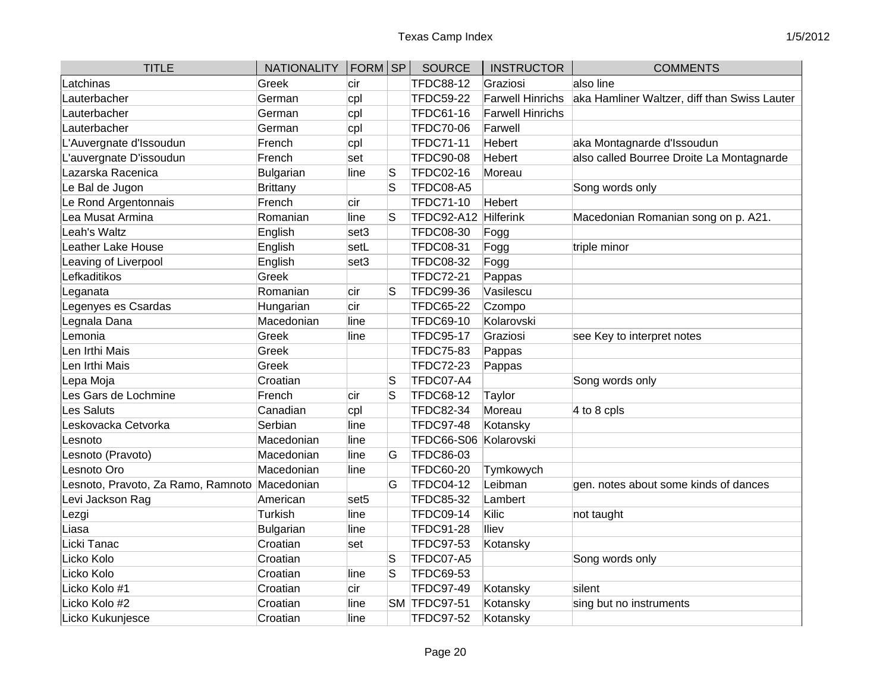| <b>TITLE</b>                                 | <b>NATIONALITY</b> | FORM SP          |   | <b>SOURCE</b>     | <b>INSTRUCTOR</b>       | <b>COMMENTS</b>                              |
|----------------------------------------------|--------------------|------------------|---|-------------------|-------------------------|----------------------------------------------|
| Latchinas                                    | Greek              | lcir             |   | <b>TFDC88-12</b>  | Graziosi                | also line                                    |
| Lauterbacher                                 | German             | cpl              |   | <b>TFDC59-22</b>  | <b>Farwell Hinrichs</b> | aka Hamliner Waltzer, diff than Swiss Lauter |
| Lauterbacher                                 | German             | cpl              |   | <b>TFDC61-16</b>  | <b>Farwell Hinrichs</b> |                                              |
| Lauterbacher                                 | German             | cpl              |   | <b>TFDC70-06</b>  | Farwell                 |                                              |
| L'Auvergnate d'Issoudun                      | French             | cpl              |   | <b>TFDC71-11</b>  | Hebert                  | aka Montagnarde d'Issoudun                   |
| L'auvergnate D'issoudun                      | French             | set              |   | <b>TFDC90-08</b>  | <b>Hebert</b>           | also called Bourree Droite La Montagnarde    |
| Lazarska Racenica                            | <b>Bulgarian</b>   | line             | S | TFDC02-16         | Moreau                  |                                              |
| Le Bal de Jugon                              | <b>Brittany</b>    |                  | S | TFDC08-A5         |                         | Song words only                              |
| Le Rond Argentonnais                         | French             | cir              |   | <b>TFDC71-10</b>  | Hebert                  |                                              |
| Lea Musat Armina                             | Romanian           | line             | S | TFDC92-A12        | Hilferink               | Macedonian Romanian song on p. A21.          |
| Leah's Waltz                                 | English            | set3             |   | <b>TFDC08-30</b>  | Fogg                    |                                              |
| Leather Lake House                           | English            | setL             |   | <b>TFDC08-31</b>  | Fogg                    | triple minor                                 |
| Leaving of Liverpool                         | English            | set3             |   | <b>TFDC08-32</b>  | Fogg                    |                                              |
| Lefkaditikos                                 | Greek              |                  |   | <b>TFDC72-21</b>  | Pappas                  |                                              |
| Leganata                                     | Romanian           | cir              | S | <b>TFDC99-36</b>  | Vasilescu               |                                              |
| Legenyes es Csardas                          | Hungarian          | cir              |   | <b>TFDC65-22</b>  | Czompo                  |                                              |
| Legnala Dana                                 | Macedonian         | line             |   | <b>TFDC69-10</b>  | Kolarovski              |                                              |
| Lemonia                                      | Greek              | line             |   | <b>TFDC95-17</b>  | Graziosi                | see Key to interpret notes                   |
| en Irthi Mais                                | Greek              |                  |   | <b>TFDC75-83</b>  | Pappas                  |                                              |
| Len Irthi Mais                               | Greek              |                  |   | TFDC72-23         | Pappas                  |                                              |
| Lepa Moja                                    | Croatian           |                  | S | TFDC07-A4         |                         | Song words only                              |
| es Gars de Lochmine                          | French             | cir              | S | <b>TFDC68-12</b>  | Taylor                  |                                              |
| Les Saluts                                   | Canadian           | cpl              |   | <b>TFDC82-34</b>  | Moreau                  | 4 to 8 cpls                                  |
| eskovacka Cetvorka                           | Serbian            | line             |   | <b>TFDC97-48</b>  | Kotansky                |                                              |
| _esnoto                                      | Macedonian         | line             |   | <b>TFDC66-S06</b> | Kolarovski              |                                              |
| Lesnoto (Pravoto)                            | Macedonian         | line             | G | <b>TFDC86-03</b>  |                         |                                              |
| esnoto Oro                                   | Macedonian         | line             |   | <b>TFDC60-20</b>  | Tymkowych               |                                              |
| esnoto, Pravoto, Za Ramo, Ramnoto Macedonian |                    |                  | G | <b>TFDC04-12</b>  | Leibman                 | gen. notes about some kinds of dances        |
| evi Jackson Rag                              | American           | set <sub>5</sub> |   | <b>TFDC85-32</b>  | Lambert                 |                                              |
| Lezgi                                        | Turkish            | line             |   | <b>TFDC09-14</b>  | Kilic                   | not taught                                   |
| Liasa                                        | <b>Bulgarian</b>   | line             |   | <b>TFDC91-28</b>  | <b>Iliev</b>            |                                              |
| Licki Tanac                                  | Croatian           | set              |   | <b>TFDC97-53</b>  | Kotansky                |                                              |
| Licko Kolo                                   | Croatian           |                  | S | TFDC07-A5         |                         | Song words only                              |
| Licko Kolo                                   | Croatian           | line             | S | TFDC69-53         |                         |                                              |
| Licko Kolo #1                                | Croatian           | cir              |   | <b>TFDC97-49</b>  | Kotansky                | silent                                       |
| Licko Kolo #2                                | Croatian           | line             |   | SM TFDC97-51      | Kotansky                | sing but no instruments                      |
| Licko Kukunjesce                             | Croatian           | line             |   | <b>TFDC97-52</b>  | Kotansky                |                                              |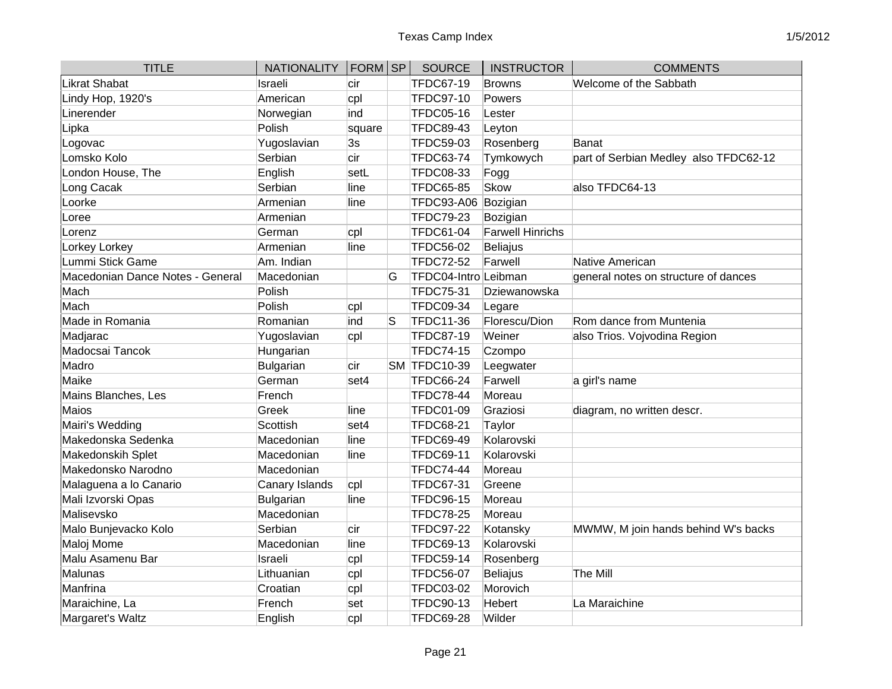| <b>TITLE</b>                     | <b>NATIONALITY</b> | FORM SP |    | <b>SOURCE</b>        | <b>INSTRUCTOR</b>       | <b>COMMENTS</b>                       |
|----------------------------------|--------------------|---------|----|----------------------|-------------------------|---------------------------------------|
| <b>Likrat Shabat</b>             | Israeli            | cir     |    | <b>TFDC67-19</b>     | Browns                  | Welcome of the Sabbath                |
| Lindy Hop, 1920's                | American           | cpl     |    | <b>TFDC97-10</b>     | Powers                  |                                       |
| Linerender                       | Norwegian          | ind     |    | <b>TFDC05-16</b>     | Lester                  |                                       |
| Lipka                            | Polish             | square  |    | <b>TFDC89-43</b>     | Leyton                  |                                       |
| Logovac                          | Yugoslavian        | 3s      |    | TFDC59-03            | Rosenberg               | Banat                                 |
| Lomsko Kolo                      | Serbian            | cir     |    | <b>TFDC63-74</b>     | Tymkowych               | part of Serbian Medley also TFDC62-12 |
| London House, The                | English            | setL    |    | <b>TFDC08-33</b>     | Fogg                    |                                       |
| Long Cacak                       | Serbian            | line    |    | <b>TFDC65-85</b>     | <b>Skow</b>             | also TFDC64-13                        |
| Loorke                           | Armenian           | line    |    | <b>TFDC93-A06</b>    | Bozigian                |                                       |
| Loree                            | Armenian           |         |    | <b>TFDC79-23</b>     | Bozigian                |                                       |
| Lorenz                           | German             | cpl     |    | <b>TFDC61-04</b>     | <b>Farwell Hinrichs</b> |                                       |
| Lorkey Lorkey                    | Armenian           | line    |    | <b>TFDC56-02</b>     | <b>Beliajus</b>         |                                       |
| Lummi Stick Game                 | Am. Indian         |         |    | <b>TFDC72-52</b>     | Farwell                 | Native American                       |
| Macedonian Dance Notes - General | Macedonian         |         | G  | TFDC04-Intro Leibman |                         | general notes on structure of dances  |
| Mach                             | Polish             |         |    | <b>TFDC75-31</b>     | Dziewanowska            |                                       |
| Mach                             | Polish             | cpl     |    | <b>TFDC09-34</b>     | Legare                  |                                       |
| Made in Romania                  | Romanian           | ind     | lS | <b>TFDC11-36</b>     | Florescu/Dion           | Rom dance from Muntenia               |
| Madjarac                         | Yugoslavian        | cpl     |    | <b>TFDC87-19</b>     | Weiner                  | also Trios. Vojvodina Region          |
| Madocsai Tancok                  | Hungarian          |         |    | <b>TFDC74-15</b>     | Czompo                  |                                       |
| Madro                            | <b>Bulgarian</b>   | cir     |    | SM TFDC10-39         | Leegwater               |                                       |
| Maike                            | German             | set4    |    | <b>TFDC66-24</b>     | Farwell                 | a girl's name                         |
| Mains Blanches, Les              | French             |         |    | <b>TFDC78-44</b>     | Moreau                  |                                       |
| <b>Maios</b>                     | Greek              | line    |    | <b>TFDC01-09</b>     | Graziosi                | diagram, no written descr.            |
| Mairi's Wedding                  | Scottish           | set4    |    | <b>TFDC68-21</b>     | Taylor                  |                                       |
| Makedonska Sedenka               | Macedonian         | line    |    | <b>TFDC69-49</b>     | Kolarovski              |                                       |
| Makedonskih Splet                | Macedonian         | line    |    | <b>TFDC69-11</b>     | Kolarovski              |                                       |
| Makedonsko Narodno               | Macedonian         |         |    | <b>TFDC74-44</b>     | Moreau                  |                                       |
| Malaguena a lo Canario           | Canary Islands     | cpl     |    | <b>TFDC67-31</b>     | Greene                  |                                       |
| Mali Izvorski Opas               | <b>Bulgarian</b>   | line    |    | <b>TFDC96-15</b>     | Moreau                  |                                       |
| Malisevsko                       | Macedonian         |         |    | <b>TFDC78-25</b>     | Moreau                  |                                       |
| Malo Bunjevacko Kolo             | Serbian            | cir     |    | <b>TFDC97-22</b>     | Kotansky                | MWMW, M join hands behind W's backs   |
| Maloj Mome                       | Macedonian         | line    |    | <b>TFDC69-13</b>     | Kolarovski              |                                       |
| Malu Asamenu Bar                 | Israeli            | cpl     |    | <b>TFDC59-14</b>     | Rosenberg               |                                       |
| Malunas                          | Lithuanian         | cpl     |    | <b>TFDC56-07</b>     | Beliajus                | <b>The Mill</b>                       |
| Manfrina                         | Croatian           | cpl     |    | <b>TFDC03-02</b>     | Morovich                |                                       |
| Maraichine, La                   | French             | set     |    | <b>TFDC90-13</b>     | <b>Hebert</b>           | La Maraichine                         |
| Margaret's Waltz                 | English            | cpl     |    | <b>TFDC69-28</b>     | Wilder                  |                                       |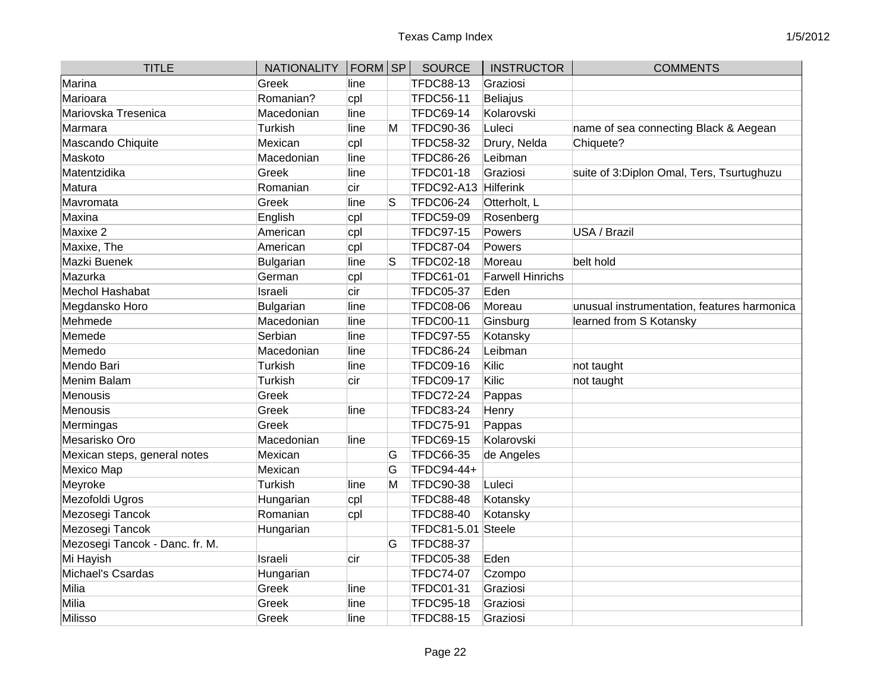| <b>TITLE</b>                   | NATIONALITY   FORM   SP |      |   | <b>SOURCE</b>    | <b>INSTRUCTOR</b>       | <b>COMMENTS</b>                             |
|--------------------------------|-------------------------|------|---|------------------|-------------------------|---------------------------------------------|
| Marina                         | Greek                   | line |   | <b>TFDC88-13</b> | Graziosi                |                                             |
| Marioara                       | Romanian?               | cpl  |   | <b>TFDC56-11</b> | Beliajus                |                                             |
| Mariovska Tresenica            | Macedonian              | line |   | <b>TFDC69-14</b> | Kolarovski              |                                             |
| lMarmara                       | Turkish                 | line | M | <b>TFDC90-36</b> | Luleci                  | name of sea connecting Black & Aegean       |
| Mascando Chiquite              | Mexican                 | cpl  |   | <b>TFDC58-32</b> | Drury, Nelda            | Chiquete?                                   |
| Maskoto                        | Macedonian              | line |   | <b>TFDC86-26</b> | Leibman                 |                                             |
| Matentzidika                   | Greek                   | line |   | <b>TFDC01-18</b> | Graziosi                | suite of 3: Diplon Omal, Ters, Tsurtughuzu  |
| Matura                         | Romanian                | cir  |   | TFDC92-A13       | Hilferink               |                                             |
| Mavromata                      | Greek                   | line | S | <b>TFDC06-24</b> | Otterholt, L            |                                             |
| Maxina                         | English                 | cpl  |   | <b>TFDC59-09</b> | Rosenberg               |                                             |
| Maxixe 2                       | American                | cpl  |   | <b>TFDC97-15</b> | Powers                  | USA / Brazil                                |
| Maxixe, The                    | American                | cpl  |   | <b>TFDC87-04</b> | Powers                  |                                             |
| Mazki Buenek                   | Bulgarian               | line | S | <b>TFDC02-18</b> | Moreau                  | belt hold                                   |
| Mazurka                        | German                  | cpl  |   | <b>TFDC61-01</b> | <b>Farwell Hinrichs</b> |                                             |
| Mechol Hashabat                | Israeli                 | cir  |   | <b>TFDC05-37</b> | Eden                    |                                             |
| Megdansko Horo                 | Bulgarian               | line |   | <b>TFDC08-06</b> | Moreau                  | unusual instrumentation, features harmonica |
| Mehmede                        | Macedonian              | line |   | <b>TFDC00-11</b> | Ginsburg                | learned from S Kotansky                     |
| Memede                         | Serbian                 | line |   | <b>TFDC97-55</b> | Kotansky                |                                             |
| Memedo                         | Macedonian              | line |   | <b>TFDC86-24</b> | Leibman                 |                                             |
| Mendo Bari                     | Turkish                 | line |   | <b>TFDC09-16</b> | Kilic                   | not taught                                  |
| Menim Balam                    | Turkish                 | cir  |   | <b>TFDC09-17</b> | Kilic                   | not taught                                  |
| <b>Menousis</b>                | Greek                   |      |   | <b>TFDC72-24</b> | Pappas                  |                                             |
| <b>Menousis</b>                | Greek                   | line |   | <b>TFDC83-24</b> | Henry                   |                                             |
| Mermingas                      | Greek                   |      |   | <b>TFDC75-91</b> | Pappas                  |                                             |
| Mesarisko Oro                  | Macedonian              | line |   | <b>TFDC69-15</b> | Kolarovski              |                                             |
| Mexican steps, general notes   | Mexican                 |      | G | <b>TFDC66-35</b> | de Angeles              |                                             |
| Mexico Map                     | Mexican                 |      | G | TFDC94-44+       |                         |                                             |
| Meyroke                        | Turkish                 | line | M | <b>TFDC90-38</b> | Luleci                  |                                             |
| Mezofoldi Ugros                | Hungarian               | cpl  |   | <b>TFDC88-48</b> | Kotansky                |                                             |
| Mezosegi Tancok                | Romanian                | cpl  |   | <b>TFDC88-40</b> | Kotansky                |                                             |
| Mezosegi Tancok                | Hungarian               |      |   | TFDC81-5.01      | Steele                  |                                             |
| Mezosegi Tancok - Danc. fr. M. |                         |      | G | <b>TFDC88-37</b> |                         |                                             |
| Mi Hayish                      | Israeli                 | cir  |   | TFDC05-38        | Eden                    |                                             |
| Michael's Csardas              | Hungarian               |      |   | <b>TFDC74-07</b> | Czompo                  |                                             |
| Milia                          | Greek                   | line |   | <b>TFDC01-31</b> | Graziosi                |                                             |
| Milia                          | Greek                   | line |   | <b>TFDC95-18</b> | Graziosi                |                                             |
| Milisso                        | Greek                   | line |   | <b>TFDC88-15</b> | Graziosi                |                                             |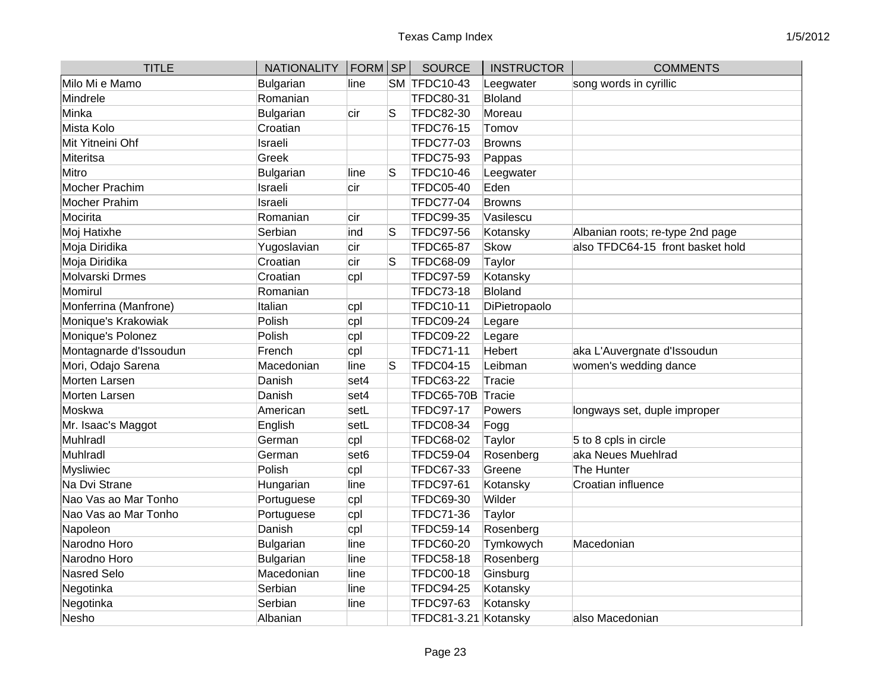| <b>TITLE</b>           | <b>NATIONALITY</b> | <b>FORM</b>      | <b>SP</b> | <b>SOURCE</b>        | <b>INSTRUCTOR</b> | <b>COMMENTS</b>                  |
|------------------------|--------------------|------------------|-----------|----------------------|-------------------|----------------------------------|
| Milo Mi e Mamo         | <b>Bulgarian</b>   | line             |           | <b>SM TFDC10-43</b>  | Leegwater         | song words in cyrillic           |
| Mindrele               | Romanian           |                  |           | <b>TFDC80-31</b>     | Bloland           |                                  |
| Minka                  | Bulgarian          | cir              | S         | <b>TFDC82-30</b>     | Moreau            |                                  |
| Mista Kolo             | Croatian           |                  |           | <b>TFDC76-15</b>     | Tomov             |                                  |
| Mit Yitneini Ohf       | Israeli            |                  |           | <b>TFDC77-03</b>     | Browns            |                                  |
| <b>Miteritsa</b>       | Greek              |                  |           | <b>TFDC75-93</b>     | Pappas            |                                  |
| Mitro                  | <b>Bulgarian</b>   | line             | S         | <b>TFDC10-46</b>     | Leegwater         |                                  |
| Mocher Prachim         | Israeli            | cir              |           | <b>TFDC05-40</b>     | Eden              |                                  |
| <b>Mocher Prahim</b>   | Israeli            |                  |           | <b>TFDC77-04</b>     | <b>Browns</b>     |                                  |
| Mocirita               | Romanian           | cir              |           | <b>TFDC99-35</b>     | Vasilescu         |                                  |
| Moj Hatixhe            | Serbian            | ind              | S         | <b>TFDC97-56</b>     | Kotansky          | Albanian roots; re-type 2nd page |
| Moja Diridika          | Yugoslavian        | cir              |           | <b>TFDC65-87</b>     | <b>Skow</b>       | also TFDC64-15 front basket hold |
| Moja Diridika          | Croatian           | cir              | S         | <b>TFDC68-09</b>     | Taylor            |                                  |
| Molvarski Drmes        | Croatian           | cpl              |           | <b>TFDC97-59</b>     | Kotansky          |                                  |
| Momirul                | Romanian           |                  |           | <b>TFDC73-18</b>     | Bloland           |                                  |
| Monferrina (Manfrone)  | Italian            | cpl              |           | <b>TFDC10-11</b>     | DiPietropaolo     |                                  |
| Monique's Krakowiak    | Polish             | cpl              |           | <b>TFDC09-24</b>     | Legare            |                                  |
| Monique's Polonez      | Polish             | cpl              |           | <b>TFDC09-22</b>     | Legare            |                                  |
| Montagnarde d'Issoudun | French             | cpl              |           | <b>TFDC71-11</b>     | Hebert            | aka L'Auvergnate d'Issoudun      |
| Mori, Odajo Sarena     | Macedonian         | line             | S         | <b>TFDC04-15</b>     | Leibman           | women's wedding dance            |
| Morten Larsen          | Danish             | set4             |           | <b>TFDC63-22</b>     | Tracie            |                                  |
| Morten Larsen          | Danish             | set4             |           | <b>TFDC65-70B</b>    | Tracie            |                                  |
| Moskwa                 | American           | setL             |           | <b>TFDC97-17</b>     | Powers            | longways set, duple improper     |
| Mr. Isaac's Maggot     | English            | setL             |           | <b>TFDC08-34</b>     | Fogg              |                                  |
| Muhlradl               | German             | cpl              |           | <b>TFDC68-02</b>     | Taylor            | 5 to 8 cpls in circle            |
| Muhlradl               | German             | set <sub>6</sub> |           | <b>TFDC59-04</b>     | Rosenberg         | aka Neues Muehlrad               |
| <b>Mysliwiec</b>       | Polish             | cpl              |           | <b>TFDC67-33</b>     | Greene            | The Hunter                       |
| Na Dvi Strane          | Hungarian          | line             |           | <b>TFDC97-61</b>     | Kotansky          | Croatian influence               |
| Nao Vas ao Mar Tonho   | Portuguese         | cpl              |           | <b>TFDC69-30</b>     | Wilder            |                                  |
| Nao Vas ao Mar Tonho   | Portuguese         | cpl              |           | <b>TFDC71-36</b>     | Taylor            |                                  |
| Napoleon               | Danish             | cpl              |           | <b>TFDC59-14</b>     | Rosenberg         |                                  |
| Narodno Horo           | <b>Bulgarian</b>   | line             |           | <b>TFDC60-20</b>     | Tymkowych         | Macedonian                       |
| Narodno Horo           | <b>Bulgarian</b>   | line             |           | <b>TFDC58-18</b>     | Rosenberg         |                                  |
| Nasred Selo            | Macedonian         | line             |           | <b>TFDC00-18</b>     | Ginsburg          |                                  |
| Negotinka              | Serbian            | line             |           | <b>TFDC94-25</b>     | Kotansky          |                                  |
| Negotinka              | Serbian            | line             |           | <b>TFDC97-63</b>     | Kotansky          |                                  |
| Nesho                  | Albanian           |                  |           | TFDC81-3.21 Kotansky |                   | also Macedonian                  |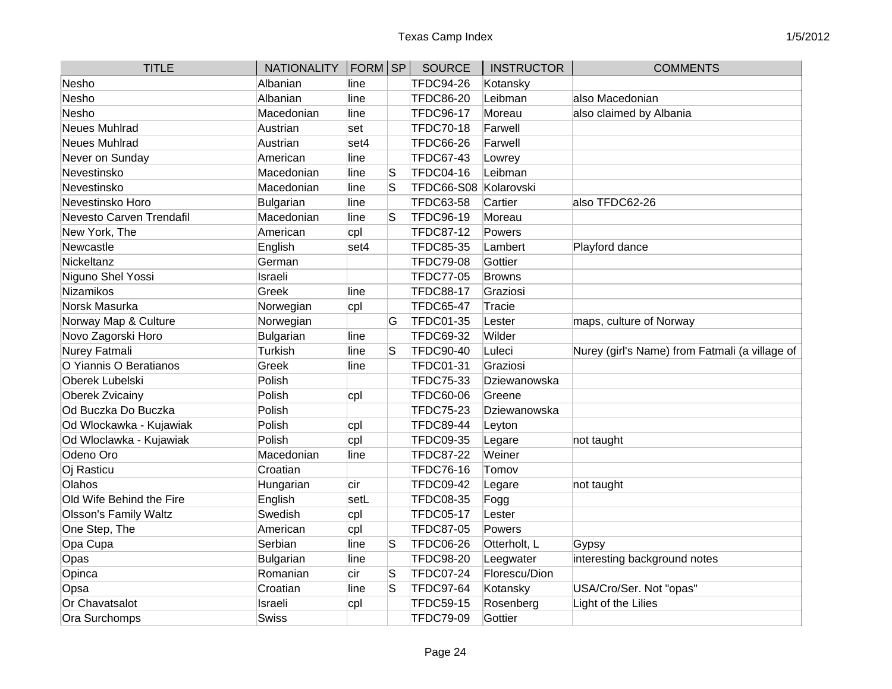| <b>TITLE</b>             | <b>NATIONALITY</b> | $ FORM $ SP |    | <b>SOURCE</b>     | <b>INSTRUCTOR</b> | <b>COMMENTS</b>                                |
|--------------------------|--------------------|-------------|----|-------------------|-------------------|------------------------------------------------|
| Nesho                    | Albanian           | line        |    | <b>TFDC94-26</b>  | Kotansky          |                                                |
| Nesho                    | Albanian           | line        |    | <b>TFDC86-20</b>  | Leibman           | also Macedonian                                |
| Nesho                    | Macedonian         | line        |    | <b>TFDC96-17</b>  | Moreau            | also claimed by Albania                        |
| Neues Muhlrad            | Austrian           | set         |    | <b>TFDC70-18</b>  | Farwell           |                                                |
| Neues Muhlrad            | Austrian           | set4        |    | <b>TFDC66-26</b>  | Farwell           |                                                |
| Never on Sunday          | American           | line        |    | <b>TFDC67-43</b>  | Lowrey            |                                                |
| Nevestinsko              | Macedonian         | line        | lS | <b>TFDC04-16</b>  | Leibman           |                                                |
| Nevestinsko              | Macedonian         | line        | S  | <b>TFDC66-S08</b> | Kolarovski        |                                                |
| Nevestinsko Horo         | Bulgarian          | line        |    | <b>TFDC63-58</b>  | Cartier           | also TFDC62-26                                 |
| Nevesto Carven Trendafil | Macedonian         | line        | S  | TFDC96-19         | Moreau            |                                                |
| New York, The            | American           | cpl         |    | <b>TFDC87-12</b>  | Powers            |                                                |
| Newcastle                | English            | set4        |    | <b>TFDC85-35</b>  | Lambert           | Playford dance                                 |
| Nickeltanz               | German             |             |    | <b>TFDC79-08</b>  | Gottier           |                                                |
| Niguno Shel Yossi        | Israeli            |             |    | <b>TFDC77-05</b>  | <b>Browns</b>     |                                                |
| Nizamikos                | Greek              | lline       |    | <b>TFDC88-17</b>  | Graziosi          |                                                |
| Norsk Masurka            | Norwegian          | cpl         |    | <b>TFDC65-47</b>  | Tracie            |                                                |
| Norway Map & Culture     | Norwegian          |             | G  | <b>TFDC01-35</b>  | Lester            | maps, culture of Norway                        |
| Novo Zagorski Horo       | <b>Bulgarian</b>   | line        |    | <b>TFDC69-32</b>  | Wilder            |                                                |
| Nurey Fatmali            | Turkish            | line        | S  | <b>TFDC90-40</b>  | Luleci            | Nurey (girl's Name) from Fatmali (a village of |
| O Yiannis O Beratianos   | Greek              | line        |    | <b>TFDC01-31</b>  | Graziosi          |                                                |
| <b>Oberek Lubelski</b>   | Polish             |             |    | <b>TFDC75-33</b>  | Dziewanowska      |                                                |
| <b>Oberek Zvicainy</b>   | Polish             | cpl         |    | <b>TFDC60-06</b>  | Greene            |                                                |
| Od Buczka Do Buczka      | Polish             |             |    | <b>TFDC75-23</b>  | Dziewanowska      |                                                |
| Od Wlockawka - Kujawiak  | Polish             | cpl         |    | <b>TFDC89-44</b>  | Leyton            |                                                |
| Od Wloclawka - Kujawiak  | Polish             | cpl         |    | <b>TFDC09-35</b>  | Legare            | not taught                                     |
| Odeno Oro                | Macedonian         | line        |    | <b>TFDC87-22</b>  | Weiner            |                                                |
| Oj Rasticu               | Croatian           |             |    | <b>TFDC76-16</b>  | Tomov             |                                                |
| Olahos                   | Hungarian          | cir         |    | <b>TFDC09-42</b>  | Legare            | not taught                                     |
| Old Wife Behind the Fire | English            | setL        |    | <b>TFDC08-35</b>  | Fogg              |                                                |
| Olsson's Family Waltz    | Swedish            | cpl         |    | <b>TFDC05-17</b>  | Lester            |                                                |
| One Step, The            | American           | cpl         |    | <b>TFDC87-05</b>  | Powers            |                                                |
| Opa Cupa                 | Serbian            | line        | S  | <b>TFDC06-26</b>  | Otterholt, L      | Gypsy                                          |
| Opas                     | <b>Bulgarian</b>   | line        |    | <b>TFDC98-20</b>  | Leegwater         | interesting background notes                   |
| Opinca                   | Romanian           | cir         | lS | <b>TFDC07-24</b>  | Florescu/Dion     |                                                |
| Opsa                     | Croatian           | line        | S  | <b>TFDC97-64</b>  | Kotansky          | USA/Cro/Ser. Not "opas"                        |
| Or Chavatsalot           | Israeli            | cpl         |    | <b>TFDC59-15</b>  | Rosenberg         | Light of the Lilies                            |
| Ora Surchomps            | <b>Swiss</b>       |             |    | <b>TFDC79-09</b>  | Gottier           |                                                |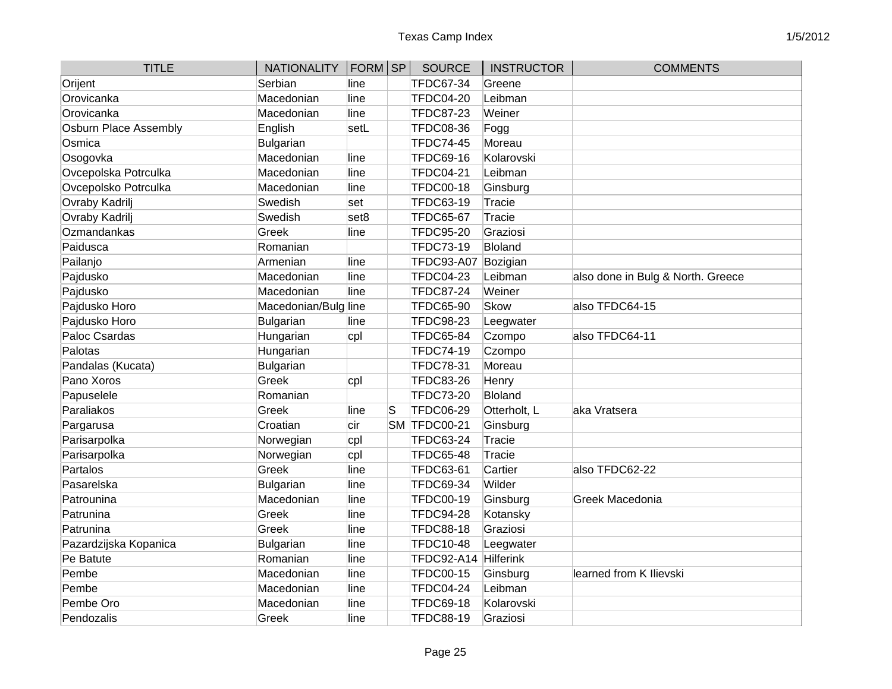| <b>TITLE</b>                 | <b>NATIONALITY</b>   | $ FORM $ SP      |   | <b>SOURCE</b>       | <b>INSTRUCTOR</b> | <b>COMMENTS</b>                   |
|------------------------------|----------------------|------------------|---|---------------------|-------------------|-----------------------------------|
| Orijent                      | Serbian              | line             |   | <b>TFDC67-34</b>    | Greene            |                                   |
| Orovicanka                   | Macedonian           | line             |   | <b>TFDC04-20</b>    | Leibman           |                                   |
| Orovicanka                   | Macedonian           | line             |   | <b>TFDC87-23</b>    | Weiner            |                                   |
| <b>Osburn Place Assembly</b> | English              | setL             |   | <b>TFDC08-36</b>    | Fogg              |                                   |
| Osmica                       | Bulgarian            |                  |   | <b>TFDC74-45</b>    | Moreau            |                                   |
| Osogovka                     | Macedonian           | line             |   | <b>TFDC69-16</b>    | Kolarovski        |                                   |
| Ovcepolska Potrculka         | Macedonian           | line             |   | <b>TFDC04-21</b>    | Leibman           |                                   |
| Ovcepolsko Potrculka         | Macedonian           | line             |   | <b>TFDC00-18</b>    | Ginsburg          |                                   |
| Ovraby Kadrilj               | Swedish              | set              |   | <b>TFDC63-19</b>    | Tracie            |                                   |
| Ovraby Kadrilj               | Swedish              | set <sub>8</sub> |   | <b>TFDC65-67</b>    | Tracie            |                                   |
| Ozmandankas                  | Greek                | line             |   | <b>TFDC95-20</b>    | Graziosi          |                                   |
| Paidusca                     | Romanian             |                  |   | <b>TFDC73-19</b>    | <b>Bloland</b>    |                                   |
| Pailanjo                     | Armenian             | line             |   | <b>TFDC93-A07</b>   | Bozigian          |                                   |
| Pajdusko                     | Macedonian           | line             |   | <b>TFDC04-23</b>    | Leibman           | also done in Bulg & North. Greece |
| Pajdusko                     | Macedonian           | line             |   | <b>TFDC87-24</b>    | Weiner            |                                   |
| Pajdusko Horo                | Macedonian/Bulg line |                  |   | <b>TFDC65-90</b>    | Skow              | also TFDC64-15                    |
| Pajdusko Horo                | Bulgarian            | line             |   | <b>TFDC98-23</b>    | Leegwater         |                                   |
| Paloc Csardas                | Hungarian            | cpl              |   | <b>TFDC65-84</b>    | Czompo            | also TFDC64-11                    |
| Palotas                      | Hungarian            |                  |   | <b>TFDC74-19</b>    | Czompo            |                                   |
| Pandalas (Kucata)            | Bulgarian            |                  |   | <b>TFDC78-31</b>    | Moreau            |                                   |
| Pano Xoros                   | Greek                | cpl              |   | <b>TFDC83-26</b>    | Henry             |                                   |
| Papuselele                   | Romanian             |                  |   | <b>TFDC73-20</b>    | <b>Bloland</b>    |                                   |
| Paraliakos                   | Greek                | line             | S | <b>TFDC06-29</b>    | Otterholt, L      | aka Vratsera                      |
| Pargarusa                    | Croatian             | cir              |   | <b>SM TFDC00-21</b> | Ginsburg          |                                   |
| Parisarpolka                 | Norwegian            | cpl              |   | <b>TFDC63-24</b>    | Tracie            |                                   |
| Parisarpolka                 | Norwegian            | cpl              |   | <b>TFDC65-48</b>    | Tracie            |                                   |
| Partalos                     | Greek                | line             |   | <b>TFDC63-61</b>    | Cartier           | also TFDC62-22                    |
| Pasarelska                   | <b>Bulgarian</b>     | line             |   | <b>TFDC69-34</b>    | Wilder            |                                   |
| Patrounina                   | Macedonian           | line             |   | <b>TFDC00-19</b>    | Ginsburg          | Greek Macedonia                   |
| Patrunina                    | Greek                | line             |   | <b>TFDC94-28</b>    | Kotansky          |                                   |
| Patrunina                    | Greek                | line             |   | <b>TFDC88-18</b>    | Graziosi          |                                   |
| Pazardzijska Kopanica        | <b>Bulgarian</b>     | line             |   | <b>TFDC10-48</b>    | Leegwater         |                                   |
| Pe Batute                    | Romanian             | line             |   | <b>TFDC92-A14</b>   | Hilferink         |                                   |
| Pembe                        | Macedonian           | line             |   | <b>TFDC00-15</b>    | Ginsburg          | learned from K Ilievski           |
| Pembe                        | Macedonian           | line             |   | <b>TFDC04-24</b>    | Leibman           |                                   |
| Pembe Oro                    | Macedonian           | line             |   | <b>TFDC69-18</b>    | Kolarovski        |                                   |
| Pendozalis                   | Greek                | line             |   | <b>TFDC88-19</b>    | Graziosi          |                                   |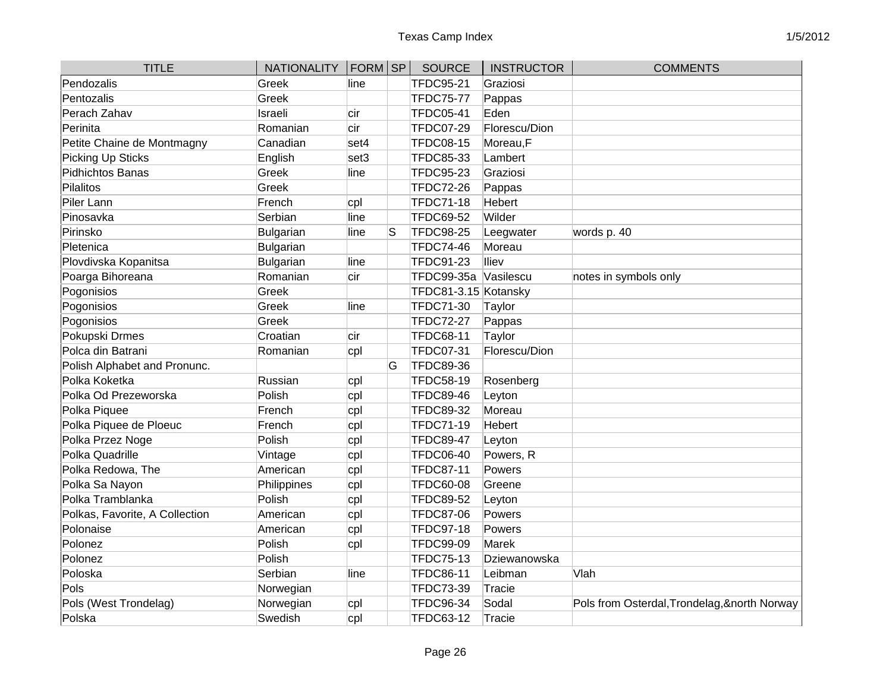| <b>TITLE</b>                   | NATIONALITY   FORM   SP |      |   | <b>SOURCE</b>        | <b>INSTRUCTOR</b> | <b>COMMENTS</b>                               |
|--------------------------------|-------------------------|------|---|----------------------|-------------------|-----------------------------------------------|
| Pendozalis                     | Greek                   | line |   | <b>TFDC95-21</b>     | Graziosi          |                                               |
| Pentozalis                     | Greek                   |      |   | <b>TFDC75-77</b>     | Pappas            |                                               |
| Perach Zahav                   | Israeli                 | cir  |   | <b>TFDC05-41</b>     | Eden              |                                               |
| Perinita                       | Romanian                | cir  |   | <b>TFDC07-29</b>     | Florescu/Dion     |                                               |
| Petite Chaine de Montmagny     | Canadian                | set4 |   | <b>TFDC08-15</b>     | Moreau,F          |                                               |
| Picking Up Sticks              | English                 | set3 |   | <b>TFDC85-33</b>     | Lambert           |                                               |
| Pidhichtos Banas               | Greek                   | line |   | <b>TFDC95-23</b>     | Graziosi          |                                               |
| Pilalitos                      | Greek                   |      |   | <b>TFDC72-26</b>     | Pappas            |                                               |
| Piler Lann                     | French                  | cpl  |   | <b>TFDC71-18</b>     | Hebert            |                                               |
| Pinosavka                      | Serbian                 | line |   | <b>TFDC69-52</b>     | Wilder            |                                               |
| Pirinsko                       | Bulgarian               | line | S | <b>TFDC98-25</b>     | Leegwater         | words p. 40                                   |
| Pletenica                      | Bulgarian               |      |   | <b>TFDC74-46</b>     | Moreau            |                                               |
| Plovdivska Kopanitsa           | Bulgarian               | line |   | <b>TFDC91-23</b>     | lliev             |                                               |
| Poarga Bihoreana               | Romanian                | cir  |   | TFDC99-35a           | Vasilescu         | notes in symbols only                         |
| Pogonisios                     | Greek                   |      |   | TFDC81-3.15 Kotansky |                   |                                               |
| Pogonisios                     | Greek                   | line |   | <b>TFDC71-30</b>     | Taylor            |                                               |
| Pogonisios                     | Greek                   |      |   | <b>TFDC72-27</b>     | Pappas            |                                               |
| Pokupski Drmes                 | Croatian                | cir  |   | <b>TFDC68-11</b>     | Taylor            |                                               |
| Polca din Batrani              | Romanian                | cpl  |   | <b>TFDC07-31</b>     | Florescu/Dion     |                                               |
| Polish Alphabet and Pronunc.   |                         |      | G | <b>TFDC89-36</b>     |                   |                                               |
| Polka Koketka                  | Russian                 | cpl  |   | <b>TFDC58-19</b>     | Rosenberg         |                                               |
| Polka Od Prezeworska           | Polish                  | cpl  |   | <b>TFDC89-46</b>     | Leyton            |                                               |
| Polka Piquee                   | French                  | cpl  |   | <b>TFDC89-32</b>     | Moreau            |                                               |
| Polka Piquee de Ploeuc         | French                  | cpl  |   | <b>TFDC71-19</b>     | <b>Hebert</b>     |                                               |
| Polka Przez Noge               | Polish                  | cpl  |   | <b>TFDC89-47</b>     | Leyton            |                                               |
| Polka Quadrille                | Vintage                 | cpl  |   | <b>TFDC06-40</b>     | Powers, R         |                                               |
| Polka Redowa, The              | American                | cpl  |   | <b>TFDC87-11</b>     | Powers            |                                               |
| Polka Sa Nayon                 | Philippines             | cpl  |   | <b>TFDC60-08</b>     | Greene            |                                               |
| Polka Tramblanka               | Polish                  | cpl  |   | <b>TFDC89-52</b>     | Leyton            |                                               |
| Polkas, Favorite, A Collection | American                | cpl  |   | <b>TFDC87-06</b>     | Powers            |                                               |
| Polonaise                      | American                | cpl  |   | <b>TFDC97-18</b>     | Powers            |                                               |
| Polonez                        | Polish                  | cpl  |   | <b>TFDC99-09</b>     | Marek             |                                               |
| Polonez                        | Polish                  |      |   | <b>TFDC75-13</b>     | Dziewanowska      |                                               |
| Poloska                        | Serbian                 | line |   | <b>TFDC86-11</b>     | Leibman           | Vlah                                          |
| Pols                           | Norwegian               |      |   | TFDC73-39            | Tracie            |                                               |
| Pols (West Trondelag)          | Norwegian               | cpl  |   | <b>TFDC96-34</b>     | Sodal             | Pols from Osterdal, Trondelag, & north Norway |
| Polska                         | Swedish                 | cpl  |   | <b>TFDC63-12</b>     | Tracie            |                                               |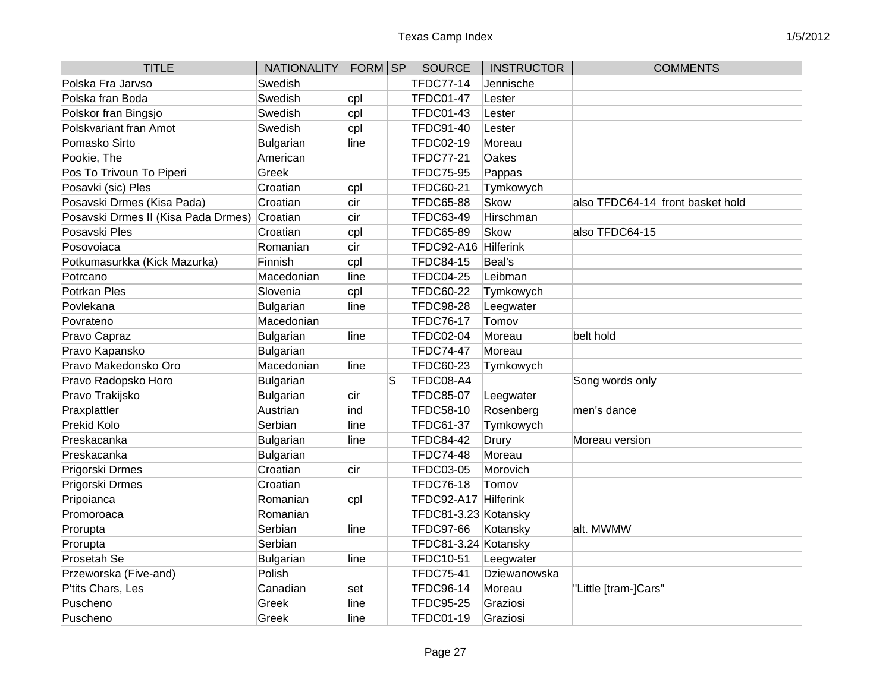| <b>TITLE</b>                        | NATIONALITY   FORM   SP |      |   | <b>SOURCE</b>        | <b>INSTRUCTOR</b> | <b>COMMENTS</b>                  |
|-------------------------------------|-------------------------|------|---|----------------------|-------------------|----------------------------------|
| Polska Fra Jarvso                   | Swedish                 |      |   | <b>TFDC77-14</b>     | Jennische         |                                  |
| Polska fran Boda                    | Swedish                 | cpl  |   | <b>TFDC01-47</b>     | Lester            |                                  |
| Polskor fran Bingsjo                | Swedish                 | cpl  |   | <b>TFDC01-43</b>     | Lester            |                                  |
| Polskvariant fran Amot              | Swedish                 | cpl  |   | <b>TFDC91-40</b>     | Lester            |                                  |
| Pomasko Sirto                       | Bulgarian               | line |   | TFDC02-19            | Moreau            |                                  |
| Pookie, The                         | American                |      |   | <b>TFDC77-21</b>     | <b>Oakes</b>      |                                  |
| Pos To Trivoun To Piperi            | Greek                   |      |   | <b>TFDC75-95</b>     | Pappas            |                                  |
| Posavki (sic) Ples                  | Croatian                | cpl  |   | <b>TFDC60-21</b>     | Tymkowych         |                                  |
| Posavski Drmes (Kisa Pada)          | Croatian                | cir  |   | <b>TFDC65-88</b>     | <b>Skow</b>       | also TFDC64-14 front basket hold |
| Posavski Drmes II (Kisa Pada Drmes) | Croatian                | cir  |   | TFDC63-49            | Hirschman         |                                  |
| Posavski Ples                       | Croatian                | cpl  |   | <b>TFDC65-89</b>     | Skow              | also TFDC64-15                   |
| Posovojaca                          | Romanian                | cir  |   | TFDC92-A16           | Hilferink         |                                  |
| Potkumasurkka (Kick Mazurka)        | Finnish                 | cpl  |   | <b>TFDC84-15</b>     | Beal's            |                                  |
| Potrcano                            | Macedonian              | line |   | TFDC04-25            | Leibman           |                                  |
| Potrkan Ples                        | Slovenia                | cpl  |   | <b>TFDC60-22</b>     | Tymkowych         |                                  |
| Povlekana                           | Bulgarian               | line |   | <b>TFDC98-28</b>     | Leegwater         |                                  |
| Povrateno                           | Macedonian              |      |   | <b>TFDC76-17</b>     | Tomov             |                                  |
| Pravo Capraz                        | Bulgarian               | line |   | <b>TFDC02-04</b>     | Moreau            | belt hold                        |
| Pravo Kapansko                      | Bulgarian               |      |   | <b>TFDC74-47</b>     | Moreau            |                                  |
| Pravo Makedonsko Oro                | Macedonian              | line |   | <b>TFDC60-23</b>     | Tymkowych         |                                  |
| Pravo Radopsko Horo                 | Bulgarian               |      | S | TFDC08-A4            |                   | Song words only                  |
| Pravo Trakijsko                     | Bulgarian               | cir  |   | <b>TFDC85-07</b>     | Leegwater         |                                  |
| Praxplattler                        | Austrian                | ind  |   | <b>TFDC58-10</b>     | Rosenberg         | men's dance                      |
| <b>Prekid Kolo</b>                  | Serbian                 | line |   | <b>TFDC61-37</b>     | Tymkowych         |                                  |
| Preskacanka                         | Bulgarian               | line |   | <b>TFDC84-42</b>     | Drury             | Moreau version                   |
| Preskacanka                         | Bulgarian               |      |   | <b>TFDC74-48</b>     | Moreau            |                                  |
| Prigorski Drmes                     | Croatian                | cir  |   | <b>TFDC03-05</b>     | Morovich          |                                  |
| Prigorski Drmes                     | Croatian                |      |   | <b>TFDC76-18</b>     | Tomov             |                                  |
| Pripoianca                          | Romanian                | cpl  |   | TFDC92-A17 Hilferink |                   |                                  |
| Promoroaca                          | Romanian                |      |   | TFDC81-3.23 Kotansky |                   |                                  |
| Prorupta                            | Serbian                 | line |   | <b>TFDC97-66</b>     | Kotansky          | alt. MWMW                        |
| Prorupta                            | Serbian                 |      |   | TFDC81-3.24 Kotansky |                   |                                  |
| Prosetah Se                         | Bulgarian               | line |   | TFDC10-51            | Leegwater         |                                  |
| Przeworska (Five-and)               | Polish                  |      |   | <b>TFDC75-41</b>     | Dziewanowska      |                                  |
| P'tits Chars, Les                   | Canadian                | set  |   | <b>TFDC96-14</b>     | Moreau            | "Little [tram-]Cars"             |
| Puscheno                            | Greek                   | line |   | <b>TFDC95-25</b>     | Graziosi          |                                  |
| Puscheno                            | Greek                   | line |   | <b>TFDC01-19</b>     | Graziosi          |                                  |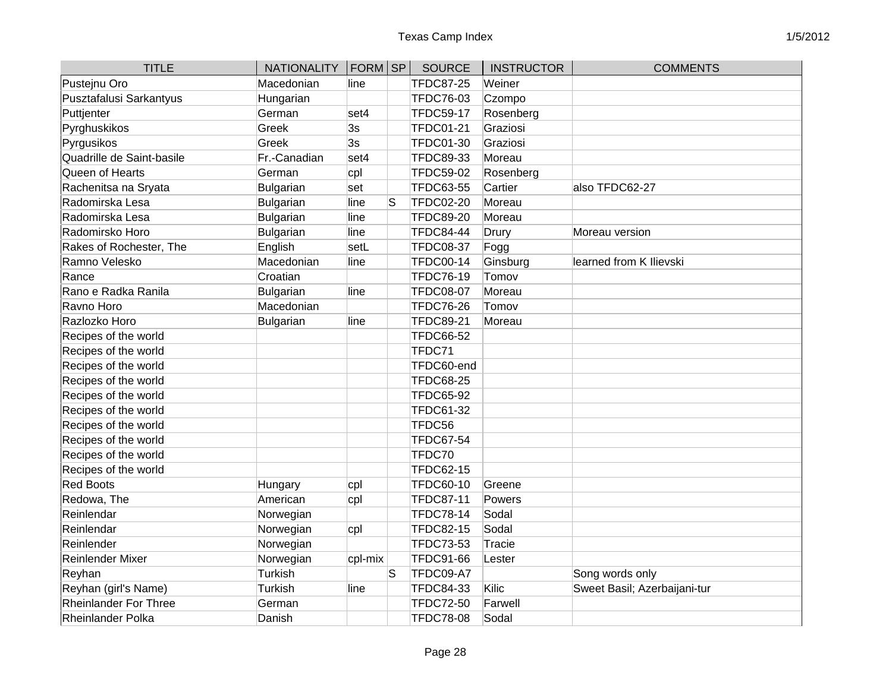| <b>TITLE</b>              | <b>NATIONALITY</b> | FORM SP |    | SOURCE           | <b>INSTRUCTOR</b> | <b>COMMENTS</b>              |
|---------------------------|--------------------|---------|----|------------------|-------------------|------------------------------|
| Pustejnu Oro              | Macedonian         | line    |    | <b>TFDC87-25</b> | Weiner            |                              |
| Pusztafalusi Sarkantyus   | Hungarian          |         |    | TFDC76-03        | Czompo            |                              |
| Puttjenter                | German             | set4    |    | <b>TFDC59-17</b> | Rosenberg         |                              |
| Pyrghuskikos              | Greek              | 3s      |    | <b>TFDC01-21</b> | Graziosi          |                              |
| Pyrgusikos                | Greek              | 3s      |    | <b>TFDC01-30</b> | Graziosi          |                              |
| Quadrille de Saint-basile | Fr.-Canadian       | set4    |    | TFDC89-33        | Moreau            |                              |
| Queen of Hearts           | German             | cpl     |    | <b>TFDC59-02</b> | Rosenberg         |                              |
| Rachenitsa na Sryata      | Bulgarian          | set     |    | <b>TFDC63-55</b> | Cartier           | also TFDC62-27               |
| Radomirska Lesa           | Bulgarian          | line    | S  | <b>TFDC02-20</b> | Moreau            |                              |
| Radomirska Lesa           | Bulgarian          | line    |    | <b>TFDC89-20</b> | Moreau            |                              |
| Radomirsko Horo           | Bulgarian          | line    |    | <b>TFDC84-44</b> | Drury             | Moreau version               |
| Rakes of Rochester, The   | English            | setL    |    | <b>TFDC08-37</b> | Fogg              |                              |
| Ramno Velesko             | Macedonian         | line    |    | TFDC00-14        | Ginsburg          | learned from K Ilievski      |
| Rance                     | Croatian           |         |    | <b>TFDC76-19</b> | Tomov             |                              |
| Rano e Radka Ranila       | Bulgarian          | line    |    | <b>TFDC08-07</b> | Moreau            |                              |
| Ravno Horo                | Macedonian         |         |    | <b>TFDC76-26</b> | Tomov             |                              |
| Razlozko Horo             | Bulgarian          | line    |    | <b>TFDC89-21</b> | Moreau            |                              |
| Recipes of the world      |                    |         |    | <b>TFDC66-52</b> |                   |                              |
| Recipes of the world      |                    |         |    | TFDC71           |                   |                              |
| Recipes of the world      |                    |         |    | TFDC60-end       |                   |                              |
| Recipes of the world      |                    |         |    | <b>TFDC68-25</b> |                   |                              |
| Recipes of the world      |                    |         |    | <b>TFDC65-92</b> |                   |                              |
| Recipes of the world      |                    |         |    | <b>TFDC61-32</b> |                   |                              |
| Recipes of the world      |                    |         |    | TFDC56           |                   |                              |
| Recipes of the world      |                    |         |    | <b>TFDC67-54</b> |                   |                              |
| Recipes of the world      |                    |         |    | TFDC70           |                   |                              |
| Recipes of the world      |                    |         |    | TFDC62-15        |                   |                              |
| <b>Red Boots</b>          | Hungary            | cpl     |    | <b>TFDC60-10</b> | Greene            |                              |
| Redowa, The               | American           | cpl     |    | <b>TFDC87-11</b> | Powers            |                              |
| Reinlendar                | Norwegian          |         |    | <b>TFDC78-14</b> | Sodal             |                              |
| Reinlendar                | Norwegian          | cpl     |    | <b>TFDC82-15</b> | Sodal             |                              |
| Reinlender                | Norwegian          |         |    | TFDC73-53        | Tracie            |                              |
| Reinlender Mixer          | Norwegian          | cpl-mix |    | <b>TFDC91-66</b> | Lester            |                              |
| Reyhan                    | Turkish            |         | lS | TFDC09-A7        |                   | Song words only              |
| Reyhan (girl's Name)      | Turkish            | line    |    | <b>TFDC84-33</b> | Kilic             | Sweet Basil; Azerbaijani-tur |
| Rheinlander For Three     | German             |         |    | <b>TFDC72-50</b> | Farwell           |                              |
| Rheinlander Polka         | Danish             |         |    | <b>TFDC78-08</b> | Sodal             |                              |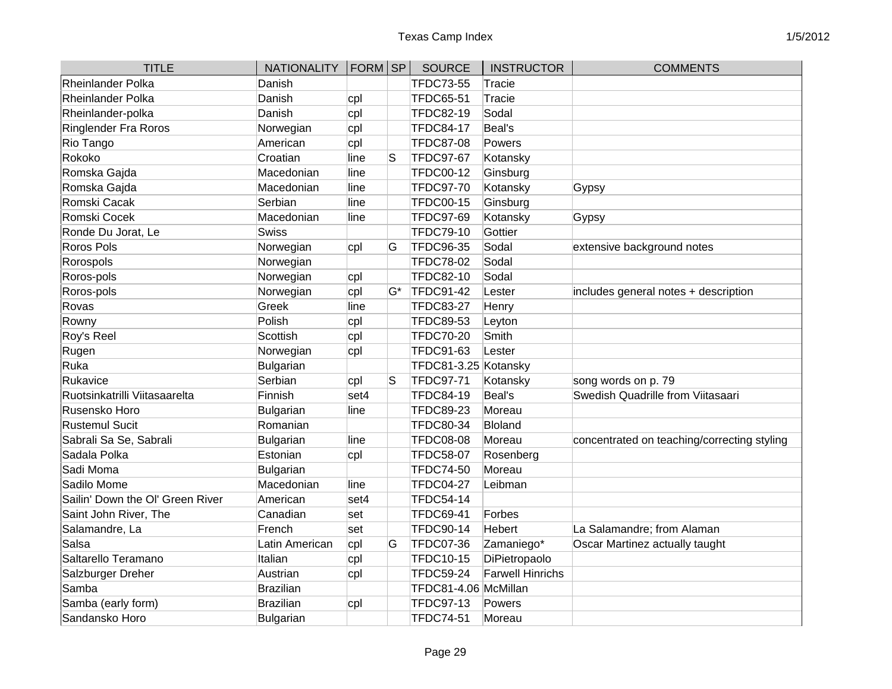| <b>TITLE</b>                     | <b>NATIONALITY</b> | FORM SP |    | <b>SOURCE</b>        | <b>INSTRUCTOR</b>       | <b>COMMENTS</b>                             |
|----------------------------------|--------------------|---------|----|----------------------|-------------------------|---------------------------------------------|
| Rheinlander Polka                | Danish             |         |    | <b>TFDC73-55</b>     | <b>Tracie</b>           |                                             |
| Rheinlander Polka                | Danish             | cpl     |    | <b>TFDC65-51</b>     | <b>Tracie</b>           |                                             |
| Rheinlander-polka                | Danish             | cpl     |    | <b>TFDC82-19</b>     | Sodal                   |                                             |
| Ringlender Fra Roros             | Norwegian          | cpl     |    | <b>TFDC84-17</b>     | Beal's                  |                                             |
| Rio Tango                        | American           | cpl     |    | <b>TFDC87-08</b>     | Powers                  |                                             |
| Rokoko                           | Croatian           | line    | lS | <b>TFDC97-67</b>     | Kotansky                |                                             |
| Romska Gajda                     | Macedonian         | line    |    | <b>TFDC00-12</b>     | Ginsburg                |                                             |
| Romska Gajda                     | Macedonian         | line    |    | <b>TFDC97-70</b>     | Kotansky                | Gypsy                                       |
| Romski Cacak                     | Serbian            | line    |    | <b>TFDC00-15</b>     | Ginsburg                |                                             |
| Romski Cocek                     | Macedonian         | line    |    | <b>TFDC97-69</b>     | Kotansky                | Gypsy                                       |
| Ronde Du Jorat, Le               | Swiss              |         |    | <b>TFDC79-10</b>     | Gottier                 |                                             |
| Roros Pols                       | Norwegian          | cpl     | G  | <b>TFDC96-35</b>     | Sodal                   | extensive background notes                  |
| Rorospols                        | Norwegian          |         |    | <b>TFDC78-02</b>     | Sodal                   |                                             |
| Roros-pols                       | Norwegian          | cpl     |    | <b>TFDC82-10</b>     | Sodal                   |                                             |
| Roros-pols                       | Norwegian          | cpl     | G* | <b>TFDC91-42</b>     | Lester                  | includes general notes + description        |
| Rovas                            | Greek              | line    |    | <b>TFDC83-27</b>     | Henry                   |                                             |
| Rowny                            | Polish             | cpl     |    | <b>TFDC89-53</b>     | Leyton                  |                                             |
| Roy's Reel                       | Scottish           | cpl     |    | <b>TFDC70-20</b>     | Smith                   |                                             |
| Rugen                            | Norwegian          | cpl     |    | <b>TFDC91-63</b>     | Lester                  |                                             |
| Ruka                             | <b>Bulgarian</b>   |         |    | TFDC81-3.25 Kotansky |                         |                                             |
| Rukavice                         | Serbian            | cpl     | S  | <b>TFDC97-71</b>     | Kotansky                | song words on p. 79                         |
| Ruotsinkatrilli Viitasaarelta    | Finnish            | set4    |    | <b>TFDC84-19</b>     | Beal's                  | Swedish Quadrille from Viitasaari           |
| Rusensko Horo                    | <b>Bulgarian</b>   | line    |    | <b>TFDC89-23</b>     | Moreau                  |                                             |
| Rustemul Sucit                   | Romanian           |         |    | <b>TFDC80-34</b>     | Bloland                 |                                             |
| Sabrali Sa Se, Sabrali           | <b>Bulgarian</b>   | line    |    | <b>TFDC08-08</b>     | Moreau                  | concentrated on teaching/correcting styling |
| Sadala Polka                     | Estonian           | cpl     |    | <b>TFDC58-07</b>     | Rosenberg               |                                             |
| Sadi Moma                        | <b>Bulgarian</b>   |         |    | <b>TFDC74-50</b>     | Moreau                  |                                             |
| Sadilo Mome                      | Macedonian         | line    |    | <b>TFDC04-27</b>     | Leibman                 |                                             |
| Sailin' Down the OI' Green River | American           | set4    |    | <b>TFDC54-14</b>     |                         |                                             |
| Saint John River, The            | Canadian           | set     |    | <b>TFDC69-41</b>     | Forbes                  |                                             |
| Salamandre, La                   | French             | set     |    | <b>TFDC90-14</b>     | Hebert                  | La Salamandre; from Alaman                  |
| Salsa                            | Latin American     | cpl     | G  | <b>TFDC07-36</b>     | Zamaniego*              | Oscar Martinez actually taught              |
| Saltarello Teramano              | Italian            | cpl     |    | <b>TFDC10-15</b>     | DiPietropaolo           |                                             |
| Salzburger Dreher                | Austrian           | cpl     |    | <b>TFDC59-24</b>     | <b>Farwell Hinrichs</b> |                                             |
| Samba                            | Brazilian          |         |    | TFDC81-4.06 McMillan |                         |                                             |
| Samba (early form)               | <b>Brazilian</b>   | cpl     |    | <b>TFDC97-13</b>     | Powers                  |                                             |
| Sandansko Horo                   | Bulgarian          |         |    | <b>TFDC74-51</b>     | Moreau                  |                                             |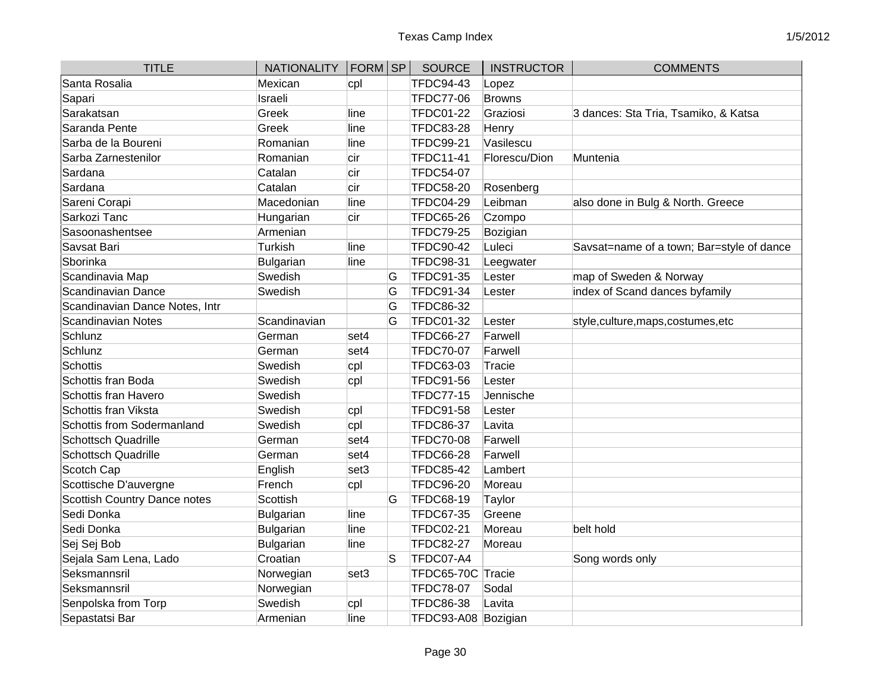| <b>TITLE</b>                   | <b>NATIONALITY</b> | FORM SP |   | <b>SOURCE</b>       | <b>INSTRUCTOR</b> | <b>COMMENTS</b>                           |
|--------------------------------|--------------------|---------|---|---------------------|-------------------|-------------------------------------------|
| Santa Rosalia                  | Mexican            | cpl     |   | <b>TFDC94-43</b>    | Lopez             |                                           |
| Sapari                         | Israeli            |         |   | <b>TFDC77-06</b>    | <b>Browns</b>     |                                           |
| Sarakatsan                     | Greek              | line    |   | <b>TFDC01-22</b>    | Graziosi          | 3 dances: Sta Tria, Tsamiko, & Katsa      |
| Saranda Pente                  | Greek              | line    |   | <b>TFDC83-28</b>    | Henry             |                                           |
| Sarba de la Boureni            | Romanian           | line    |   | <b>TFDC99-21</b>    | Vasilescu         |                                           |
| Sarba Zarnestenilor            | Romanian           | cir     |   | <b>TFDC11-41</b>    | Florescu/Dion     | Muntenia                                  |
| Sardana                        | Catalan            | cir     |   | <b>TFDC54-07</b>    |                   |                                           |
| Sardana                        | Catalan            | cir     |   | <b>TFDC58-20</b>    | Rosenberg         |                                           |
| Sareni Corapi                  | Macedonian         | line    |   | <b>TFDC04-29</b>    | Leibman           | also done in Bulg & North. Greece         |
| Sarkozi Tanc                   | Hungarian          | cir     |   | <b>TFDC65-26</b>    | Czompo            |                                           |
| Sasoonashentsee                | Armenian           |         |   | <b>TFDC79-25</b>    | Bozigian          |                                           |
| Savsat Bari                    | Turkish            | line    |   | <b>TFDC90-42</b>    | Luleci            | Savsat=name of a town; Bar=style of dance |
| Sborinka                       | <b>Bulgarian</b>   | line    |   | <b>TFDC98-31</b>    | Leegwater         |                                           |
| Scandinavia Map                | Swedish            |         | G | TFDC91-35           | Lester            | map of Sweden & Norway                    |
| Scandinavian Dance             | Swedish            |         | G | TFDC91-34           | Lester            | index of Scand dances byfamily            |
| Scandinavian Dance Notes, Intr |                    |         | G | <b>TFDC86-32</b>    |                   |                                           |
| Scandinavian Notes             | Scandinavian       |         | G | TFDC01-32           | Lester            | style, culture, maps, costumes, etc       |
| Schlunz                        | German             | set4    |   | <b>TFDC66-27</b>    | Farwell           |                                           |
| Schlunz                        | German             | set4    |   | <b>TFDC70-07</b>    | Farwell           |                                           |
| Schottis                       | Swedish            | cpl     |   | <b>TFDC63-03</b>    | Tracie            |                                           |
| Schottis fran Boda             | Swedish            | cpl     |   | <b>TFDC91-56</b>    | Lester            |                                           |
| Schottis fran Havero           | Swedish            |         |   | <b>TFDC77-15</b>    | Jennische         |                                           |
| Schottis fran Viksta           | Swedish            | cpl     |   | <b>TFDC91-58</b>    | Lester            |                                           |
| Schottis from Sodermanland     | Swedish            | cpl     |   | <b>TFDC86-37</b>    | Lavita            |                                           |
| Schottsch Quadrille            | German             | set4    |   | <b>TFDC70-08</b>    | Farwell           |                                           |
| <b>Schottsch Quadrille</b>     | German             | set4    |   | <b>TFDC66-28</b>    | Farwell           |                                           |
| Scotch Cap                     | English            | set3    |   | <b>TFDC85-42</b>    | Lambert           |                                           |
| Scottische D'auvergne          | French             | cpl     |   | <b>TFDC96-20</b>    | Moreau            |                                           |
| Scottish Country Dance notes   | Scottish           |         | G | <b>TFDC68-19</b>    | Taylor            |                                           |
| Sedi Donka                     | <b>Bulgarian</b>   | line    |   | <b>TFDC67-35</b>    | Greene            |                                           |
| Sedi Donka                     | Bulgarian          | line    |   | <b>TFDC02-21</b>    | Moreau            | belt hold                                 |
| Sej Sej Bob                    | <b>Bulgarian</b>   | line    |   | <b>TFDC82-27</b>    | Moreau            |                                           |
| Sejala Sam Lena, Lado          | Croatian           |         | S | TFDC07-A4           |                   | Song words only                           |
| Seksmannsril                   | Norwegian          | set3    |   | TFDC65-70C Tracie   |                   |                                           |
| Seksmannsril                   | Norwegian          |         |   | <b>TFDC78-07</b>    | Sodal             |                                           |
| Senpolska from Torp            | Swedish            | cpl     |   | <b>TFDC86-38</b>    | Lavita            |                                           |
| Sepastatsi Bar                 | Armenian           | line    |   | TFDC93-A08 Bozigian |                   |                                           |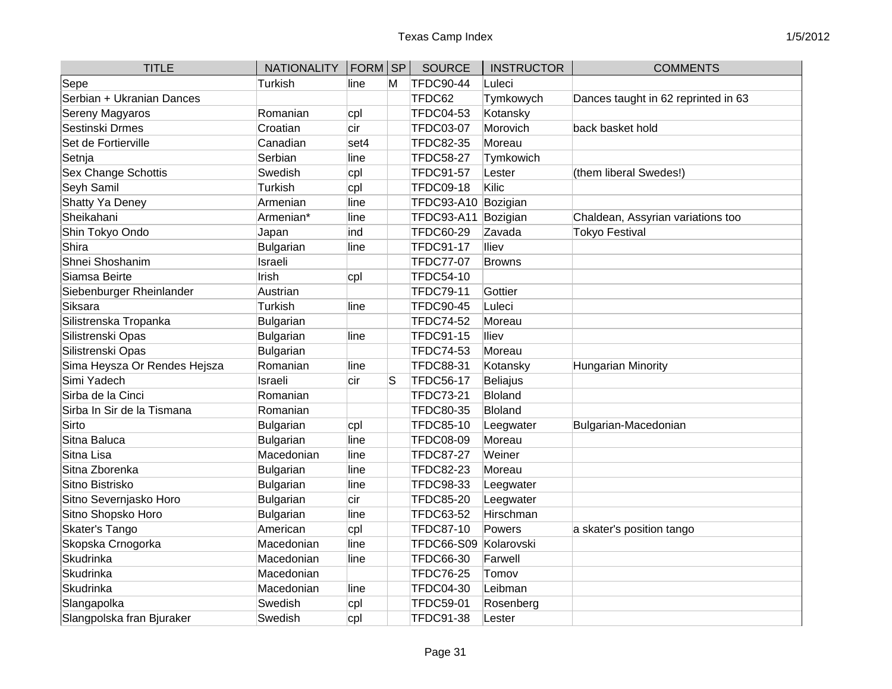| <b>TITLE</b>                 | <b>NATIONALITY</b> | $ FORM $ SP |   | <b>SOURCE</b>     | <b>INSTRUCTOR</b> | <b>COMMENTS</b>                     |
|------------------------------|--------------------|-------------|---|-------------------|-------------------|-------------------------------------|
| Sepe                         | Turkish            | line        | M | <b>TFDC90-44</b>  | Luleci            |                                     |
| Serbian + Ukranian Dances    |                    |             |   | TFDC62            | Tymkowych         | Dances taught in 62 reprinted in 63 |
| Sereny Magyaros              | Romanian           | cpl         |   | <b>TFDC04-53</b>  | Kotansky          |                                     |
| Sestinski Drmes              | Croatian           | cir         |   | <b>TFDC03-07</b>  | Morovich          | back basket hold                    |
| Set de Fortierville          | Canadian           | set4        |   | <b>TFDC82-35</b>  | Moreau            |                                     |
| Setnja                       | Serbian            | line        |   | <b>TFDC58-27</b>  | Tymkowich         |                                     |
| <b>Sex Change Schottis</b>   | Swedish            | cpl         |   | <b>TFDC91-57</b>  | Lester            | (them liberal Swedes!)              |
| Seyh Samil                   | <b>Turkish</b>     | cpl         |   | <b>TFDC09-18</b>  | Kilic             |                                     |
| <b>Shatty Ya Deney</b>       | Armenian           | line        |   | <b>TFDC93-A10</b> | Bozigian          |                                     |
| Sheikahani                   | Armenian*          | line        |   | <b>TFDC93-A11</b> | Bozigian          | Chaldean, Assyrian variations too   |
| Shin Tokyo Ondo              | Japan              | ind         |   | <b>TFDC60-29</b>  | Zavada            | <b>Tokyo Festival</b>               |
| Shira                        | Bulgarian          | line        |   | <b>TFDC91-17</b>  | lliev             |                                     |
| Shnei Shoshanim              | Israeli            |             |   | <b>TFDC77-07</b>  | <b>Browns</b>     |                                     |
| Siamsa Beirte                | Irish              | cpl         |   | <b>TFDC54-10</b>  |                   |                                     |
| Siebenburger Rheinlander     | Austrian           |             |   | <b>TFDC79-11</b>  | Gottier           |                                     |
| Siksara                      | Turkish            | line        |   | <b>TFDC90-45</b>  | Luleci            |                                     |
| Silistrenska Tropanka        | Bulgarian          |             |   | <b>TFDC74-52</b>  | Moreau            |                                     |
| Silistrenski Opas            | Bulgarian          | line        |   | <b>TFDC91-15</b>  | lliev             |                                     |
| Silistrenski Opas            | Bulgarian          |             |   | <b>TFDC74-53</b>  | Moreau            |                                     |
| Sima Heysza Or Rendes Hejsza | Romanian           | line        |   | <b>TFDC88-31</b>  | Kotansky          | <b>Hungarian Minority</b>           |
| Simi Yadech                  | Israeli            | cir         | S | <b>TFDC56-17</b>  | Beliajus          |                                     |
| Sirba de la Cinci            | Romanian           |             |   | <b>TFDC73-21</b>  | <b>Bloland</b>    |                                     |
| Sirba In Sir de la Tismana   | Romanian           |             |   | <b>TFDC80-35</b>  | Bloland           |                                     |
| Sirto                        | <b>Bulgarian</b>   | cpl         |   | <b>TFDC85-10</b>  | Leegwater         | Bulgarian-Macedonian                |
| Sitna Baluca                 | Bulgarian          | line        |   | <b>TFDC08-09</b>  | Moreau            |                                     |
| Sitna Lisa                   | Macedonian         | line        |   | <b>TFDC87-27</b>  | Weiner            |                                     |
| Sitna Zborenka               | Bulgarian          | line        |   | <b>TFDC82-23</b>  | Moreau            |                                     |
| Sitno Bistrisko              | Bulgarian          | line        |   | <b>TFDC98-33</b>  | Leegwater         |                                     |
| Sitno Severnjasko Horo       | Bulgarian          | cir         |   | <b>TFDC85-20</b>  | Leegwater         |                                     |
| Sitno Shopsko Horo           | Bulgarian          | line        |   | <b>TFDC63-52</b>  | Hirschman         |                                     |
| Skater's Tango               | American           | cpl         |   | <b>TFDC87-10</b>  | Powers            | a skater's position tango           |
| Skopska Crnogorka            | Macedonian         | line        |   | <b>TFDC66-S09</b> | Kolarovski        |                                     |
| Skudrinka                    | Macedonian         | line        |   | <b>TFDC66-30</b>  | Farwell           |                                     |
| Skudrinka                    | Macedonian         |             |   | <b>TFDC76-25</b>  | Tomov             |                                     |
| Skudrinka                    | Macedonian         | line        |   | <b>TFDC04-30</b>  | Leibman           |                                     |
| Slangapolka                  | Swedish            | cpl         |   | <b>TFDC59-01</b>  | Rosenberg         |                                     |
| Slangpolska fran Bjuraker    | Swedish            | cpl         |   | <b>TFDC91-38</b>  | Lester            |                                     |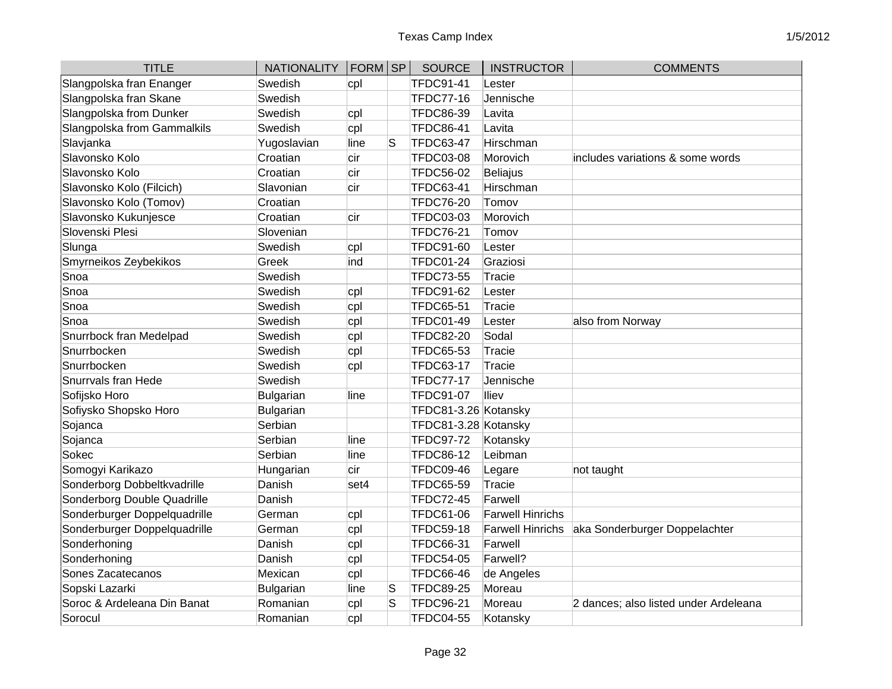| <b>TITLE</b>                 | <b>NATIONALITY</b> | $ FORM $ SP |    | <b>SOURCE</b>        | <b>INSTRUCTOR</b>       | <b>COMMENTS</b>                       |
|------------------------------|--------------------|-------------|----|----------------------|-------------------------|---------------------------------------|
| Slangpolska fran Enanger     | Swedish            | cpl         |    | <b>TFDC91-41</b>     | Lester                  |                                       |
| Slangpolska fran Skane       | Swedish            |             |    | <b>TFDC77-16</b>     | Jennische               |                                       |
| Slangpolska from Dunker      | Swedish            | cpl         |    | <b>TFDC86-39</b>     | Lavita                  |                                       |
| Slangpolska from Gammalkils  | Swedish            | cpl         |    | <b>TFDC86-41</b>     | Lavita                  |                                       |
| Slavjanka                    | Yugoslavian        | line        | lS | <b>TFDC63-47</b>     | Hirschman               |                                       |
| Slavonsko Kolo               | Croatian           | cir         |    | <b>TFDC03-08</b>     | Morovich                | includes variations & some words      |
| Slavonsko Kolo               | Croatian           | cir         |    | <b>TFDC56-02</b>     | <b>Beliajus</b>         |                                       |
| Slavonsko Kolo (Filcich)     | Slavonian          | cir         |    | <b>TFDC63-41</b>     | Hirschman               |                                       |
| Slavonsko Kolo (Tomov)       | Croatian           |             |    | <b>TFDC76-20</b>     | Tomov                   |                                       |
| Slavonsko Kukunjesce         | Croatian           | cir         |    | <b>TFDC03-03</b>     | Morovich                |                                       |
| Slovenski Plesi              | Slovenian          |             |    | <b>TFDC76-21</b>     | Tomov                   |                                       |
| Slunga                       | Swedish            | cpl         |    | <b>TFDC91-60</b>     | Lester                  |                                       |
| Smyrneikos Zeybekikos        | Greek              | ind         |    | TFDC01-24            | Graziosi                |                                       |
| Snoa                         | Swedish            |             |    | <b>TFDC73-55</b>     | Tracie                  |                                       |
| Snoa                         | Swedish            | cpl         |    | <b>TFDC91-62</b>     | Lester                  |                                       |
| Snoa                         | Swedish            | cpl         |    | <b>TFDC65-51</b>     | <b>Tracie</b>           |                                       |
| Snoa                         | Swedish            | cpl         |    | <b>TFDC01-49</b>     | Lester                  | also from Norway                      |
| Snurrbock fran Medelpad      | Swedish            | cpl         |    | <b>TFDC82-20</b>     | Sodal                   |                                       |
| Snurrbocken                  | Swedish            | cpl         |    | TFDC65-53            | <b>Tracie</b>           |                                       |
| Snurrbocken                  | Swedish            | cpl         |    | <b>TFDC63-17</b>     | <b>Tracie</b>           |                                       |
| Snurrvals fran Hede          | Swedish            |             |    | <b>TFDC77-17</b>     | Jennische               |                                       |
| Sofijsko Horo                | <b>Bulgarian</b>   | line        |    | <b>TFDC91-07</b>     | lliev                   |                                       |
| Sofiysko Shopsko Horo        | <b>Bulgarian</b>   |             |    | TFDC81-3.26 Kotansky |                         |                                       |
| Sojanca                      | Serbian            |             |    | TFDC81-3.28 Kotansky |                         |                                       |
| Sojanca                      | Serbian            | line        |    | <b>TFDC97-72</b>     | Kotansky                |                                       |
| Sokec                        | Serbian            | line        |    | <b>TFDC86-12</b>     | Leibman                 |                                       |
| Somogyi Karikazo             | Hungarian          | cir         |    | <b>TFDC09-46</b>     | Legare                  | not taught                            |
| Sonderborg Dobbeltkvadrille  | Danish             | set4        |    | TFDC65-59            | <b>Tracie</b>           |                                       |
| Sonderborg Double Quadrille  | Danish             |             |    | <b>TFDC72-45</b>     | Farwell                 |                                       |
| Sonderburger Doppelquadrille | German             | cpl         |    | <b>TFDC61-06</b>     | <b>Farwell Hinrichs</b> |                                       |
| Sonderburger Doppelquadrille | German             | cpl         |    | <b>TFDC59-18</b>     | <b>Farwell Hinrichs</b> | aka Sonderburger Doppelachter         |
| Sonderhoning                 | Danish             | cpl         |    | <b>TFDC66-31</b>     | Farwell                 |                                       |
| Sonderhoning                 | Danish             | cpl         |    | <b>TFDC54-05</b>     | Farwell?                |                                       |
| Sones Zacatecanos            | Mexican            | cpl         |    | <b>TFDC66-46</b>     | de Angeles              |                                       |
| Sopski Lazarki               | Bulgarian          | line        | S  | <b>TFDC89-25</b>     | Moreau                  |                                       |
| Soroc & Ardeleana Din Banat  | Romanian           | cpl         | S  | <b>TFDC96-21</b>     | Moreau                  | 2 dances; also listed under Ardeleana |
| Sorocul                      | Romanian           | cpl         |    | <b>TFDC04-55</b>     | Kotansky                |                                       |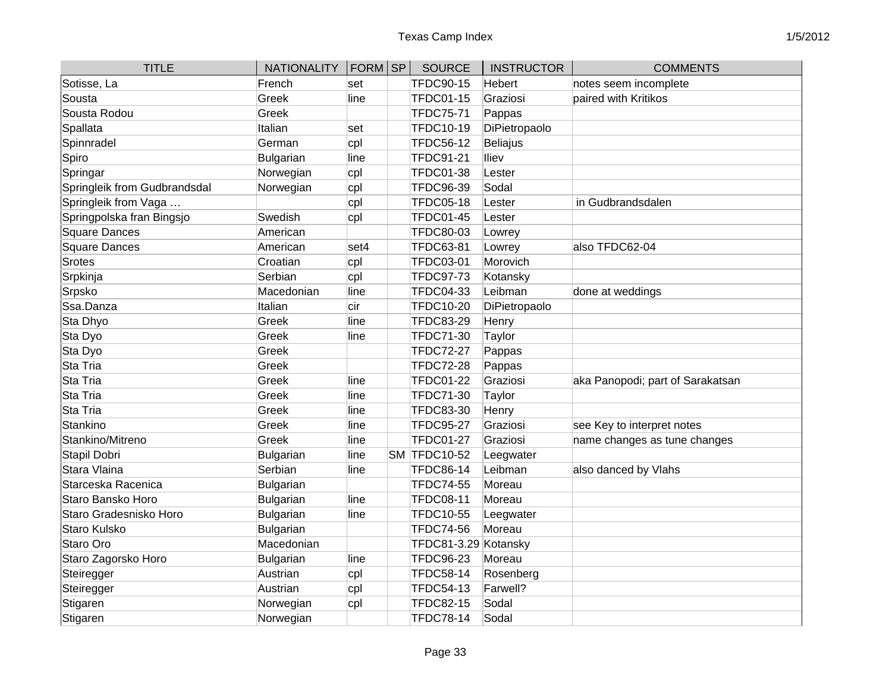| <b>TITLE</b>                 | NATIONALITY   FORM   SP |       | <b>SOURCE</b>        | <b>INSTRUCTOR</b> | <b>COMMENTS</b>                  |
|------------------------------|-------------------------|-------|----------------------|-------------------|----------------------------------|
| Sotisse, La                  | French                  | set   | <b>TFDC90-15</b>     | Hebert            | notes seem incomplete            |
| Sousta                       | Greek                   | line  | <b>TFDC01-15</b>     | Graziosi          | paired with Kritikos             |
| Sousta Rodou                 | Greek                   |       | <b>TFDC75-71</b>     | Pappas            |                                  |
| Spallata                     | Italian                 | set   | <b>TFDC10-19</b>     | DiPietropaolo     |                                  |
| Spinnradel                   | German                  | cpl   | <b>TFDC56-12</b>     | Beliajus          |                                  |
| Spiro                        | <b>Bulgarian</b>        | line  | <b>TFDC91-21</b>     | lliev             |                                  |
| Springar                     | Norwegian               | cpl   | <b>TFDC01-38</b>     | Lester            |                                  |
| Springleik from Gudbrandsdal | Norwegian               | cpl   | <b>TFDC96-39</b>     | Sodal             |                                  |
| Springleik from Vaga         |                         | cpl   | <b>TFDC05-18</b>     | Lester            | in Gudbrandsdalen                |
| Springpolska fran Bingsjo    | Swedish                 | cpl   | <b>TFDC01-45</b>     | Lester            |                                  |
| Square Dances                | American                |       | <b>TFDC80-03</b>     | Lowrey            |                                  |
| Square Dances                | American                | set4  | <b>TFDC63-81</b>     | Lowrey            | also TFDC62-04                   |
| Srotes                       | Croatian                | cpl   | <b>TFDC03-01</b>     | Morovich          |                                  |
| Srpkinja                     | Serbian                 | cpl   | <b>TFDC97-73</b>     | Kotansky          |                                  |
| Srpsko                       | Macedonian              | line  | <b>TFDC04-33</b>     | Leibman           | done at weddings                 |
| Ssa.Danza                    | Italian                 | cir   | <b>TFDC10-20</b>     | DiPietropaolo     |                                  |
| Sta Dhyo                     | Greek                   | line  | <b>TFDC83-29</b>     | Henry             |                                  |
| Sta Dyo                      | Greek                   | line  | <b>TFDC71-30</b>     | Taylor            |                                  |
| Sta Dyo                      | Greek                   |       | <b>TFDC72-27</b>     | Pappas            |                                  |
| Sta Tria                     | Greek                   |       | <b>TFDC72-28</b>     | Pappas            |                                  |
| Sta Tria                     | Greek                   | lline | <b>TFDC01-22</b>     | Graziosi          | aka Panopodi; part of Sarakatsan |
| Sta Tria                     | Greek                   | line  | <b>TFDC71-30</b>     | Taylor            |                                  |
| Sta Tria                     | Greek                   | line  | <b>TFDC83-30</b>     | Henry             |                                  |
| Stankino                     | Greek                   | line  | <b>TFDC95-27</b>     | Graziosi          | see Key to interpret notes       |
| Stankino/Mitreno             | Greek                   | line  | <b>TFDC01-27</b>     | Graziosi          | name changes as tune changes     |
| Stapil Dobri                 | <b>Bulgarian</b>        | line  | <b>SM TFDC10-52</b>  | Leegwater         |                                  |
| Stara Vlaina                 | Serbian                 | line  | <b>TFDC86-14</b>     | Leibman           | also danced by Vlahs             |
| Starceska Racenica           | <b>Bulgarian</b>        |       | <b>TFDC74-55</b>     | Moreau            |                                  |
| Staro Bansko Horo            | <b>Bulgarian</b>        | line  | <b>TFDC08-11</b>     | Moreau            |                                  |
| Staro Gradesnisko Horo       | Bulgarian               | line  | <b>TFDC10-55</b>     | Leegwater         |                                  |
| Staro Kulsko                 | <b>Bulgarian</b>        |       | <b>TFDC74-56</b>     | Moreau            |                                  |
| Staro Oro                    | Macedonian              |       | TFDC81-3.29 Kotansky |                   |                                  |
| Staro Zagorsko Horo          | <b>Bulgarian</b>        | line  | <b>TFDC96-23</b>     | Moreau            |                                  |
| Steiregger                   | Austrian                | cpl   | <b>TFDC58-14</b>     | Rosenberg         |                                  |
| Steiregger                   | Austrian                | cpl   | <b>TFDC54-13</b>     | Farwell?          |                                  |
| Stigaren                     | Norwegian               | cpl   | <b>TFDC82-15</b>     | Sodal             |                                  |
| Stigaren                     | Norwegian               |       | <b>TFDC78-14</b>     | Sodal             |                                  |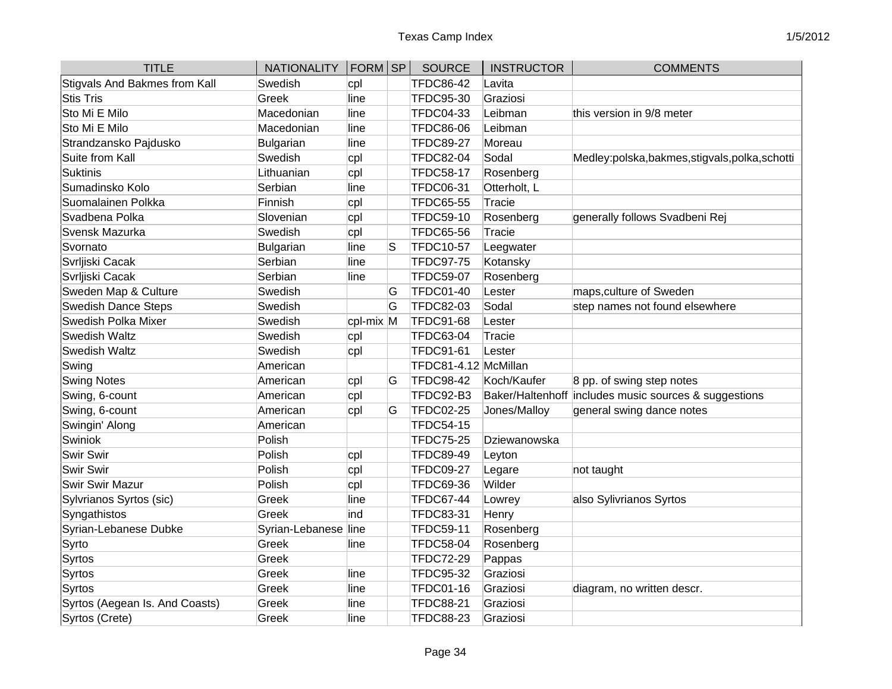| <b>TITLE</b>                   | <b>NATIONALITY</b>   | $ FORM $ SP |   | <b>SOURCE</b>        | <b>INSTRUCTOR</b> | <b>COMMENTS</b>                                       |
|--------------------------------|----------------------|-------------|---|----------------------|-------------------|-------------------------------------------------------|
| Stigvals And Bakmes from Kall  | Swedish              | cpl         |   | <b>TFDC86-42</b>     | Lavita            |                                                       |
| <b>Stis Tris</b>               | Greek                | line        |   | <b>TFDC95-30</b>     | Graziosi          |                                                       |
| Sto Mi E Milo                  | Macedonian           | line        |   | <b>TFDC04-33</b>     | Leibman           | this version in 9/8 meter                             |
| Sto Mi E Milo                  | Macedonian           | line        |   | <b>TFDC86-06</b>     | Leibman           |                                                       |
| Strandzansko Pajdusko          | Bulgarian            | line        |   | <b>TFDC89-27</b>     | Moreau            |                                                       |
| Suite from Kall                | Swedish              | cpl         |   | <b>TFDC82-04</b>     | Sodal             | Medley:polska,bakmes,stigvals,polka,schotti           |
| Suktinis                       | Lithuanian           | cpl         |   | <b>TFDC58-17</b>     | Rosenberg         |                                                       |
| Sumadinsko Kolo                | Serbian              | line        |   | <b>TFDC06-31</b>     | Otterholt, L      |                                                       |
| Suomalainen Polkka             | Finnish              | cpl         |   | <b>TFDC65-55</b>     | Tracie            |                                                       |
| Svadbena Polka                 | Slovenian            | cpl         |   | <b>TFDC59-10</b>     | Rosenberg         | generally follows Svadbeni Rej                        |
| Svensk Mazurka                 | Swedish              | cpl         |   | <b>TFDC65-56</b>     | Tracie            |                                                       |
| Svornato                       | Bulgarian            | line        | S | <b>TFDC10-57</b>     | Leegwater         |                                                       |
| Svrljiski Cacak                | Serbian              | line        |   | <b>TFDC97-75</b>     | Kotansky          |                                                       |
| Svrljiski Cacak                | Serbian              | line        |   | <b>TFDC59-07</b>     | Rosenberg         |                                                       |
| Sweden Map & Culture           | Swedish              |             | G | <b>TFDC01-40</b>     | Lester            | maps, culture of Sweden                               |
| <b>Swedish Dance Steps</b>     | Swedish              |             | G | <b>TFDC82-03</b>     | Sodal             | step names not found elsewhere                        |
| Swedish Polka Mixer            | Swedish              | cpl-mix M   |   | <b>TFDC91-68</b>     | Lester            |                                                       |
| <b>Swedish Waltz</b>           | Swedish              | cpl         |   | <b>TFDC63-04</b>     | Tracie            |                                                       |
| <b>Swedish Waltz</b>           | Swedish              | cpl         |   | <b>TFDC91-61</b>     | Lester            |                                                       |
| Swing                          | American             |             |   | TFDC81-4.12 McMillan |                   |                                                       |
| <b>Swing Notes</b>             | American             | cpl         | G | <b>TFDC98-42</b>     | Koch/Kaufer       | 8 pp. of swing step notes                             |
| Swing, 6-count                 | American             | cpl         |   | TFDC92-B3            |                   | Baker/Haltenhoff includes music sources & suggestions |
| Swing, 6-count                 | American             | cpl         | G | <b>TFDC02-25</b>     | Jones/Malloy      | general swing dance notes                             |
| Swingin' Along                 | American             |             |   | <b>TFDC54-15</b>     |                   |                                                       |
| Swiniok                        | Polish               |             |   | <b>TFDC75-25</b>     | Dziewanowska      |                                                       |
| <b>Swir Swir</b>               | Polish               | cpl         |   | <b>TFDC89-49</b>     | Leyton            |                                                       |
| <b>Swir Swir</b>               | Polish               | cpl         |   | <b>TFDC09-27</b>     | Legare            | not taught                                            |
| Swir Swir Mazur                | Polish               | cpl         |   | <b>TFDC69-36</b>     | Wilder            |                                                       |
| Sylvrianos Syrtos (sic)        | Greek                | line        |   | <b>TFDC67-44</b>     | Lowrey            | also Sylivrianos Syrtos                               |
| Syngathistos                   | Greek                | ind         |   | <b>TFDC83-31</b>     | Henry             |                                                       |
| Syrian-Lebanese Dubke          | Syrian-Lebanese line |             |   | <b>TFDC59-11</b>     | Rosenberg         |                                                       |
| Syrto                          | Greek                | line        |   | <b>TFDC58-04</b>     | Rosenberg         |                                                       |
| Syrtos                         | Greek                |             |   | <b>TFDC72-29</b>     | Pappas            |                                                       |
| Syrtos                         | Greek                | line        |   | <b>TFDC95-32</b>     | Graziosi          |                                                       |
| Syrtos                         | Greek                | line        |   | <b>TFDC01-16</b>     | Graziosi          | diagram, no written descr.                            |
| Syrtos (Aegean Is. And Coasts) | Greek                | line        |   | <b>TFDC88-21</b>     | Graziosi          |                                                       |
| Syrtos (Crete)                 | Greek                | line        |   | <b>TFDC88-23</b>     | Graziosi          |                                                       |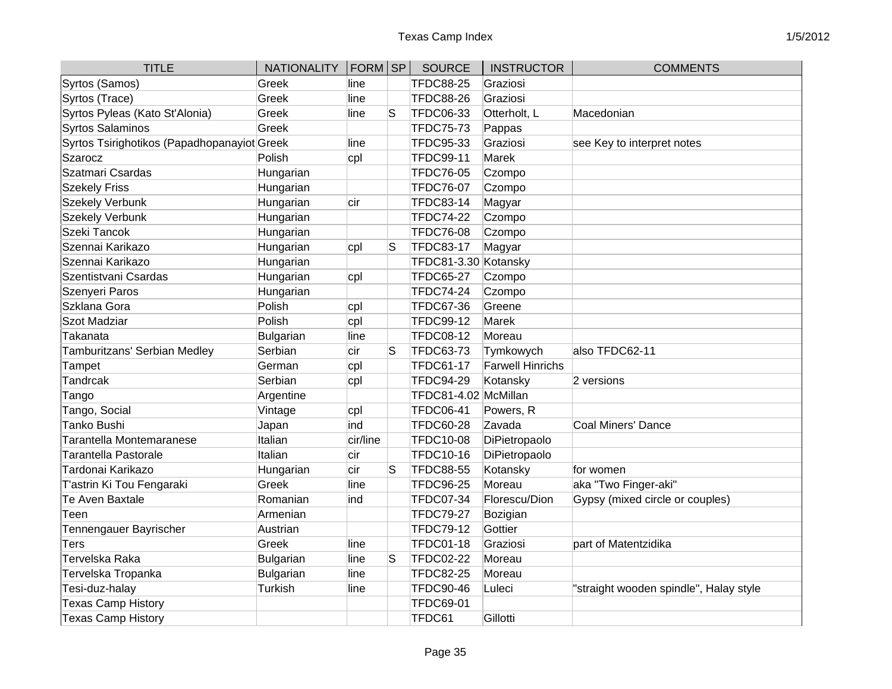| <b>TITLE</b>                                | NATIONALITY   FORM   SP |          |   | <b>SOURCE</b>        | <b>INSTRUCTOR</b>       | <b>COMMENTS</b>                        |
|---------------------------------------------|-------------------------|----------|---|----------------------|-------------------------|----------------------------------------|
| Syrtos (Samos)                              | Greek                   | line     |   | <b>TFDC88-25</b>     | Graziosi                |                                        |
| Syrtos (Trace)                              | Greek                   | line     |   | <b>TFDC88-26</b>     | Graziosi                |                                        |
| Syrtos Pyleas (Kato St'Alonia)              | Greek                   | line     | S | <b>TFDC06-33</b>     | Otterholt, L            | Macedonian                             |
| <b>Syrtos Salaminos</b>                     | Greek                   |          |   | <b>TFDC75-73</b>     | Pappas                  |                                        |
| Syrtos Tsirighotikos (Papadhopanayiot Greek |                         | line     |   | <b>TFDC95-33</b>     | Graziosi                | see Key to interpret notes             |
| <b>Szarocz</b>                              | Polish                  | cpl      |   | <b>TFDC99-11</b>     | <b>Marek</b>            |                                        |
| Szatmari Csardas                            | Hungarian               |          |   | <b>TFDC76-05</b>     | Czompo                  |                                        |
| <b>Szekely Friss</b>                        | Hungarian               |          |   | <b>TFDC76-07</b>     | Czompo                  |                                        |
| <b>Szekely Verbunk</b>                      | Hungarian               | cir      |   | <b>TFDC83-14</b>     | Magyar                  |                                        |
| <b>Szekely Verbunk</b>                      | Hungarian               |          |   | <b>TFDC74-22</b>     | Czompo                  |                                        |
| Szeki Tancok                                | Hungarian               |          |   | <b>TFDC76-08</b>     | Czompo                  |                                        |
| Szennai Karikazo                            | Hungarian               | cpl      | S | <b>TFDC83-17</b>     | Magyar                  |                                        |
| Szennai Karikazo                            | Hungarian               |          |   | TFDC81-3.30 Kotansky |                         |                                        |
| Szentistvani Csardas                        | Hungarian               | cpl      |   | <b>TFDC65-27</b>     | Czompo                  |                                        |
| Szenyeri Paros                              | Hungarian               |          |   | <b>TFDC74-24</b>     | Czompo                  |                                        |
| Szklana Gora                                | Polish                  | cpl      |   | <b>TFDC67-36</b>     | Greene                  |                                        |
| <b>Szot Madziar</b>                         | Polish                  | cpl      |   | <b>TFDC99-12</b>     | <b>Marek</b>            |                                        |
| Takanata                                    | Bulgarian               | line     |   | <b>TFDC08-12</b>     | Moreau                  |                                        |
| Tamburitzans' Serbian Medley                | Serbian                 | cir      | S | TFDC63-73            | Tymkowych               | also TFDC62-11                         |
| Tampet                                      | German                  | cpl      |   | <b>TFDC61-17</b>     | <b>Farwell Hinrichs</b> |                                        |
| Tandrcak                                    | Serbian                 | cpl      |   | <b>TFDC94-29</b>     | Kotansky                | 2 versions                             |
| Tango                                       | Argentine               |          |   | TFDC81-4.02 McMillan |                         |                                        |
| Tango, Social                               | Vintage                 | cpl      |   | <b>TFDC06-41</b>     | Powers, R               |                                        |
| <b>Tanko Bushi</b>                          | Japan                   | ind      |   | <b>TFDC60-28</b>     | Zavada                  | Coal Miners' Dance                     |
| <b>Tarantella Montemaranese</b>             | Italian                 | cir/line |   | <b>TFDC10-08</b>     | DiPietropaolo           |                                        |
| <b>Tarantella Pastorale</b>                 | Italian                 | cir      |   | <b>TFDC10-16</b>     | DiPietropaolo           |                                        |
| Tardonai Karikazo                           | Hungarian               | cir      | S | <b>TFDC88-55</b>     | Kotansky                | for women                              |
| T'astrin Ki Tou Fengaraki                   | Greek                   | line     |   | <b>TFDC96-25</b>     | Moreau                  | aka "Two Finger-aki"                   |
| <b>Te Aven Baxtale</b>                      | Romanian                | ind      |   | <b>TFDC07-34</b>     | Florescu/Dion           | Gypsy (mixed circle or couples)        |
| Teen                                        | Armenian                |          |   | <b>TFDC79-27</b>     | Bozigian                |                                        |
| <b>Tennengauer Bayrischer</b>               | Austrian                |          |   | <b>TFDC79-12</b>     | Gottier                 |                                        |
| Ters                                        | Greek                   | line     |   | <b>TFDC01-18</b>     | Graziosi                | part of Matentzidika                   |
| Tervelska Raka                              | <b>Bulgarian</b>        | line     | S | <b>TFDC02-22</b>     | Moreau                  |                                        |
| Tervelska Tropanka                          | Bulgarian               | line     |   | <b>TFDC82-25</b>     | Moreau                  |                                        |
| Tesi-duz-halay                              | Turkish                 | line     |   | <b>TFDC90-46</b>     | Luleci                  | "straight wooden spindle", Halay style |
| <b>Texas Camp History</b>                   |                         |          |   | <b>TFDC69-01</b>     |                         |                                        |
| <b>Texas Camp History</b>                   |                         |          |   | TFDC61               | Gillotti                |                                        |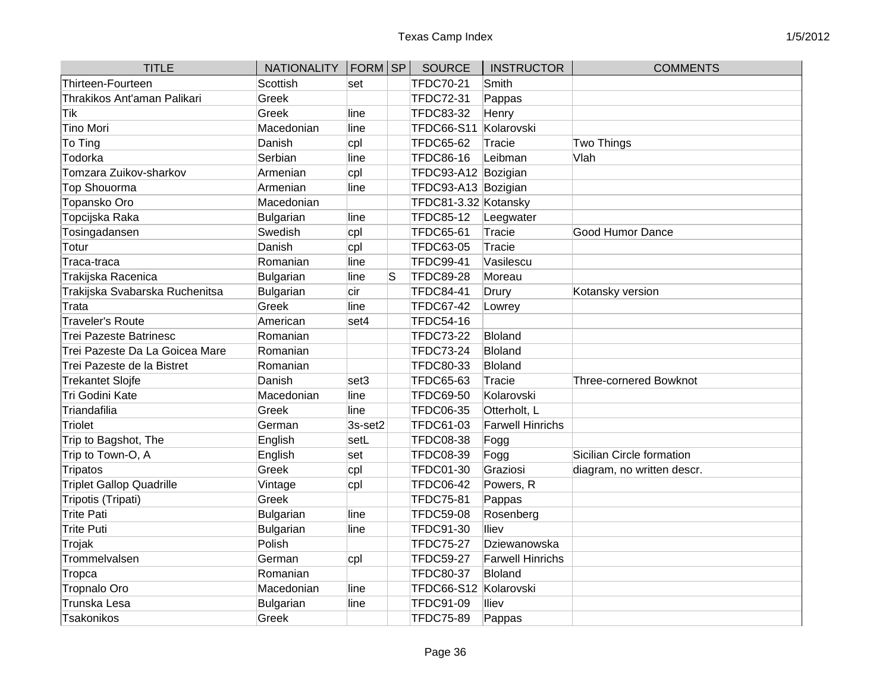| <b>TITLE</b>                    | <b>NATIONALITY</b> | $ FORM $ SP |   | <b>SOURCE</b>        | <b>INSTRUCTOR</b>       | <b>COMMENTS</b>               |
|---------------------------------|--------------------|-------------|---|----------------------|-------------------------|-------------------------------|
| Thirteen-Fourteen               | Scottish           | set         |   | <b>TFDC70-21</b>     | Smith                   |                               |
| Thrakikos Ant'aman Palikari     | Greek              |             |   | <b>TFDC72-31</b>     | Pappas                  |                               |
| Tik                             | Greek              | line        |   | <b>TFDC83-32</b>     | Henry                   |                               |
| Tino Mori                       | Macedonian         | line        |   | <b>TFDC66-S11</b>    | Kolarovski              |                               |
| To Ting                         | Danish             | cpl         |   | <b>TFDC65-62</b>     | Tracie                  | Two Things                    |
| Todorka                         | Serbian            | line        |   | <b>TFDC86-16</b>     | Leibman                 | Vlah                          |
| Tomzara Zuikov-sharkov          | Armenian           | cpl         |   | TFDC93-A12 Bozigian  |                         |                               |
| Top Shouorma                    | Armenian           | line        |   | TFDC93-A13 Bozigian  |                         |                               |
| Topansko Oro                    | Macedonian         |             |   | TFDC81-3.32 Kotansky |                         |                               |
| Topcijska Raka                  | Bulgarian          | line        |   | <b>TFDC85-12</b>     | Leegwater               |                               |
| Tosingadansen                   | Swedish            | cpl         |   | <b>TFDC65-61</b>     | Tracie                  | <b>Good Humor Dance</b>       |
| Totur                           | Danish             | cpl         |   | <b>TFDC63-05</b>     | Tracie                  |                               |
| Traca-traca                     | Romanian           | line        |   | <b>TFDC99-41</b>     | Vasilescu               |                               |
| Trakijska Racenica              | Bulgarian          | line        | S | <b>TFDC89-28</b>     | Moreau                  |                               |
| Trakijska Svabarska Ruchenitsa  | Bulgarian          | cir         |   | <b>TFDC84-41</b>     | Drury                   | Kotansky version              |
| Trata                           | Greek              | line        |   | <b>TFDC67-42</b>     | Lowrey                  |                               |
| Traveler's Route                | American           | set4        |   | <b>TFDC54-16</b>     |                         |                               |
| Trei Pazeste Batrinesc          | Romanian           |             |   | <b>TFDC73-22</b>     | <b>Bloland</b>          |                               |
| Trei Pazeste Da La Goicea Mare  | Romanian           |             |   | <b>TFDC73-24</b>     | <b>Bloland</b>          |                               |
| Trei Pazeste de la Bistret      | Romanian           |             |   | <b>TFDC80-33</b>     | Bloland                 |                               |
| Trekantet Slojfe                | Danish             | set3        |   | TFDC65-63            | Tracie                  | <b>Three-cornered Bowknot</b> |
| Tri Godini Kate                 | Macedonian         | line        |   | <b>TFDC69-50</b>     | Kolarovski              |                               |
| Triandafilia                    | Greek              | line        |   | <b>TFDC06-35</b>     | Otterholt, L            |                               |
| Triolet                         | German             | 3s-set2     |   | <b>TFDC61-03</b>     | <b>Farwell Hinrichs</b> |                               |
| Trip to Bagshot, The            | English            | setL        |   | <b>TFDC08-38</b>     | Fogg                    |                               |
| Trip to Town-O, A               | English            | set         |   | <b>TFDC08-39</b>     | Fogg                    | Sicilian Circle formation     |
| Tripatos                        | Greek              | cpl         |   | <b>TFDC01-30</b>     | Graziosi                | diagram, no written descr.    |
| <b>Triplet Gallop Quadrille</b> | Vintage            | cpl         |   | <b>TFDC06-42</b>     | Powers, R               |                               |
| Tripotis (Tripati)              | Greek              |             |   | <b>TFDC75-81</b>     | Pappas                  |                               |
| Trite Pati                      | Bulgarian          | line        |   | <b>TFDC59-08</b>     | Rosenberg               |                               |
| Trite Puti                      | Bulgarian          | line        |   | <b>TFDC91-30</b>     | lliev                   |                               |
| Trojak                          | Polish             |             |   | <b>TFDC75-27</b>     | Dziewanowska            |                               |
| Trommelvalsen                   | German             | cpl         |   | <b>TFDC59-27</b>     | <b>Farwell Hinrichs</b> |                               |
| Tropca                          | Romanian           |             |   | <b>TFDC80-37</b>     | <b>Bloland</b>          |                               |
| Tropnalo Oro                    | Macedonian         | line        |   | <b>TFDC66-S12</b>    | Kolarovski              |                               |
| Trunska Lesa                    | Bulgarian          | line        |   | <b>TFDC91-09</b>     | lliev                   |                               |
| Tsakonikos                      | Greek              |             |   | <b>TFDC75-89</b>     | Pappas                  |                               |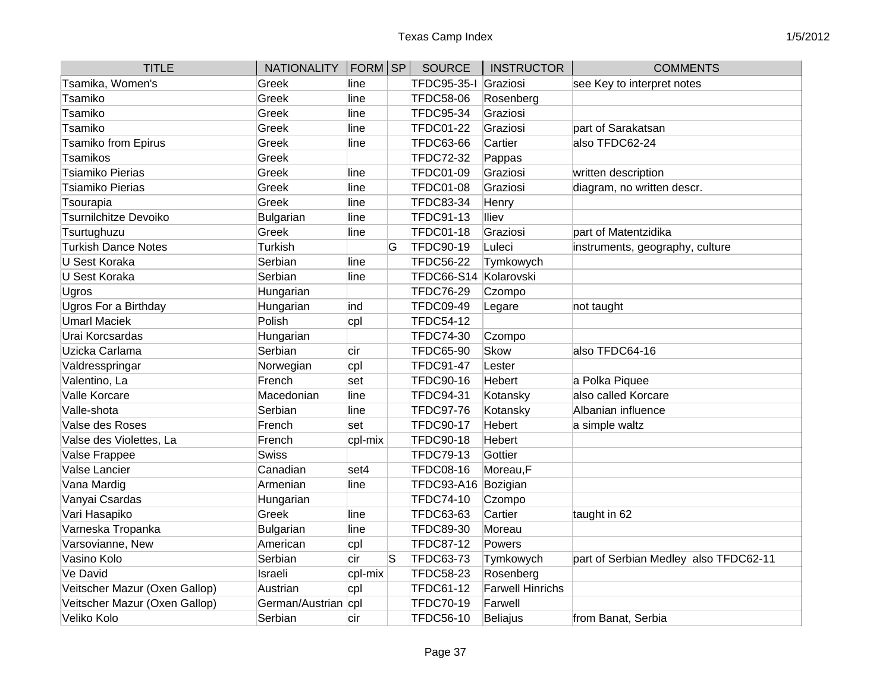| <b>TITLE</b>                  | NATIONALITY   FORM   SP |         |    | <b>SOURCE</b>         | <b>INSTRUCTOR</b>       | <b>COMMENTS</b>                       |
|-------------------------------|-------------------------|---------|----|-----------------------|-------------------------|---------------------------------------|
| Tsamika, Women's              | Greek                   | line    |    | <b>TFDC95-35-I</b>    | Graziosi                | see Key to interpret notes            |
| Tsamiko                       | Greek                   | line    |    | <b>TFDC58-06</b>      | Rosenberg               |                                       |
| Tsamiko                       | Greek                   | line    |    | <b>TFDC95-34</b>      | Graziosi                |                                       |
| Tsamiko                       | Greek                   | line    |    | <b>TFDC01-22</b>      | Graziosi                | part of Sarakatsan                    |
| <b>Tsamiko from Epirus</b>    | Greek                   | line    |    | <b>TFDC63-66</b>      | Cartier                 | also TFDC62-24                        |
| <b>Tsamikos</b>               | Greek                   |         |    | <b>TFDC72-32</b>      | Pappas                  |                                       |
| Tsiamiko Pierias              | Greek                   | line    |    | <b>TFDC01-09</b>      | Graziosi                | written description                   |
| Tsiamiko Pierias              | Greek                   | line    |    | <b>TFDC01-08</b>      | Graziosi                | diagram, no written descr.            |
| Tsourapia                     | Greek                   | line    |    | <b>TFDC83-34</b>      | Henry                   |                                       |
| <b>Tsurnilchitze Devoiko</b>  | <b>Bulgarian</b>        | line    |    | <b>TFDC91-13</b>      | lliev                   |                                       |
| Tsurtughuzu                   | Greek                   | line    |    | <b>TFDC01-18</b>      | Graziosi                | part of Matentzidika                  |
| <b>Turkish Dance Notes</b>    | Turkish                 |         | G  | <b>TFDC90-19</b>      | Luleci                  | instruments, geography, culture       |
| U Sest Koraka                 | Serbian                 | line    |    | <b>TFDC56-22</b>      | Tymkowych               |                                       |
| U Sest Koraka                 | Serbian                 | line    |    | TFDC66-S14 Kolarovski |                         |                                       |
| Ugros                         | Hungarian               |         |    | <b>TFDC76-29</b>      | Czompo                  |                                       |
| Ugros For a Birthday          | Hungarian               | ind     |    | <b>TFDC09-49</b>      | Legare                  | not taught                            |
| <b>Umarl Maciek</b>           | Polish                  | cpl     |    | <b>TFDC54-12</b>      |                         |                                       |
| Urai Korcsardas               | Hungarian               |         |    | <b>TFDC74-30</b>      | Czompo                  |                                       |
| Uzicka Carlama                | Serbian                 | cir     |    | <b>TFDC65-90</b>      | <b>Skow</b>             | also TFDC64-16                        |
| Valdresspringar               | Norwegian               | cpl     |    | <b>TFDC91-47</b>      | Lester                  |                                       |
| Valentino, La                 | French                  | set     |    | <b>TFDC90-16</b>      | Hebert                  | a Polka Piquee                        |
| Valle Korcare                 | Macedonian              | line    |    | <b>TFDC94-31</b>      | Kotansky                | also called Korcare                   |
| Valle-shota                   | Serbian                 | line    |    | <b>TFDC97-76</b>      | Kotansky                | Albanian influence                    |
| Valse des Roses               | French                  | set     |    | <b>TFDC90-17</b>      | <b>Hebert</b>           | a simple waltz                        |
| Valse des Violettes, La       | French                  | cpl-mix |    | <b>TFDC90-18</b>      | Hebert                  |                                       |
| Valse Frappee                 | Swiss                   |         |    | <b>TFDC79-13</b>      | Gottier                 |                                       |
| Valse Lancier                 | Canadian                | set4    |    | <b>TFDC08-16</b>      | Moreau,F                |                                       |
| Vana Mardig                   | Armenian                | line    |    | <b>TFDC93-A16</b>     | Bozigian                |                                       |
| Vanyai Csardas                | Hungarian               |         |    | <b>TFDC74-10</b>      | Czompo                  |                                       |
| Vari Hasapiko                 | Greek                   | line    |    | <b>TFDC63-63</b>      | Cartier                 | taught in 62                          |
| Varneska Tropanka             | <b>Bulgarian</b>        | line    |    | <b>TFDC89-30</b>      | Moreau                  |                                       |
| Varsovianne, New              | American                | cpl     |    | <b>TFDC87-12</b>      | Powers                  |                                       |
| Vasino Kolo                   | Serbian                 | cir     | lS | <b>TFDC63-73</b>      | Tymkowych               | part of Serbian Medley also TFDC62-11 |
| <b>Ve David</b>               | Israeli                 | cpl-mix |    | <b>TFDC58-23</b>      | Rosenberg               |                                       |
| Veitscher Mazur (Oxen Gallop) | Austrian                | cpl     |    | <b>TFDC61-12</b>      | <b>Farwell Hinrichs</b> |                                       |
| Veitscher Mazur (Oxen Gallop) | German/Austrian cpl     |         |    | <b>TFDC70-19</b>      | Farwell                 |                                       |
| Veliko Kolo                   | Serbian                 | cir     |    | <b>TFDC56-10</b>      | <b>Beliajus</b>         | from Banat, Serbia                    |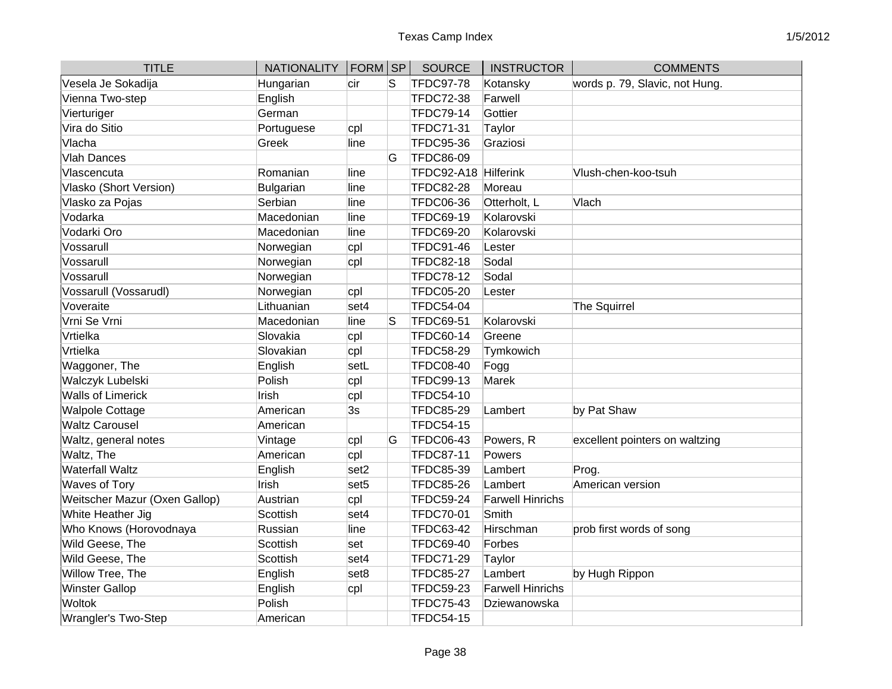| <b>TITLE</b>                  | <b>NATIONALITY</b> | FORM SP          |   | <b>SOURCE</b>        | <b>INSTRUCTOR</b>       | <b>COMMENTS</b>                |
|-------------------------------|--------------------|------------------|---|----------------------|-------------------------|--------------------------------|
| Vesela Je Sokadija            | Hungarian          | cir              | S | <b>TFDC97-78</b>     | Kotansky                | words p. 79, Slavic, not Hung. |
| Vienna Two-step               | English            |                  |   | <b>TFDC72-38</b>     | Farwell                 |                                |
| Vierturiger                   | German             |                  |   | <b>TFDC79-14</b>     | Gottier                 |                                |
| Vira do Sitio                 | Portuguese         | cpl              |   | <b>TFDC71-31</b>     | Taylor                  |                                |
| Vlacha                        | Greek              | line             |   | <b>TFDC95-36</b>     | Graziosi                |                                |
| <b>Vlah Dances</b>            |                    |                  | G | <b>TFDC86-09</b>     |                         |                                |
| Vlascencuta                   | Romanian           | line             |   | TFDC92-A18 Hilferink |                         | Vlush-chen-koo-tsuh            |
| Vlasko (Short Version)        | <b>Bulgarian</b>   | line             |   | <b>TFDC82-28</b>     | Moreau                  |                                |
| Vlasko za Pojas               | Serbian            | line             |   | <b>TFDC06-36</b>     | Otterholt, L            | Vlach                          |
| Vodarka                       | Macedonian         | line             |   | <b>TFDC69-19</b>     | Kolarovski              |                                |
| Vodarki Oro                   | Macedonian         | line             |   | <b>TFDC69-20</b>     | Kolarovski              |                                |
| Vossarull                     | Norwegian          | cpl              |   | <b>TFDC91-46</b>     | Lester                  |                                |
| Vossarull                     | Norwegian          | cpl              |   | <b>TFDC82-18</b>     | Sodal                   |                                |
| Vossarull                     | Norwegian          |                  |   | <b>TFDC78-12</b>     | Sodal                   |                                |
| Vossarull (Vossarudl)         | Norwegian          | cpl              |   | <b>TFDC05-20</b>     | Lester                  |                                |
| Voveraite                     | Lithuanian         | set4             |   | <b>TFDC54-04</b>     |                         | The Squirrel                   |
| Vrni Se Vrni                  | Macedonian         | line             | S | <b>TFDC69-51</b>     | Kolarovski              |                                |
| Vrtielka                      | Slovakia           | cpl              |   | <b>TFDC60-14</b>     | Greene                  |                                |
| Vrtielka                      | Slovakian          | cpl              |   | <b>TFDC58-29</b>     | Tymkowich               |                                |
| Waggoner, The                 | English            | setL             |   | <b>TFDC08-40</b>     | Fogg                    |                                |
| Walczyk Lubelski              | Polish             | cpl              |   | <b>TFDC99-13</b>     | Marek                   |                                |
| <b>Walls of Limerick</b>      | Irish              | cpl              |   | <b>TFDC54-10</b>     |                         |                                |
| <b>Walpole Cottage</b>        | American           | 3s               |   | <b>TFDC85-29</b>     | Lambert                 | by Pat Shaw                    |
| <b>Waltz Carousel</b>         | American           |                  |   | <b>TFDC54-15</b>     |                         |                                |
| Waltz, general notes          | Vintage            | cpl              | G | <b>TFDC06-43</b>     | Powers, R               | excellent pointers on waltzing |
| Waltz, The                    | American           | cpl              |   | <b>TFDC87-11</b>     | Powers                  |                                |
| <b>Waterfall Waltz</b>        | English            | set <sub>2</sub> |   | <b>TFDC85-39</b>     | Lambert                 | Prog.                          |
| Waves of Tory                 | Irish              | set <sub>5</sub> |   | <b>TFDC85-26</b>     | Lambert                 | American version               |
| Weitscher Mazur (Oxen Gallop) | Austrian           | cpl              |   | <b>TFDC59-24</b>     | <b>Farwell Hinrichs</b> |                                |
| White Heather Jig             | Scottish           | set4             |   | <b>TFDC70-01</b>     | Smith                   |                                |
| Who Knows (Horovodnaya        | Russian            | line             |   | <b>TFDC63-42</b>     | Hirschman               | prob first words of song       |
| Wild Geese, The               | Scottish           | set              |   | <b>TFDC69-40</b>     | Forbes                  |                                |
| Wild Geese, The               | Scottish           | set4             |   | <b>TFDC71-29</b>     | Taylor                  |                                |
| Willow Tree, The              | English            | set <sub>8</sub> |   | <b>TFDC85-27</b>     | Lambert                 | by Hugh Rippon                 |
| <b>Winster Gallop</b>         | English            | cpl              |   | <b>TFDC59-23</b>     | <b>Farwell Hinrichs</b> |                                |
| <b>Woltok</b>                 | Polish             |                  |   | <b>TFDC75-43</b>     | Dziewanowska            |                                |
| <b>Wrangler's Two-Step</b>    | American           |                  |   | <b>TFDC54-15</b>     |                         |                                |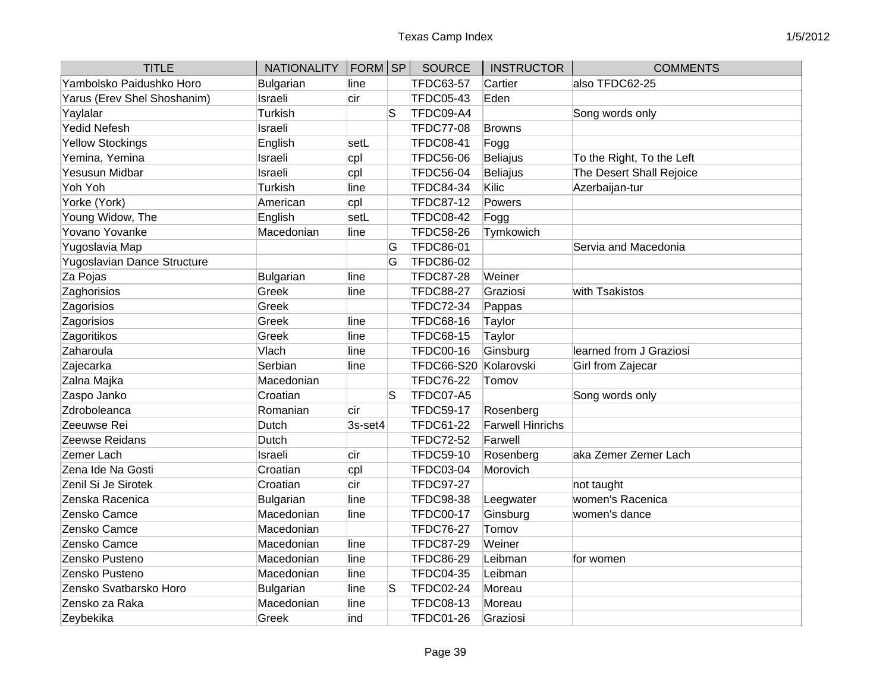| <b>TITLE</b>                | <b>NATIONALITY</b> | $ FORM $ SP |    | <b>SOURCE</b>     | <b>INSTRUCTOR</b>       | <b>COMMENTS</b>           |
|-----------------------------|--------------------|-------------|----|-------------------|-------------------------|---------------------------|
| Yambolsko Paidushko Horo    | Bulgarian          | line        |    | <b>TFDC63-57</b>  | Cartier                 | also TFDC62-25            |
| Yarus (Erev Shel Shoshanim) | Israeli            | cir         |    | <b>TFDC05-43</b>  | Eden                    |                           |
| Yaylalar                    | Turkish            |             | S  | TFDC09-A4         |                         | Song words only           |
| <b>Yedid Nefesh</b>         | Israeli            |             |    | <b>TFDC77-08</b>  | <b>Browns</b>           |                           |
| <b>Yellow Stockings</b>     | English            | setL        |    | <b>TFDC08-41</b>  | Fogg                    |                           |
| Yemina, Yemina              | Israeli            | cpl         |    | <b>TFDC56-06</b>  | Beliajus                | To the Right, To the Left |
| <b>Yesusun Midbar</b>       | Israeli            | cpl         |    | <b>TFDC56-04</b>  | <b>Beliajus</b>         | The Desert Shall Rejoice  |
| Yoh Yoh                     | <b>Turkish</b>     | line        |    | <b>TFDC84-34</b>  | Kilic                   | Azerbaijan-tur            |
| Yorke (York)                | American           | cpl         |    | <b>TFDC87-12</b>  | Powers                  |                           |
| Young Widow, The            | English            | setL        |    | <b>TFDC08-42</b>  | Fogg                    |                           |
| Yovano Yovanke              | Macedonian         | line        |    | <b>TFDC58-26</b>  | Tymkowich               |                           |
| Yugoslavia Map              |                    |             | G  | <b>TFDC86-01</b>  |                         | Servia and Macedonia      |
| Yugoslavian Dance Structure |                    |             | G  | <b>TFDC86-02</b>  |                         |                           |
| Za Pojas                    | Bulgarian          | line        |    | <b>TFDC87-28</b>  | Weiner                  |                           |
| Zaghorisios                 | Greek              | line        |    | <b>TFDC88-27</b>  | Graziosi                | with Tsakistos            |
| Zagorisios                  | Greek              |             |    | <b>TFDC72-34</b>  | Pappas                  |                           |
| Zagorisios                  | Greek              | line        |    | <b>TFDC68-16</b>  | Taylor                  |                           |
| Zagoritikos                 | Greek              | line        |    | <b>TFDC68-15</b>  | Taylor                  |                           |
| Zaharoula                   | Vlach              | line        |    | <b>TFDC00-16</b>  | Ginsburg                | learned from J Graziosi   |
| Zajecarka                   | Serbian            | line        |    | <b>TFDC66-S20</b> | Kolarovski              | Girl from Zajecar         |
| Zalna Majka                 | Macedonian         |             |    | <b>TFDC76-22</b>  | Tomov                   |                           |
| Zaspo Janko                 | Croatian           |             | S  | TFDC07-A5         |                         | Song words only           |
| Zdroboleanca                | Romanian           | cir         |    | <b>TFDC59-17</b>  | Rosenberg               |                           |
| Zeeuwse Rei                 | Dutch              | 3s-set4     |    | <b>TFDC61-22</b>  | <b>Farwell Hinrichs</b> |                           |
| Zeewse Reidans              | Dutch              |             |    | <b>TFDC72-52</b>  | Farwell                 |                           |
| Zemer Lach                  | Israeli            | cir         |    | <b>TFDC59-10</b>  | Rosenberg               | aka Zemer Zemer Lach      |
| Zena Ide Na Gosti           | Croatian           | cpl         |    | <b>TFDC03-04</b>  | Morovich                |                           |
| Zenil Si Je Sirotek         | Croatian           | cir         |    | <b>TFDC97-27</b>  |                         | not taught                |
| Zenska Racenica             | Bulgarian          | line        |    | <b>TFDC98-38</b>  | Leegwater               | women's Racenica          |
| Zensko Camce                | Macedonian         | line        |    | <b>TFDC00-17</b>  | Ginsburg                | women's dance             |
| Zensko Camce                | Macedonian         |             |    | <b>TFDC76-27</b>  | Tomov                   |                           |
| Zensko Camce                | Macedonian         | line        |    | <b>TFDC87-29</b>  | Weiner                  |                           |
| Zensko Pusteno              | Macedonian         | line        |    | <b>TFDC86-29</b>  | Leibman                 | for women                 |
| Zensko Pusteno              | Macedonian         | line        |    | <b>TFDC04-35</b>  | Leibman                 |                           |
| Zensko Svatbarsko Horo      | Bulgarian          | line        | lS | <b>TFDC02-24</b>  | Moreau                  |                           |
| Zensko za Raka              | Macedonian         | line        |    | <b>TFDC08-13</b>  | Moreau                  |                           |
| Zeybekika                   | Greek              | ind         |    | <b>TFDC01-26</b>  | Graziosi                |                           |